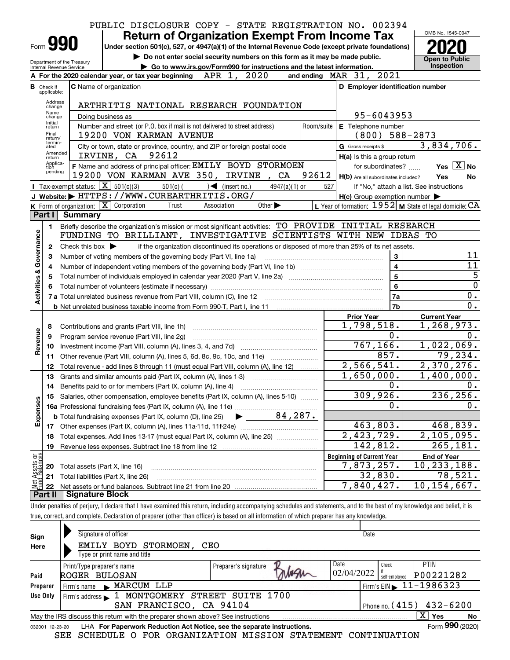|                         |                                  |                                                   | PUBLIC DISCLOSURE COPY - STATE REGISTRATION NO. 002394                                                                                                                     |                                                           |                                          |
|-------------------------|----------------------------------|---------------------------------------------------|----------------------------------------------------------------------------------------------------------------------------------------------------------------------------|-----------------------------------------------------------|------------------------------------------|
|                         |                                  |                                                   | <b>Return of Organization Exempt From Income Tax</b>                                                                                                                       |                                                           | OMB No. 1545-0047                        |
|                         |                                  | Form 990                                          | Under section 501(c), 527, or 4947(a)(1) of the Internal Revenue Code (except private foundations)                                                                         |                                                           |                                          |
|                         |                                  | Department of the Treasury                        | Do not enter social security numbers on this form as it may be made public.                                                                                                |                                                           | <b>Open to Public</b>                    |
|                         |                                  | Internal Revenue Service                          | Go to www.irs.gov/Form990 for instructions and the latest information.<br>A For the 2020 calendar year, or tax year beginning APR 1, 2020                                  | 2021<br>and ending $\n  MAR\n  31,$                       | <b>Inspection</b>                        |
|                         |                                  |                                                   |                                                                                                                                                                            |                                                           |                                          |
|                         | <b>B</b> Check if<br>applicable: |                                                   | <b>C</b> Name of organization                                                                                                                                              | D Employer identification number                          |                                          |
|                         | Address<br>change                |                                                   | ARTHRITIS NATIONAL RESEARCH FOUNDATION                                                                                                                                     |                                                           |                                          |
|                         | Name<br>change                   |                                                   | Doing business as                                                                                                                                                          | 95-6043953                                                |                                          |
|                         | Initial<br>return                |                                                   | Number and street (or P.O. box if mail is not delivered to street address)<br>Room/suite                                                                                   | E Telephone number                                        |                                          |
|                         | Final<br>return/                 |                                                   | 19200 VON KARMAN AVENUE                                                                                                                                                    | (800)                                                     | 588-2873                                 |
|                         | termin-<br>ated                  |                                                   | City or town, state or province, country, and ZIP or foreign postal code                                                                                                   | G Gross receipts \$                                       | 3,834,706.                               |
|                         | Amended<br>return                |                                                   | IRVINE, CA 92612                                                                                                                                                           | $H(a)$ is this a group return                             |                                          |
|                         | Applica-<br>tion                 |                                                   | F Name and address of principal officer: EMILY BOYD STORMOEN                                                                                                               | for subordinates?                                         | Yes $X$ No                               |
|                         | pending                          |                                                   | 19200 VON KARMAN AVE 350, IRVINE, CA<br>92612                                                                                                                              | H(b) Are all subordinates included?                       | Yes<br>No                                |
|                         |                                  | Tax-exempt status: $\boxed{\mathbf{X}}$ 501(c)(3) | $501(c)$ (<br>$\sqrt{\frac{1}{1}}$ (insert no.)<br>$4947(a)(1)$ or                                                                                                         | 527                                                       | If "No," attach a list. See instructions |
|                         |                                  |                                                   | J Website: FITTPS: / / WWW.CUREARTHRITIS.ORG/                                                                                                                              | $H(c)$ Group exemption number $\blacktriangleright$       |                                          |
|                         |                                  |                                                   | K Form of organization: $\boxed{\mathbf{X}}$ Corporation<br>Other $\blacktriangleright$<br>Trust<br>Association                                                            | L Year of formation: $1952$ M State of legal domicile: CA |                                          |
|                         | Part II                          | Summary                                           |                                                                                                                                                                            |                                                           |                                          |
|                         | 1.                               |                                                   | Briefly describe the organization's mission or most significant activities: TO PROVIDE INITIAL RESEARCH                                                                    |                                                           |                                          |
|                         |                                  |                                                   | FUNDING TO BRILLIANT, INVESTIGATIVE SCIENTISTS WITH NEW IDEAS TO                                                                                                           |                                                           |                                          |
| Governance              | 2                                | Check this box $\blacktriangleright$              | if the organization discontinued its operations or disposed of more than 25% of its net assets.                                                                            |                                                           | 11                                       |
|                         | 3                                |                                                   | Number of voting members of the governing body (Part VI, line 1a)                                                                                                          | 3<br>$\overline{\mathbf{4}}$                              | 11                                       |
|                         | 4<br>5                           |                                                   |                                                                                                                                                                            | $5\phantom{a}$                                            | 5                                        |
|                         | 6                                |                                                   |                                                                                                                                                                            | 6                                                         | $\overline{0}$                           |
| <b>Activities &amp;</b> |                                  |                                                   |                                                                                                                                                                            | 7a                                                        | 0.                                       |
|                         |                                  |                                                   |                                                                                                                                                                            | 7b                                                        | $\overline{0}$ .                         |
|                         |                                  |                                                   |                                                                                                                                                                            | <b>Prior Year</b>                                         | <b>Current Year</b>                      |
|                         | 8                                |                                                   | Contributions and grants (Part VIII, line 1h)                                                                                                                              | 1,798,518.                                                | 1,268,973.                               |
| Revenue                 | 9                                |                                                   | Program service revenue (Part VIII, line 2g)                                                                                                                               | $0$ .                                                     | 0.                                       |
|                         | 10                               |                                                   |                                                                                                                                                                            | 767, 166.                                                 | 1,022,069.                               |
|                         | 11                               |                                                   | Other revenue (Part VIII, column (A), lines 5, 6d, 8c, 9c, 10c, and 11e)                                                                                                   | 857.                                                      | 79,234.                                  |
|                         | 12                               |                                                   | Total revenue - add lines 8 through 11 (must equal Part VIII, column (A), line 12)                                                                                         | 2,566,541.                                                | 2,370,276.                               |
|                         | 13                               |                                                   | Grants and similar amounts paid (Part IX, column (A), lines 1-3)                                                                                                           | $\overline{1,650}$ ,000.                                  | $\overline{1,400}$ ,000.                 |
|                         | 14                               |                                                   |                                                                                                                                                                            | $0$ .                                                     | 0.                                       |
|                         | 15                               |                                                   | Salaries, other compensation, employee benefits (Part IX, column (A), lines 5-10)                                                                                          | 309,926.                                                  | 236, 256.                                |
| Expenses                |                                  |                                                   |                                                                                                                                                                            | 0.                                                        | 0.                                       |
|                         |                                  |                                                   | $84,287$ .<br><b>b</b> Total fundraising expenses (Part IX, column (D), line 25)                                                                                           |                                                           |                                          |
|                         |                                  |                                                   |                                                                                                                                                                            | 463,803.                                                  | 468,839.                                 |
|                         | 18                               |                                                   | Total expenses. Add lines 13-17 (must equal Part IX, column (A), line 25) [                                                                                                | $\overline{2,423,729}$ .                                  | 2,105,095.                               |
|                         | 19                               |                                                   |                                                                                                                                                                            | 142,812.                                                  | 265, 181.                                |
| Assets or<br>dBalances  |                                  |                                                   |                                                                                                                                                                            | <b>Beginning of Current Year</b><br>7,873,257.            | <b>End of Year</b><br>10,233,188.        |
|                         | 20<br>21                         | Total assets (Part X, line 16)                    | Total liabilities (Part X, line 26)                                                                                                                                        | 32,830.                                                   | 78,521.                                  |
| Net                     | 22                               |                                                   |                                                                                                                                                                            | 7,840,427.                                                | 10,154,667.                              |
|                         | Part II                          | <b>Signature Block</b>                            |                                                                                                                                                                            |                                                           |                                          |
|                         |                                  |                                                   | Under penalties of perjury, I declare that I have examined this return, including accompanying schedules and statements, and to the best of my knowledge and belief, it is |                                                           |                                          |
|                         |                                  |                                                   | true, correct, and complete. Declaration of preparer (other than officer) is based on all information of which preparer has any knowledge.                                 |                                                           |                                          |

| Sign<br>Here    | Signature of officer<br>EMILY BOYD STORMOEN,<br>Type or print name and title    | CEO                  | Date               |                                             |
|-----------------|---------------------------------------------------------------------------------|----------------------|--------------------|---------------------------------------------|
|                 | Print/Type preparer's name                                                      | Preparer's signature | Date<br>02/04/2022 | <b>PTIN</b><br>Check                        |
| Paid            | ROGER BULOSAN                                                                   |                      |                    | P00221282<br>self-emploved                  |
| Preparer        | Firm's name MARCUM LLP                                                          |                      |                    | Firm's EIN $\blacktriangleright$ 11-1986323 |
| Use Only        | Firm's address 1 MONTGOMERY STREET SUITE 1700                                   |                      |                    |                                             |
|                 | SAN FRANCISCO, CA 94104                                                         |                      |                    | Phone no. $(415)$ $432 - 6200$              |
|                 | May the IRS discuss this return with the preparer shown above? See instructions |                      |                    | $\mathbf{X}$<br>Yes<br>No                   |
| 032001 12-23-20 | LHA For Paperwork Reduction Act Notice, see the separate instructions.          |                      |                    | Form 990 (2020)                             |
|                 | SEE SCHEDULE O FOR ORGANIZATION MISSION STATEMENT CONTINUATION                  |                      |                    |                                             |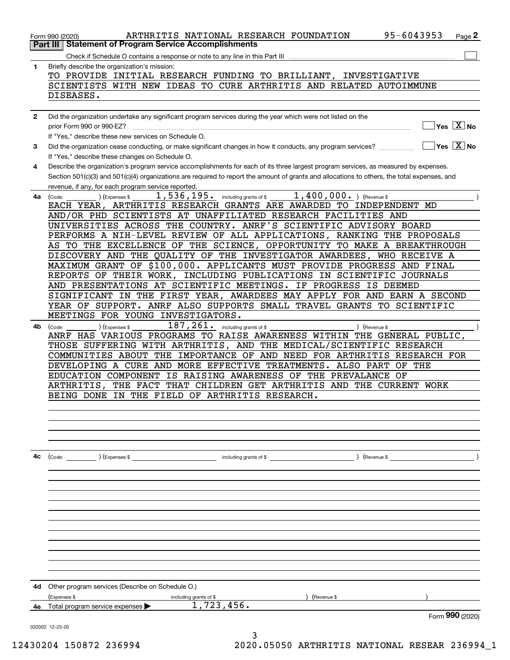|              | 95-6043953<br>ARTHRITIS NATIONAL RESEARCH FOUNDATION<br>Page 2<br>Form 990 (2020)<br><b>Statement of Program Service Accomplishments</b><br>Part III |
|--------------|------------------------------------------------------------------------------------------------------------------------------------------------------|
|              |                                                                                                                                                      |
| $\mathbf{1}$ | Briefly describe the organization's mission:                                                                                                         |
|              | TO PROVIDE INITIAL RESEARCH FUNDING TO BRILLIANT, INVESTIGATIVE                                                                                      |
|              | SCIENTISTS WITH NEW IDEAS TO CURE ARTHRITIS AND RELATED AUTOIMMUNE<br>DISEASES.                                                                      |
|              |                                                                                                                                                      |
| $\mathbf{2}$ | Did the organization undertake any significant program services during the year which were not listed on the                                         |
|              | Yes $X$ No<br>prior Form 990 or 990-EZ?                                                                                                              |
|              | If "Yes," describe these new services on Schedule O.                                                                                                 |
| 3            | $ Yes  \times  No $<br>Did the organization cease conducting, or make significant changes in how it conducts, any program services?                  |
|              | If "Yes," describe these changes on Schedule O.                                                                                                      |
| 4            | Describe the organization's program service accomplishments for each of its three largest program services, as measured by expenses.                 |
|              | Section 501(c)(3) and 501(c)(4) organizations are required to report the amount of grants and allocations to others, the total expenses, and         |
|              | revenue, if any, for each program service reported.                                                                                                  |
| 4a           | $1,536,195$ . including grants of \$<br>$1,400,000.$ ) (Revenue \$<br>(Expenses \$<br>(Code:                                                         |
|              | EACH YEAR, ARTHRITIS RESEARCH GRANTS ARE AWARDED TO INDEPENDENT MD                                                                                   |
|              | AND/OR PHD SCIENTISTS AT UNAFFILIATED RESEARCH FACILITIES AND                                                                                        |
|              | UNIVERSITIES ACROSS THE COUNTRY. ANRF'S SCIENTIFIC ADVISORY BOARD                                                                                    |
|              | PERFORMS A NIH-LEVEL REVIEW OF ALL APPLICATIONS, RANKING THE PROPOSALS                                                                               |
|              | AS TO THE EXCELLENCE OF THE SCIENCE, OPPORTUNITY TO MAKE A BREAKTHROUGH                                                                              |
|              | DISCOVERY AND THE QUALITY OF THE INVESTIGATOR AWARDEES, WHO RECEIVE A                                                                                |
|              | MAXIMUM GRANT OF \$100,000. APPLICANTS MUST PROVIDE PROGRESS AND FINAL                                                                               |
|              | REPORTS OF THEIR WORK, INCLUDING PUBLICATIONS IN SCIENTIFIC JOURNALS                                                                                 |
|              | AND PRESENTATIONS AT SCIENTIFIC MEETINGS.<br>IF PROGRESS IS DEEMED                                                                                   |
|              | SIGNIFICANT IN THE FIRST YEAR, AWARDEES MAY APPLY FOR AND EARN A SECOND                                                                              |
|              | YEAR OF SUPPORT. ANRF ALSO SUPPORTS SMALL TRAVEL GRANTS TO SCIENTIFIC                                                                                |
|              | MEETINGS FOR YOUNG INVESTIGATORS.                                                                                                                    |
|              | $\overline{187}$ , $\overline{261}$ . including grants of \$                                                                                         |
| 4b           | ) (Expenses \$<br>) (Revenue \$<br>(Code:<br>ANRF HAS VARIOUS PROGRAMS TO RAISE AWARENESS WITHIN THE GENERAL PUBLIC,                                 |
|              | THOSE SUFFERING WITH ARTHRITIS, AND THE MEDICAL/SCIENTIFIC RESEARCH                                                                                  |
|              | COMMUNITIES ABOUT THE IMPORTANCE OF AND NEED FOR ARTHRITIS RESEARCH FOR                                                                              |
|              | DEVELOPING A CURE AND MORE EFFECTIVE TREATMENTS. ALSO PART<br>OF<br>THE                                                                              |
|              | EDUCATION COMPONENT IS RAISING AWARENESS OF<br>THE<br>PREVALANCE OF                                                                                  |
|              | THE FACT THAT CHILDREN GET ARTHRITIS AND THE CURRENT WORK                                                                                            |
|              | ARTHRITIS,<br>IN THE FIELD OF ARTHRITIS RESEARCH.<br>BEING DONE                                                                                      |
|              |                                                                                                                                                      |
|              |                                                                                                                                                      |
|              |                                                                                                                                                      |
|              |                                                                                                                                                      |
|              |                                                                                                                                                      |
|              |                                                                                                                                                      |
| 4с           | $($ Revenue \$<br>$\text{(Code:}$ $\qquad \qquad$ $\text{(Expenses $}$<br>including grants of \$                                                     |
|              |                                                                                                                                                      |
|              |                                                                                                                                                      |
|              |                                                                                                                                                      |
|              |                                                                                                                                                      |
|              |                                                                                                                                                      |
|              |                                                                                                                                                      |
|              |                                                                                                                                                      |
|              |                                                                                                                                                      |
|              |                                                                                                                                                      |
|              |                                                                                                                                                      |
|              |                                                                                                                                                      |
|              |                                                                                                                                                      |
| 4d           | Other program services (Describe on Schedule O.)                                                                                                     |
|              | (Expenses \$<br>(Revenue \$<br>including grants of \$                                                                                                |
| 4е           | 1,723,456.<br>Total program service expenses                                                                                                         |
|              | Form 990 (2020)                                                                                                                                      |
|              | 032002 12-23-20<br>3                                                                                                                                 |
|              |                                                                                                                                                      |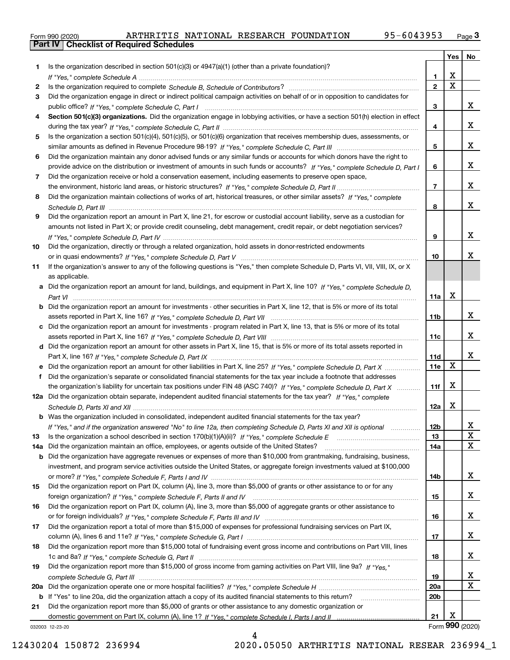|  | Form 990 (2020) |
|--|-----------------|

| Is the organization described in section $501(c)(3)$ or $4947(a)(1)$ (other than a private foundation)?<br>1<br>X<br>1<br>$\mathbf X$<br>$\overline{2}$<br>2<br>Did the organization engage in direct or indirect political campaign activities on behalf of or in opposition to candidates for<br>3<br>3<br>Section 501(c)(3) organizations. Did the organization engage in lobbying activities, or have a section 501(h) election in effect<br>4<br>4<br>Is the organization a section 501(c)(4), 501(c)(5), or 501(c)(6) organization that receives membership dues, assessments, or<br>5<br>5<br>Did the organization maintain any donor advised funds or any similar funds or accounts for which donors have the right to<br>6<br>6<br>provide advice on the distribution or investment of amounts in such funds or accounts? If "Yes," complete Schedule D, Part I<br>Did the organization receive or hold a conservation easement, including easements to preserve open space,<br>7<br>$\overline{7}$<br>Did the organization maintain collections of works of art, historical treasures, or other similar assets? If "Yes," complete<br>8<br>8<br>Did the organization report an amount in Part X, line 21, for escrow or custodial account liability, serve as a custodian for<br>9<br>amounts not listed in Part X; or provide credit counseling, debt management, credit repair, or debt negotiation services?<br>9<br>Did the organization, directly or through a related organization, hold assets in donor-restricted endowments<br>10<br>10<br>If the organization's answer to any of the following questions is "Yes," then complete Schedule D, Parts VI, VII, VIII, IX, or X<br>11<br>as applicable.<br>a Did the organization report an amount for land, buildings, and equipment in Part X, line 10? If "Yes," complete Schedule D.<br>X<br>11a<br>Did the organization report an amount for investments - other securities in Part X, line 12, that is 5% or more of its total<br>b<br>11 <sub>b</sub><br>Did the organization report an amount for investments - program related in Part X, line 13, that is 5% or more of its total<br>c<br>11c<br>d Did the organization report an amount for other assets in Part X, line 15, that is 5% or more of its total assets reported in<br>11d<br>X<br>11e<br>Did the organization report an amount for other liabilities in Part X, line 25? If "Yes," complete Schedule D, Part X<br>Did the organization's separate or consolidated financial statements for the tax year include a footnote that addresses<br>f<br>X<br>the organization's liability for uncertain tax positions under FIN 48 (ASC 740)? If "Yes," complete Schedule D, Part X<br>11f<br>12a Did the organization obtain separate, independent audited financial statements for the tax year? If "Yes," complete<br>x<br>12a<br><b>b</b> Was the organization included in consolidated, independent audited financial statements for the tax year?<br>If "Yes," and if the organization answered "No" to line 12a, then completing Schedule D, Parts XI and XII is optional<br>12D<br>13<br>Is the organization a school described in section $170(b)(1)(A)(ii)?$ If "Yes," complete Schedule E<br>Did the organization maintain an office, employees, or agents outside of the United States?<br>14a<br>Did the organization have aggregate revenues or expenses of more than \$10,000 from grantmaking, fundraising, business,<br>b<br>investment, and program service activities outside the United States, or aggregate foreign investments valued at \$100,000<br>14b<br>Did the organization report on Part IX, column (A), line 3, more than \$5,000 of grants or other assistance to or for any<br>15<br>Did the organization report on Part IX, column (A), line 3, more than \$5,000 of aggregate grants or other assistance to<br>16<br>Did the organization report a total of more than \$15,000 of expenses for professional fundraising services on Part IX,<br>17<br>Did the organization report more than \$15,000 total of fundraising event gross income and contributions on Part VIII, lines<br>18<br>Did the organization report more than \$15,000 of gross income from gaming activities on Part VIII, line 9a? If "Yes."<br>19<br>20a<br>20 <sub>b</sub><br>If "Yes" to line 20a, did the organization attach a copy of its audited financial statements to this return?<br>b<br>Did the organization report more than \$5,000 of grants or other assistance to any domestic organization or<br>21<br>Х<br>21<br>Form 990 (2020) |     |  | Yes | No |
|------------------------------------------------------------------------------------------------------------------------------------------------------------------------------------------------------------------------------------------------------------------------------------------------------------------------------------------------------------------------------------------------------------------------------------------------------------------------------------------------------------------------------------------------------------------------------------------------------------------------------------------------------------------------------------------------------------------------------------------------------------------------------------------------------------------------------------------------------------------------------------------------------------------------------------------------------------------------------------------------------------------------------------------------------------------------------------------------------------------------------------------------------------------------------------------------------------------------------------------------------------------------------------------------------------------------------------------------------------------------------------------------------------------------------------------------------------------------------------------------------------------------------------------------------------------------------------------------------------------------------------------------------------------------------------------------------------------------------------------------------------------------------------------------------------------------------------------------------------------------------------------------------------------------------------------------------------------------------------------------------------------------------------------------------------------------------------------------------------------------------------------------------------------------------------------------------------------------------------------------------------------------------------------------------------------------------------------------------------------------------------------------------------------------------------------------------------------------------------------------------------------------------------------------------------------------------------------------------------------------------------------------------------------------------------------------------------------------------------------------------------------------------------------------------------------------------------------------------------------------------------------------------------------------------------------------------------------------------------------------------------------------------------------------------------------------------------------------------------------------------------------------------------------------------------------------------------------------------------------------------------------------------------------------------------------------------------------------------------------------------------------------------------------------------------------------------------------------------------------------------------------------------------------------------------------------------------------------------------------------------------------------------------------------------------------------------------------------------------------------------------------------------------------------------------------------------------------------------------------------------------------------------------------------------------------------------------------------------------------------------------------------------------------------------------------------------------------------------------------------------------------------------------------------------------------------------------------------------------------------------------------------------------------------------------------------------------------------------------------------------------------------------------------------------------------------------------------------------------------------------------------------------------------------------------------------------------------------|-----|--|-----|----|
|                                                                                                                                                                                                                                                                                                                                                                                                                                                                                                                                                                                                                                                                                                                                                                                                                                                                                                                                                                                                                                                                                                                                                                                                                                                                                                                                                                                                                                                                                                                                                                                                                                                                                                                                                                                                                                                                                                                                                                                                                                                                                                                                                                                                                                                                                                                                                                                                                                                                                                                                                                                                                                                                                                                                                                                                                                                                                                                                                                                                                                                                                                                                                                                                                                                                                                                                                                                                                                                                                                                                                                                                                                                                                                                                                                                                                                                                                                                                                                                                                                                                                                                                                                                                                                                                                                                                                                                                                                                                                                                                                                                                |     |  |     |    |
|                                                                                                                                                                                                                                                                                                                                                                                                                                                                                                                                                                                                                                                                                                                                                                                                                                                                                                                                                                                                                                                                                                                                                                                                                                                                                                                                                                                                                                                                                                                                                                                                                                                                                                                                                                                                                                                                                                                                                                                                                                                                                                                                                                                                                                                                                                                                                                                                                                                                                                                                                                                                                                                                                                                                                                                                                                                                                                                                                                                                                                                                                                                                                                                                                                                                                                                                                                                                                                                                                                                                                                                                                                                                                                                                                                                                                                                                                                                                                                                                                                                                                                                                                                                                                                                                                                                                                                                                                                                                                                                                                                                                |     |  |     |    |
|                                                                                                                                                                                                                                                                                                                                                                                                                                                                                                                                                                                                                                                                                                                                                                                                                                                                                                                                                                                                                                                                                                                                                                                                                                                                                                                                                                                                                                                                                                                                                                                                                                                                                                                                                                                                                                                                                                                                                                                                                                                                                                                                                                                                                                                                                                                                                                                                                                                                                                                                                                                                                                                                                                                                                                                                                                                                                                                                                                                                                                                                                                                                                                                                                                                                                                                                                                                                                                                                                                                                                                                                                                                                                                                                                                                                                                                                                                                                                                                                                                                                                                                                                                                                                                                                                                                                                                                                                                                                                                                                                                                                |     |  |     |    |
|                                                                                                                                                                                                                                                                                                                                                                                                                                                                                                                                                                                                                                                                                                                                                                                                                                                                                                                                                                                                                                                                                                                                                                                                                                                                                                                                                                                                                                                                                                                                                                                                                                                                                                                                                                                                                                                                                                                                                                                                                                                                                                                                                                                                                                                                                                                                                                                                                                                                                                                                                                                                                                                                                                                                                                                                                                                                                                                                                                                                                                                                                                                                                                                                                                                                                                                                                                                                                                                                                                                                                                                                                                                                                                                                                                                                                                                                                                                                                                                                                                                                                                                                                                                                                                                                                                                                                                                                                                                                                                                                                                                                |     |  |     |    |
|                                                                                                                                                                                                                                                                                                                                                                                                                                                                                                                                                                                                                                                                                                                                                                                                                                                                                                                                                                                                                                                                                                                                                                                                                                                                                                                                                                                                                                                                                                                                                                                                                                                                                                                                                                                                                                                                                                                                                                                                                                                                                                                                                                                                                                                                                                                                                                                                                                                                                                                                                                                                                                                                                                                                                                                                                                                                                                                                                                                                                                                                                                                                                                                                                                                                                                                                                                                                                                                                                                                                                                                                                                                                                                                                                                                                                                                                                                                                                                                                                                                                                                                                                                                                                                                                                                                                                                                                                                                                                                                                                                                                |     |  |     | x  |
|                                                                                                                                                                                                                                                                                                                                                                                                                                                                                                                                                                                                                                                                                                                                                                                                                                                                                                                                                                                                                                                                                                                                                                                                                                                                                                                                                                                                                                                                                                                                                                                                                                                                                                                                                                                                                                                                                                                                                                                                                                                                                                                                                                                                                                                                                                                                                                                                                                                                                                                                                                                                                                                                                                                                                                                                                                                                                                                                                                                                                                                                                                                                                                                                                                                                                                                                                                                                                                                                                                                                                                                                                                                                                                                                                                                                                                                                                                                                                                                                                                                                                                                                                                                                                                                                                                                                                                                                                                                                                                                                                                                                |     |  |     |    |
|                                                                                                                                                                                                                                                                                                                                                                                                                                                                                                                                                                                                                                                                                                                                                                                                                                                                                                                                                                                                                                                                                                                                                                                                                                                                                                                                                                                                                                                                                                                                                                                                                                                                                                                                                                                                                                                                                                                                                                                                                                                                                                                                                                                                                                                                                                                                                                                                                                                                                                                                                                                                                                                                                                                                                                                                                                                                                                                                                                                                                                                                                                                                                                                                                                                                                                                                                                                                                                                                                                                                                                                                                                                                                                                                                                                                                                                                                                                                                                                                                                                                                                                                                                                                                                                                                                                                                                                                                                                                                                                                                                                                |     |  |     | x  |
|                                                                                                                                                                                                                                                                                                                                                                                                                                                                                                                                                                                                                                                                                                                                                                                                                                                                                                                                                                                                                                                                                                                                                                                                                                                                                                                                                                                                                                                                                                                                                                                                                                                                                                                                                                                                                                                                                                                                                                                                                                                                                                                                                                                                                                                                                                                                                                                                                                                                                                                                                                                                                                                                                                                                                                                                                                                                                                                                                                                                                                                                                                                                                                                                                                                                                                                                                                                                                                                                                                                                                                                                                                                                                                                                                                                                                                                                                                                                                                                                                                                                                                                                                                                                                                                                                                                                                                                                                                                                                                                                                                                                |     |  |     | x  |
|                                                                                                                                                                                                                                                                                                                                                                                                                                                                                                                                                                                                                                                                                                                                                                                                                                                                                                                                                                                                                                                                                                                                                                                                                                                                                                                                                                                                                                                                                                                                                                                                                                                                                                                                                                                                                                                                                                                                                                                                                                                                                                                                                                                                                                                                                                                                                                                                                                                                                                                                                                                                                                                                                                                                                                                                                                                                                                                                                                                                                                                                                                                                                                                                                                                                                                                                                                                                                                                                                                                                                                                                                                                                                                                                                                                                                                                                                                                                                                                                                                                                                                                                                                                                                                                                                                                                                                                                                                                                                                                                                                                                |     |  |     |    |
|                                                                                                                                                                                                                                                                                                                                                                                                                                                                                                                                                                                                                                                                                                                                                                                                                                                                                                                                                                                                                                                                                                                                                                                                                                                                                                                                                                                                                                                                                                                                                                                                                                                                                                                                                                                                                                                                                                                                                                                                                                                                                                                                                                                                                                                                                                                                                                                                                                                                                                                                                                                                                                                                                                                                                                                                                                                                                                                                                                                                                                                                                                                                                                                                                                                                                                                                                                                                                                                                                                                                                                                                                                                                                                                                                                                                                                                                                                                                                                                                                                                                                                                                                                                                                                                                                                                                                                                                                                                                                                                                                                                                |     |  |     | x  |
|                                                                                                                                                                                                                                                                                                                                                                                                                                                                                                                                                                                                                                                                                                                                                                                                                                                                                                                                                                                                                                                                                                                                                                                                                                                                                                                                                                                                                                                                                                                                                                                                                                                                                                                                                                                                                                                                                                                                                                                                                                                                                                                                                                                                                                                                                                                                                                                                                                                                                                                                                                                                                                                                                                                                                                                                                                                                                                                                                                                                                                                                                                                                                                                                                                                                                                                                                                                                                                                                                                                                                                                                                                                                                                                                                                                                                                                                                                                                                                                                                                                                                                                                                                                                                                                                                                                                                                                                                                                                                                                                                                                                |     |  |     |    |
|                                                                                                                                                                                                                                                                                                                                                                                                                                                                                                                                                                                                                                                                                                                                                                                                                                                                                                                                                                                                                                                                                                                                                                                                                                                                                                                                                                                                                                                                                                                                                                                                                                                                                                                                                                                                                                                                                                                                                                                                                                                                                                                                                                                                                                                                                                                                                                                                                                                                                                                                                                                                                                                                                                                                                                                                                                                                                                                                                                                                                                                                                                                                                                                                                                                                                                                                                                                                                                                                                                                                                                                                                                                                                                                                                                                                                                                                                                                                                                                                                                                                                                                                                                                                                                                                                                                                                                                                                                                                                                                                                                                                |     |  |     | x  |
|                                                                                                                                                                                                                                                                                                                                                                                                                                                                                                                                                                                                                                                                                                                                                                                                                                                                                                                                                                                                                                                                                                                                                                                                                                                                                                                                                                                                                                                                                                                                                                                                                                                                                                                                                                                                                                                                                                                                                                                                                                                                                                                                                                                                                                                                                                                                                                                                                                                                                                                                                                                                                                                                                                                                                                                                                                                                                                                                                                                                                                                                                                                                                                                                                                                                                                                                                                                                                                                                                                                                                                                                                                                                                                                                                                                                                                                                                                                                                                                                                                                                                                                                                                                                                                                                                                                                                                                                                                                                                                                                                                                                |     |  |     |    |
|                                                                                                                                                                                                                                                                                                                                                                                                                                                                                                                                                                                                                                                                                                                                                                                                                                                                                                                                                                                                                                                                                                                                                                                                                                                                                                                                                                                                                                                                                                                                                                                                                                                                                                                                                                                                                                                                                                                                                                                                                                                                                                                                                                                                                                                                                                                                                                                                                                                                                                                                                                                                                                                                                                                                                                                                                                                                                                                                                                                                                                                                                                                                                                                                                                                                                                                                                                                                                                                                                                                                                                                                                                                                                                                                                                                                                                                                                                                                                                                                                                                                                                                                                                                                                                                                                                                                                                                                                                                                                                                                                                                                |     |  |     | X  |
|                                                                                                                                                                                                                                                                                                                                                                                                                                                                                                                                                                                                                                                                                                                                                                                                                                                                                                                                                                                                                                                                                                                                                                                                                                                                                                                                                                                                                                                                                                                                                                                                                                                                                                                                                                                                                                                                                                                                                                                                                                                                                                                                                                                                                                                                                                                                                                                                                                                                                                                                                                                                                                                                                                                                                                                                                                                                                                                                                                                                                                                                                                                                                                                                                                                                                                                                                                                                                                                                                                                                                                                                                                                                                                                                                                                                                                                                                                                                                                                                                                                                                                                                                                                                                                                                                                                                                                                                                                                                                                                                                                                                |     |  |     |    |
|                                                                                                                                                                                                                                                                                                                                                                                                                                                                                                                                                                                                                                                                                                                                                                                                                                                                                                                                                                                                                                                                                                                                                                                                                                                                                                                                                                                                                                                                                                                                                                                                                                                                                                                                                                                                                                                                                                                                                                                                                                                                                                                                                                                                                                                                                                                                                                                                                                                                                                                                                                                                                                                                                                                                                                                                                                                                                                                                                                                                                                                                                                                                                                                                                                                                                                                                                                                                                                                                                                                                                                                                                                                                                                                                                                                                                                                                                                                                                                                                                                                                                                                                                                                                                                                                                                                                                                                                                                                                                                                                                                                                |     |  |     |    |
|                                                                                                                                                                                                                                                                                                                                                                                                                                                                                                                                                                                                                                                                                                                                                                                                                                                                                                                                                                                                                                                                                                                                                                                                                                                                                                                                                                                                                                                                                                                                                                                                                                                                                                                                                                                                                                                                                                                                                                                                                                                                                                                                                                                                                                                                                                                                                                                                                                                                                                                                                                                                                                                                                                                                                                                                                                                                                                                                                                                                                                                                                                                                                                                                                                                                                                                                                                                                                                                                                                                                                                                                                                                                                                                                                                                                                                                                                                                                                                                                                                                                                                                                                                                                                                                                                                                                                                                                                                                                                                                                                                                                |     |  |     | X  |
|                                                                                                                                                                                                                                                                                                                                                                                                                                                                                                                                                                                                                                                                                                                                                                                                                                                                                                                                                                                                                                                                                                                                                                                                                                                                                                                                                                                                                                                                                                                                                                                                                                                                                                                                                                                                                                                                                                                                                                                                                                                                                                                                                                                                                                                                                                                                                                                                                                                                                                                                                                                                                                                                                                                                                                                                                                                                                                                                                                                                                                                                                                                                                                                                                                                                                                                                                                                                                                                                                                                                                                                                                                                                                                                                                                                                                                                                                                                                                                                                                                                                                                                                                                                                                                                                                                                                                                                                                                                                                                                                                                                                |     |  |     |    |
|                                                                                                                                                                                                                                                                                                                                                                                                                                                                                                                                                                                                                                                                                                                                                                                                                                                                                                                                                                                                                                                                                                                                                                                                                                                                                                                                                                                                                                                                                                                                                                                                                                                                                                                                                                                                                                                                                                                                                                                                                                                                                                                                                                                                                                                                                                                                                                                                                                                                                                                                                                                                                                                                                                                                                                                                                                                                                                                                                                                                                                                                                                                                                                                                                                                                                                                                                                                                                                                                                                                                                                                                                                                                                                                                                                                                                                                                                                                                                                                                                                                                                                                                                                                                                                                                                                                                                                                                                                                                                                                                                                                                |     |  |     | Х  |
|                                                                                                                                                                                                                                                                                                                                                                                                                                                                                                                                                                                                                                                                                                                                                                                                                                                                                                                                                                                                                                                                                                                                                                                                                                                                                                                                                                                                                                                                                                                                                                                                                                                                                                                                                                                                                                                                                                                                                                                                                                                                                                                                                                                                                                                                                                                                                                                                                                                                                                                                                                                                                                                                                                                                                                                                                                                                                                                                                                                                                                                                                                                                                                                                                                                                                                                                                                                                                                                                                                                                                                                                                                                                                                                                                                                                                                                                                                                                                                                                                                                                                                                                                                                                                                                                                                                                                                                                                                                                                                                                                                                                |     |  |     |    |
|                                                                                                                                                                                                                                                                                                                                                                                                                                                                                                                                                                                                                                                                                                                                                                                                                                                                                                                                                                                                                                                                                                                                                                                                                                                                                                                                                                                                                                                                                                                                                                                                                                                                                                                                                                                                                                                                                                                                                                                                                                                                                                                                                                                                                                                                                                                                                                                                                                                                                                                                                                                                                                                                                                                                                                                                                                                                                                                                                                                                                                                                                                                                                                                                                                                                                                                                                                                                                                                                                                                                                                                                                                                                                                                                                                                                                                                                                                                                                                                                                                                                                                                                                                                                                                                                                                                                                                                                                                                                                                                                                                                                |     |  |     |    |
|                                                                                                                                                                                                                                                                                                                                                                                                                                                                                                                                                                                                                                                                                                                                                                                                                                                                                                                                                                                                                                                                                                                                                                                                                                                                                                                                                                                                                                                                                                                                                                                                                                                                                                                                                                                                                                                                                                                                                                                                                                                                                                                                                                                                                                                                                                                                                                                                                                                                                                                                                                                                                                                                                                                                                                                                                                                                                                                                                                                                                                                                                                                                                                                                                                                                                                                                                                                                                                                                                                                                                                                                                                                                                                                                                                                                                                                                                                                                                                                                                                                                                                                                                                                                                                                                                                                                                                                                                                                                                                                                                                                                |     |  |     |    |
|                                                                                                                                                                                                                                                                                                                                                                                                                                                                                                                                                                                                                                                                                                                                                                                                                                                                                                                                                                                                                                                                                                                                                                                                                                                                                                                                                                                                                                                                                                                                                                                                                                                                                                                                                                                                                                                                                                                                                                                                                                                                                                                                                                                                                                                                                                                                                                                                                                                                                                                                                                                                                                                                                                                                                                                                                                                                                                                                                                                                                                                                                                                                                                                                                                                                                                                                                                                                                                                                                                                                                                                                                                                                                                                                                                                                                                                                                                                                                                                                                                                                                                                                                                                                                                                                                                                                                                                                                                                                                                                                                                                                |     |  |     |    |
|                                                                                                                                                                                                                                                                                                                                                                                                                                                                                                                                                                                                                                                                                                                                                                                                                                                                                                                                                                                                                                                                                                                                                                                                                                                                                                                                                                                                                                                                                                                                                                                                                                                                                                                                                                                                                                                                                                                                                                                                                                                                                                                                                                                                                                                                                                                                                                                                                                                                                                                                                                                                                                                                                                                                                                                                                                                                                                                                                                                                                                                                                                                                                                                                                                                                                                                                                                                                                                                                                                                                                                                                                                                                                                                                                                                                                                                                                                                                                                                                                                                                                                                                                                                                                                                                                                                                                                                                                                                                                                                                                                                                |     |  |     |    |
|                                                                                                                                                                                                                                                                                                                                                                                                                                                                                                                                                                                                                                                                                                                                                                                                                                                                                                                                                                                                                                                                                                                                                                                                                                                                                                                                                                                                                                                                                                                                                                                                                                                                                                                                                                                                                                                                                                                                                                                                                                                                                                                                                                                                                                                                                                                                                                                                                                                                                                                                                                                                                                                                                                                                                                                                                                                                                                                                                                                                                                                                                                                                                                                                                                                                                                                                                                                                                                                                                                                                                                                                                                                                                                                                                                                                                                                                                                                                                                                                                                                                                                                                                                                                                                                                                                                                                                                                                                                                                                                                                                                                |     |  |     | x  |
|                                                                                                                                                                                                                                                                                                                                                                                                                                                                                                                                                                                                                                                                                                                                                                                                                                                                                                                                                                                                                                                                                                                                                                                                                                                                                                                                                                                                                                                                                                                                                                                                                                                                                                                                                                                                                                                                                                                                                                                                                                                                                                                                                                                                                                                                                                                                                                                                                                                                                                                                                                                                                                                                                                                                                                                                                                                                                                                                                                                                                                                                                                                                                                                                                                                                                                                                                                                                                                                                                                                                                                                                                                                                                                                                                                                                                                                                                                                                                                                                                                                                                                                                                                                                                                                                                                                                                                                                                                                                                                                                                                                                |     |  |     |    |
|                                                                                                                                                                                                                                                                                                                                                                                                                                                                                                                                                                                                                                                                                                                                                                                                                                                                                                                                                                                                                                                                                                                                                                                                                                                                                                                                                                                                                                                                                                                                                                                                                                                                                                                                                                                                                                                                                                                                                                                                                                                                                                                                                                                                                                                                                                                                                                                                                                                                                                                                                                                                                                                                                                                                                                                                                                                                                                                                                                                                                                                                                                                                                                                                                                                                                                                                                                                                                                                                                                                                                                                                                                                                                                                                                                                                                                                                                                                                                                                                                                                                                                                                                                                                                                                                                                                                                                                                                                                                                                                                                                                                |     |  |     | x  |
|                                                                                                                                                                                                                                                                                                                                                                                                                                                                                                                                                                                                                                                                                                                                                                                                                                                                                                                                                                                                                                                                                                                                                                                                                                                                                                                                                                                                                                                                                                                                                                                                                                                                                                                                                                                                                                                                                                                                                                                                                                                                                                                                                                                                                                                                                                                                                                                                                                                                                                                                                                                                                                                                                                                                                                                                                                                                                                                                                                                                                                                                                                                                                                                                                                                                                                                                                                                                                                                                                                                                                                                                                                                                                                                                                                                                                                                                                                                                                                                                                                                                                                                                                                                                                                                                                                                                                                                                                                                                                                                                                                                                |     |  |     |    |
|                                                                                                                                                                                                                                                                                                                                                                                                                                                                                                                                                                                                                                                                                                                                                                                                                                                                                                                                                                                                                                                                                                                                                                                                                                                                                                                                                                                                                                                                                                                                                                                                                                                                                                                                                                                                                                                                                                                                                                                                                                                                                                                                                                                                                                                                                                                                                                                                                                                                                                                                                                                                                                                                                                                                                                                                                                                                                                                                                                                                                                                                                                                                                                                                                                                                                                                                                                                                                                                                                                                                                                                                                                                                                                                                                                                                                                                                                                                                                                                                                                                                                                                                                                                                                                                                                                                                                                                                                                                                                                                                                                                                |     |  |     | x  |
|                                                                                                                                                                                                                                                                                                                                                                                                                                                                                                                                                                                                                                                                                                                                                                                                                                                                                                                                                                                                                                                                                                                                                                                                                                                                                                                                                                                                                                                                                                                                                                                                                                                                                                                                                                                                                                                                                                                                                                                                                                                                                                                                                                                                                                                                                                                                                                                                                                                                                                                                                                                                                                                                                                                                                                                                                                                                                                                                                                                                                                                                                                                                                                                                                                                                                                                                                                                                                                                                                                                                                                                                                                                                                                                                                                                                                                                                                                                                                                                                                                                                                                                                                                                                                                                                                                                                                                                                                                                                                                                                                                                                |     |  |     |    |
|                                                                                                                                                                                                                                                                                                                                                                                                                                                                                                                                                                                                                                                                                                                                                                                                                                                                                                                                                                                                                                                                                                                                                                                                                                                                                                                                                                                                                                                                                                                                                                                                                                                                                                                                                                                                                                                                                                                                                                                                                                                                                                                                                                                                                                                                                                                                                                                                                                                                                                                                                                                                                                                                                                                                                                                                                                                                                                                                                                                                                                                                                                                                                                                                                                                                                                                                                                                                                                                                                                                                                                                                                                                                                                                                                                                                                                                                                                                                                                                                                                                                                                                                                                                                                                                                                                                                                                                                                                                                                                                                                                                                |     |  |     |    |
|                                                                                                                                                                                                                                                                                                                                                                                                                                                                                                                                                                                                                                                                                                                                                                                                                                                                                                                                                                                                                                                                                                                                                                                                                                                                                                                                                                                                                                                                                                                                                                                                                                                                                                                                                                                                                                                                                                                                                                                                                                                                                                                                                                                                                                                                                                                                                                                                                                                                                                                                                                                                                                                                                                                                                                                                                                                                                                                                                                                                                                                                                                                                                                                                                                                                                                                                                                                                                                                                                                                                                                                                                                                                                                                                                                                                                                                                                                                                                                                                                                                                                                                                                                                                                                                                                                                                                                                                                                                                                                                                                                                                |     |  |     |    |
|                                                                                                                                                                                                                                                                                                                                                                                                                                                                                                                                                                                                                                                                                                                                                                                                                                                                                                                                                                                                                                                                                                                                                                                                                                                                                                                                                                                                                                                                                                                                                                                                                                                                                                                                                                                                                                                                                                                                                                                                                                                                                                                                                                                                                                                                                                                                                                                                                                                                                                                                                                                                                                                                                                                                                                                                                                                                                                                                                                                                                                                                                                                                                                                                                                                                                                                                                                                                                                                                                                                                                                                                                                                                                                                                                                                                                                                                                                                                                                                                                                                                                                                                                                                                                                                                                                                                                                                                                                                                                                                                                                                                |     |  |     |    |
|                                                                                                                                                                                                                                                                                                                                                                                                                                                                                                                                                                                                                                                                                                                                                                                                                                                                                                                                                                                                                                                                                                                                                                                                                                                                                                                                                                                                                                                                                                                                                                                                                                                                                                                                                                                                                                                                                                                                                                                                                                                                                                                                                                                                                                                                                                                                                                                                                                                                                                                                                                                                                                                                                                                                                                                                                                                                                                                                                                                                                                                                                                                                                                                                                                                                                                                                                                                                                                                                                                                                                                                                                                                                                                                                                                                                                                                                                                                                                                                                                                                                                                                                                                                                                                                                                                                                                                                                                                                                                                                                                                                                |     |  |     |    |
|                                                                                                                                                                                                                                                                                                                                                                                                                                                                                                                                                                                                                                                                                                                                                                                                                                                                                                                                                                                                                                                                                                                                                                                                                                                                                                                                                                                                                                                                                                                                                                                                                                                                                                                                                                                                                                                                                                                                                                                                                                                                                                                                                                                                                                                                                                                                                                                                                                                                                                                                                                                                                                                                                                                                                                                                                                                                                                                                                                                                                                                                                                                                                                                                                                                                                                                                                                                                                                                                                                                                                                                                                                                                                                                                                                                                                                                                                                                                                                                                                                                                                                                                                                                                                                                                                                                                                                                                                                                                                                                                                                                                |     |  |     |    |
|                                                                                                                                                                                                                                                                                                                                                                                                                                                                                                                                                                                                                                                                                                                                                                                                                                                                                                                                                                                                                                                                                                                                                                                                                                                                                                                                                                                                                                                                                                                                                                                                                                                                                                                                                                                                                                                                                                                                                                                                                                                                                                                                                                                                                                                                                                                                                                                                                                                                                                                                                                                                                                                                                                                                                                                                                                                                                                                                                                                                                                                                                                                                                                                                                                                                                                                                                                                                                                                                                                                                                                                                                                                                                                                                                                                                                                                                                                                                                                                                                                                                                                                                                                                                                                                                                                                                                                                                                                                                                                                                                                                                |     |  |     | ᅀ  |
|                                                                                                                                                                                                                                                                                                                                                                                                                                                                                                                                                                                                                                                                                                                                                                                                                                                                                                                                                                                                                                                                                                                                                                                                                                                                                                                                                                                                                                                                                                                                                                                                                                                                                                                                                                                                                                                                                                                                                                                                                                                                                                                                                                                                                                                                                                                                                                                                                                                                                                                                                                                                                                                                                                                                                                                                                                                                                                                                                                                                                                                                                                                                                                                                                                                                                                                                                                                                                                                                                                                                                                                                                                                                                                                                                                                                                                                                                                                                                                                                                                                                                                                                                                                                                                                                                                                                                                                                                                                                                                                                                                                                | 13  |  |     | X  |
|                                                                                                                                                                                                                                                                                                                                                                                                                                                                                                                                                                                                                                                                                                                                                                                                                                                                                                                                                                                                                                                                                                                                                                                                                                                                                                                                                                                                                                                                                                                                                                                                                                                                                                                                                                                                                                                                                                                                                                                                                                                                                                                                                                                                                                                                                                                                                                                                                                                                                                                                                                                                                                                                                                                                                                                                                                                                                                                                                                                                                                                                                                                                                                                                                                                                                                                                                                                                                                                                                                                                                                                                                                                                                                                                                                                                                                                                                                                                                                                                                                                                                                                                                                                                                                                                                                                                                                                                                                                                                                                                                                                                | 14a |  |     | X  |
|                                                                                                                                                                                                                                                                                                                                                                                                                                                                                                                                                                                                                                                                                                                                                                                                                                                                                                                                                                                                                                                                                                                                                                                                                                                                                                                                                                                                                                                                                                                                                                                                                                                                                                                                                                                                                                                                                                                                                                                                                                                                                                                                                                                                                                                                                                                                                                                                                                                                                                                                                                                                                                                                                                                                                                                                                                                                                                                                                                                                                                                                                                                                                                                                                                                                                                                                                                                                                                                                                                                                                                                                                                                                                                                                                                                                                                                                                                                                                                                                                                                                                                                                                                                                                                                                                                                                                                                                                                                                                                                                                                                                |     |  |     |    |
|                                                                                                                                                                                                                                                                                                                                                                                                                                                                                                                                                                                                                                                                                                                                                                                                                                                                                                                                                                                                                                                                                                                                                                                                                                                                                                                                                                                                                                                                                                                                                                                                                                                                                                                                                                                                                                                                                                                                                                                                                                                                                                                                                                                                                                                                                                                                                                                                                                                                                                                                                                                                                                                                                                                                                                                                                                                                                                                                                                                                                                                                                                                                                                                                                                                                                                                                                                                                                                                                                                                                                                                                                                                                                                                                                                                                                                                                                                                                                                                                                                                                                                                                                                                                                                                                                                                                                                                                                                                                                                                                                                                                |     |  |     |    |
|                                                                                                                                                                                                                                                                                                                                                                                                                                                                                                                                                                                                                                                                                                                                                                                                                                                                                                                                                                                                                                                                                                                                                                                                                                                                                                                                                                                                                                                                                                                                                                                                                                                                                                                                                                                                                                                                                                                                                                                                                                                                                                                                                                                                                                                                                                                                                                                                                                                                                                                                                                                                                                                                                                                                                                                                                                                                                                                                                                                                                                                                                                                                                                                                                                                                                                                                                                                                                                                                                                                                                                                                                                                                                                                                                                                                                                                                                                                                                                                                                                                                                                                                                                                                                                                                                                                                                                                                                                                                                                                                                                                                |     |  |     | x  |
|                                                                                                                                                                                                                                                                                                                                                                                                                                                                                                                                                                                                                                                                                                                                                                                                                                                                                                                                                                                                                                                                                                                                                                                                                                                                                                                                                                                                                                                                                                                                                                                                                                                                                                                                                                                                                                                                                                                                                                                                                                                                                                                                                                                                                                                                                                                                                                                                                                                                                                                                                                                                                                                                                                                                                                                                                                                                                                                                                                                                                                                                                                                                                                                                                                                                                                                                                                                                                                                                                                                                                                                                                                                                                                                                                                                                                                                                                                                                                                                                                                                                                                                                                                                                                                                                                                                                                                                                                                                                                                                                                                                                | 15  |  |     |    |
|                                                                                                                                                                                                                                                                                                                                                                                                                                                                                                                                                                                                                                                                                                                                                                                                                                                                                                                                                                                                                                                                                                                                                                                                                                                                                                                                                                                                                                                                                                                                                                                                                                                                                                                                                                                                                                                                                                                                                                                                                                                                                                                                                                                                                                                                                                                                                                                                                                                                                                                                                                                                                                                                                                                                                                                                                                                                                                                                                                                                                                                                                                                                                                                                                                                                                                                                                                                                                                                                                                                                                                                                                                                                                                                                                                                                                                                                                                                                                                                                                                                                                                                                                                                                                                                                                                                                                                                                                                                                                                                                                                                                |     |  |     | x  |
|                                                                                                                                                                                                                                                                                                                                                                                                                                                                                                                                                                                                                                                                                                                                                                                                                                                                                                                                                                                                                                                                                                                                                                                                                                                                                                                                                                                                                                                                                                                                                                                                                                                                                                                                                                                                                                                                                                                                                                                                                                                                                                                                                                                                                                                                                                                                                                                                                                                                                                                                                                                                                                                                                                                                                                                                                                                                                                                                                                                                                                                                                                                                                                                                                                                                                                                                                                                                                                                                                                                                                                                                                                                                                                                                                                                                                                                                                                                                                                                                                                                                                                                                                                                                                                                                                                                                                                                                                                                                                                                                                                                                | 16  |  |     |    |
|                                                                                                                                                                                                                                                                                                                                                                                                                                                                                                                                                                                                                                                                                                                                                                                                                                                                                                                                                                                                                                                                                                                                                                                                                                                                                                                                                                                                                                                                                                                                                                                                                                                                                                                                                                                                                                                                                                                                                                                                                                                                                                                                                                                                                                                                                                                                                                                                                                                                                                                                                                                                                                                                                                                                                                                                                                                                                                                                                                                                                                                                                                                                                                                                                                                                                                                                                                                                                                                                                                                                                                                                                                                                                                                                                                                                                                                                                                                                                                                                                                                                                                                                                                                                                                                                                                                                                                                                                                                                                                                                                                                                |     |  |     | x  |
|                                                                                                                                                                                                                                                                                                                                                                                                                                                                                                                                                                                                                                                                                                                                                                                                                                                                                                                                                                                                                                                                                                                                                                                                                                                                                                                                                                                                                                                                                                                                                                                                                                                                                                                                                                                                                                                                                                                                                                                                                                                                                                                                                                                                                                                                                                                                                                                                                                                                                                                                                                                                                                                                                                                                                                                                                                                                                                                                                                                                                                                                                                                                                                                                                                                                                                                                                                                                                                                                                                                                                                                                                                                                                                                                                                                                                                                                                                                                                                                                                                                                                                                                                                                                                                                                                                                                                                                                                                                                                                                                                                                                | 17  |  |     |    |
|                                                                                                                                                                                                                                                                                                                                                                                                                                                                                                                                                                                                                                                                                                                                                                                                                                                                                                                                                                                                                                                                                                                                                                                                                                                                                                                                                                                                                                                                                                                                                                                                                                                                                                                                                                                                                                                                                                                                                                                                                                                                                                                                                                                                                                                                                                                                                                                                                                                                                                                                                                                                                                                                                                                                                                                                                                                                                                                                                                                                                                                                                                                                                                                                                                                                                                                                                                                                                                                                                                                                                                                                                                                                                                                                                                                                                                                                                                                                                                                                                                                                                                                                                                                                                                                                                                                                                                                                                                                                                                                                                                                                |     |  |     | x  |
|                                                                                                                                                                                                                                                                                                                                                                                                                                                                                                                                                                                                                                                                                                                                                                                                                                                                                                                                                                                                                                                                                                                                                                                                                                                                                                                                                                                                                                                                                                                                                                                                                                                                                                                                                                                                                                                                                                                                                                                                                                                                                                                                                                                                                                                                                                                                                                                                                                                                                                                                                                                                                                                                                                                                                                                                                                                                                                                                                                                                                                                                                                                                                                                                                                                                                                                                                                                                                                                                                                                                                                                                                                                                                                                                                                                                                                                                                                                                                                                                                                                                                                                                                                                                                                                                                                                                                                                                                                                                                                                                                                                                | 18  |  |     |    |
|                                                                                                                                                                                                                                                                                                                                                                                                                                                                                                                                                                                                                                                                                                                                                                                                                                                                                                                                                                                                                                                                                                                                                                                                                                                                                                                                                                                                                                                                                                                                                                                                                                                                                                                                                                                                                                                                                                                                                                                                                                                                                                                                                                                                                                                                                                                                                                                                                                                                                                                                                                                                                                                                                                                                                                                                                                                                                                                                                                                                                                                                                                                                                                                                                                                                                                                                                                                                                                                                                                                                                                                                                                                                                                                                                                                                                                                                                                                                                                                                                                                                                                                                                                                                                                                                                                                                                                                                                                                                                                                                                                                                |     |  |     | x  |
|                                                                                                                                                                                                                                                                                                                                                                                                                                                                                                                                                                                                                                                                                                                                                                                                                                                                                                                                                                                                                                                                                                                                                                                                                                                                                                                                                                                                                                                                                                                                                                                                                                                                                                                                                                                                                                                                                                                                                                                                                                                                                                                                                                                                                                                                                                                                                                                                                                                                                                                                                                                                                                                                                                                                                                                                                                                                                                                                                                                                                                                                                                                                                                                                                                                                                                                                                                                                                                                                                                                                                                                                                                                                                                                                                                                                                                                                                                                                                                                                                                                                                                                                                                                                                                                                                                                                                                                                                                                                                                                                                                                                | 19  |  |     |    |
|                                                                                                                                                                                                                                                                                                                                                                                                                                                                                                                                                                                                                                                                                                                                                                                                                                                                                                                                                                                                                                                                                                                                                                                                                                                                                                                                                                                                                                                                                                                                                                                                                                                                                                                                                                                                                                                                                                                                                                                                                                                                                                                                                                                                                                                                                                                                                                                                                                                                                                                                                                                                                                                                                                                                                                                                                                                                                                                                                                                                                                                                                                                                                                                                                                                                                                                                                                                                                                                                                                                                                                                                                                                                                                                                                                                                                                                                                                                                                                                                                                                                                                                                                                                                                                                                                                                                                                                                                                                                                                                                                                                                |     |  |     | x  |
|                                                                                                                                                                                                                                                                                                                                                                                                                                                                                                                                                                                                                                                                                                                                                                                                                                                                                                                                                                                                                                                                                                                                                                                                                                                                                                                                                                                                                                                                                                                                                                                                                                                                                                                                                                                                                                                                                                                                                                                                                                                                                                                                                                                                                                                                                                                                                                                                                                                                                                                                                                                                                                                                                                                                                                                                                                                                                                                                                                                                                                                                                                                                                                                                                                                                                                                                                                                                                                                                                                                                                                                                                                                                                                                                                                                                                                                                                                                                                                                                                                                                                                                                                                                                                                                                                                                                                                                                                                                                                                                                                                                                | 20a |  |     | X  |
|                                                                                                                                                                                                                                                                                                                                                                                                                                                                                                                                                                                                                                                                                                                                                                                                                                                                                                                                                                                                                                                                                                                                                                                                                                                                                                                                                                                                                                                                                                                                                                                                                                                                                                                                                                                                                                                                                                                                                                                                                                                                                                                                                                                                                                                                                                                                                                                                                                                                                                                                                                                                                                                                                                                                                                                                                                                                                                                                                                                                                                                                                                                                                                                                                                                                                                                                                                                                                                                                                                                                                                                                                                                                                                                                                                                                                                                                                                                                                                                                                                                                                                                                                                                                                                                                                                                                                                                                                                                                                                                                                                                                |     |  |     |    |
|                                                                                                                                                                                                                                                                                                                                                                                                                                                                                                                                                                                                                                                                                                                                                                                                                                                                                                                                                                                                                                                                                                                                                                                                                                                                                                                                                                                                                                                                                                                                                                                                                                                                                                                                                                                                                                                                                                                                                                                                                                                                                                                                                                                                                                                                                                                                                                                                                                                                                                                                                                                                                                                                                                                                                                                                                                                                                                                                                                                                                                                                                                                                                                                                                                                                                                                                                                                                                                                                                                                                                                                                                                                                                                                                                                                                                                                                                                                                                                                                                                                                                                                                                                                                                                                                                                                                                                                                                                                                                                                                                                                                |     |  |     |    |
| 032003 12-23-20                                                                                                                                                                                                                                                                                                                                                                                                                                                                                                                                                                                                                                                                                                                                                                                                                                                                                                                                                                                                                                                                                                                                                                                                                                                                                                                                                                                                                                                                                                                                                                                                                                                                                                                                                                                                                                                                                                                                                                                                                                                                                                                                                                                                                                                                                                                                                                                                                                                                                                                                                                                                                                                                                                                                                                                                                                                                                                                                                                                                                                                                                                                                                                                                                                                                                                                                                                                                                                                                                                                                                                                                                                                                                                                                                                                                                                                                                                                                                                                                                                                                                                                                                                                                                                                                                                                                                                                                                                                                                                                                                                                |     |  |     |    |

032003 12-23-20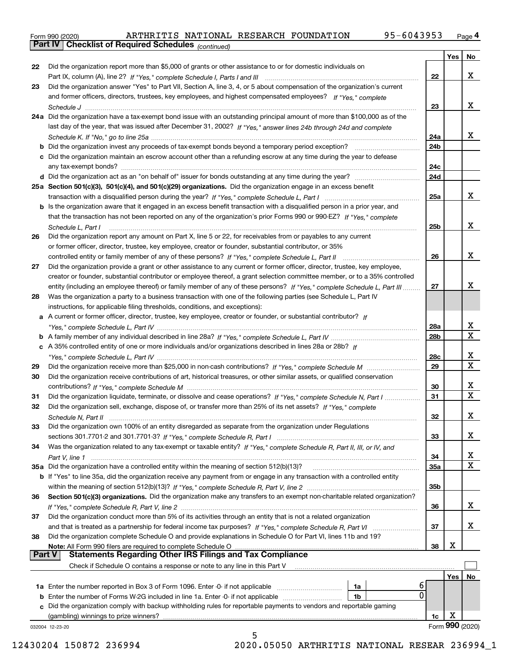|  | Form 990 (2020) |
|--|-----------------|
|  |                 |

*(continued)*

|               |                                                                                                                                    |                 | Yes | No               |
|---------------|------------------------------------------------------------------------------------------------------------------------------------|-----------------|-----|------------------|
| 22            | Did the organization report more than \$5,000 of grants or other assistance to or for domestic individuals on                      |                 |     |                  |
|               |                                                                                                                                    | 22              |     | x                |
| 23            | Did the organization answer "Yes" to Part VII, Section A, line 3, 4, or 5 about compensation of the organization's current         |                 |     |                  |
|               | and former officers, directors, trustees, key employees, and highest compensated employees? If "Yes," complete                     |                 |     |                  |
|               |                                                                                                                                    | 23              |     | x                |
|               | 24a Did the organization have a tax-exempt bond issue with an outstanding principal amount of more than \$100,000 as of the        |                 |     |                  |
|               | last day of the year, that was issued after December 31, 2002? If "Yes," answer lines 24b through 24d and complete                 |                 |     |                  |
|               |                                                                                                                                    | 24a             |     | х                |
|               |                                                                                                                                    | 24 <sub>b</sub> |     |                  |
|               | c Did the organization maintain an escrow account other than a refunding escrow at any time during the year to defease             |                 |     |                  |
|               |                                                                                                                                    | 24c             |     |                  |
|               |                                                                                                                                    | 24d             |     |                  |
|               | 25a Section 501(c)(3), 501(c)(4), and 501(c)(29) organizations. Did the organization engage in an excess benefit                   |                 |     |                  |
|               |                                                                                                                                    | 25a             |     | x                |
|               | b Is the organization aware that it engaged in an excess benefit transaction with a disqualified person in a prior year, and       |                 |     |                  |
|               | that the transaction has not been reported on any of the organization's prior Forms 990 or 990-EZ? If "Yes," complete              |                 |     |                  |
|               |                                                                                                                                    | 25b             |     | x                |
|               | Schedule L, Part I                                                                                                                 |                 |     |                  |
| 26            | Did the organization report any amount on Part X, line 5 or 22, for receivables from or payables to any current                    |                 |     |                  |
|               | or former officer, director, trustee, key employee, creator or founder, substantial contributor, or 35%                            |                 |     | х                |
|               |                                                                                                                                    | 26              |     |                  |
| 27            | Did the organization provide a grant or other assistance to any current or former officer, director, trustee, key employee,        |                 |     |                  |
|               | creator or founder, substantial contributor or employee thereof, a grant selection committee member, or to a 35% controlled        |                 |     | х                |
|               | entity (including an employee thereof) or family member of any of these persons? If "Yes," complete Schedule L. Part III           | 27              |     |                  |
| 28            | Was the organization a party to a business transaction with one of the following parties (see Schedule L, Part IV                  |                 |     |                  |
|               | instructions, for applicable filing thresholds, conditions, and exceptions):                                                       |                 |     |                  |
|               | a A current or former officer, director, trustee, key employee, creator or founder, or substantial contributor? If                 |                 |     |                  |
|               |                                                                                                                                    | 28a             |     | x<br>$\mathbf x$ |
|               |                                                                                                                                    | 28b             |     |                  |
|               | c A 35% controlled entity of one or more individuals and/or organizations described in lines 28a or 28b? If                        |                 |     |                  |
|               |                                                                                                                                    | 28c             |     | x<br>$\mathbf X$ |
| 29            |                                                                                                                                    | 29              |     |                  |
| 30            | Did the organization receive contributions of art, historical treasures, or other similar assets, or qualified conservation        |                 |     |                  |
|               |                                                                                                                                    | 30              |     | x<br>$\mathbf X$ |
| 31            | Did the organization liquidate, terminate, or dissolve and cease operations? If "Yes," complete Schedule N, Part I                 | 31              |     |                  |
| 32            | Did the organization sell, exchange, dispose of, or transfer more than 25% of its net assets? If "Yes," complete                   |                 |     |                  |
|               |                                                                                                                                    | 32              |     | х                |
| 33            | Did the organization own 100% of an entity disregarded as separate from the organization under Regulations                         |                 |     |                  |
|               |                                                                                                                                    | 33              |     | х                |
| 34            | Was the organization related to any tax-exempt or taxable entity? If "Yes," complete Schedule R, Part II, III, or IV, and          |                 |     |                  |
|               |                                                                                                                                    | 34              |     | х                |
|               | 35a Did the organization have a controlled entity within the meaning of section 512(b)(13)?                                        | 35a             |     | X                |
|               | <b>b</b> If "Yes" to line 35a, did the organization receive any payment from or engage in any transaction with a controlled entity |                 |     |                  |
|               |                                                                                                                                    | 35b             |     |                  |
| 36            | Section 501(c)(3) organizations. Did the organization make any transfers to an exempt non-charitable related organization?         |                 |     |                  |
|               |                                                                                                                                    | 36              |     | x                |
| 37            | Did the organization conduct more than 5% of its activities through an entity that is not a related organization                   |                 |     |                  |
|               | and that is treated as a partnership for federal income tax purposes? If "Yes," complete Schedule R, Part VI                       | 37              |     | x                |
| 38            | Did the organization complete Schedule O and provide explanations in Schedule O for Part VI, lines 11b and 19?                     |                 |     |                  |
|               | Note: All Form 990 filers are required to complete Schedule O                                                                      | 38              | X   |                  |
| <b>Part V</b> | <b>Statements Regarding Other IRS Filings and Tax Compliance</b>                                                                   |                 |     |                  |
|               | Check if Schedule O contains a response or note to any line in this Part V                                                         |                 |     |                  |
|               |                                                                                                                                    |                 | Yes | No               |
|               | 6<br>1a Enter the number reported in Box 3 of Form 1096. Enter -0- if not applicable<br>1a                                         |                 |     |                  |
|               | 0<br><b>b</b> Enter the number of Forms W-2G included in line 1a. Enter -0- if not applicable<br>1b                                |                 |     |                  |
|               | c Did the organization comply with backup withholding rules for reportable payments to vendors and reportable gaming               |                 |     |                  |
|               | (gambling) winnings to prize winners?                                                                                              | 1c              | X   |                  |
|               | 032004 12-23-20<br>5                                                                                                               |                 |     | Form 990 (2020)  |
|               |                                                                                                                                    |                 |     |                  |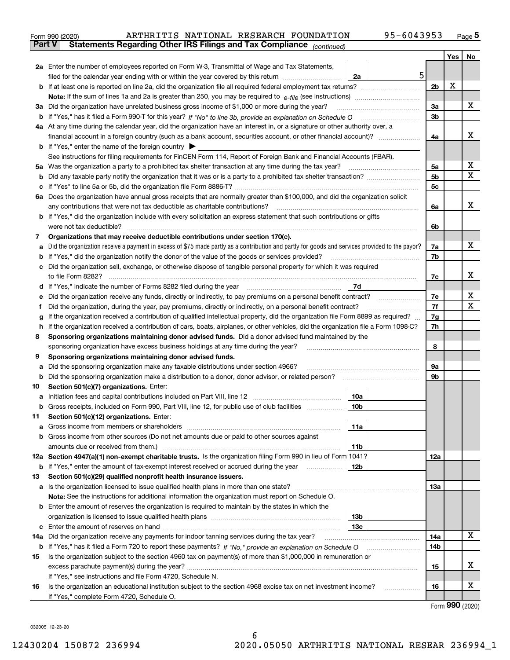|        | 95-6043953<br>ARTHRITIS NATIONAL RESEARCH FOUNDATION<br>Form 990 (2020)                                                                                                                          |                |            | Page $5$         |
|--------|--------------------------------------------------------------------------------------------------------------------------------------------------------------------------------------------------|----------------|------------|------------------|
| Part V | Statements Regarding Other IRS Filings and Tax Compliance (continued)                                                                                                                            |                |            |                  |
|        |                                                                                                                                                                                                  |                | <b>Yes</b> | No               |
|        | 2a Enter the number of employees reported on Form W-3, Transmittal of Wage and Tax Statements,                                                                                                   |                |            |                  |
|        | 5<br>filed for the calendar year ending with or within the year covered by this return<br>2a                                                                                                     |                |            |                  |
|        |                                                                                                                                                                                                  | 2 <sub>b</sub> | X          |                  |
|        |                                                                                                                                                                                                  |                |            |                  |
|        | 3a Did the organization have unrelated business gross income of \$1,000 or more during the year?                                                                                                 | 3a             |            | x                |
|        |                                                                                                                                                                                                  | 3b             |            |                  |
|        |                                                                                                                                                                                                  |                |            |                  |
|        | 4a At any time during the calendar year, did the organization have an interest in, or a signature or other authority over, a                                                                     | 4a             |            | X.               |
|        |                                                                                                                                                                                                  |                |            |                  |
|        | <b>b</b> If "Yes," enter the name of the foreign country $\triangleright$<br>See instructions for filing requirements for FinCEN Form 114, Report of Foreign Bank and Financial Accounts (FBAR). |                |            |                  |
|        |                                                                                                                                                                                                  | 5a             |            | x                |
|        |                                                                                                                                                                                                  | 5 <sub>b</sub> |            | $\mathbf X$      |
|        |                                                                                                                                                                                                  |                |            |                  |
|        |                                                                                                                                                                                                  | 5c             |            |                  |
|        | 6a Does the organization have annual gross receipts that are normally greater than \$100,000, and did the organization solicit                                                                   |                |            | X.               |
|        | any contributions that were not tax deductible as charitable contributions?                                                                                                                      | 6a             |            |                  |
|        | b If "Yes," did the organization include with every solicitation an express statement that such contributions or gifts                                                                           |                |            |                  |
|        | were not tax deductible?                                                                                                                                                                         | 6b             |            |                  |
| 7      | Organizations that may receive deductible contributions under section 170(c).                                                                                                                    |                |            | x                |
| а      | Did the organization receive a payment in excess of \$75 made partly as a contribution and partly for goods and services provided to the payor?                                                  | 7a             |            |                  |
|        | <b>b</b> If "Yes," did the organization notify the donor of the value of the goods or services provided?                                                                                         | 7b             |            |                  |
|        | c Did the organization sell, exchange, or otherwise dispose of tangible personal property for which it was required                                                                              |                |            |                  |
|        |                                                                                                                                                                                                  | 7c             |            | x                |
|        | 7d<br><b>d</b> If "Yes," indicate the number of Forms 8282 filed during the year                                                                                                                 |                |            |                  |
| е      | Did the organization receive any funds, directly or indirectly, to pay premiums on a personal benefit contract?                                                                                  | 7e             |            | x<br>$\mathbf X$ |
| f      | Did the organization, during the year, pay premiums, directly or indirectly, on a personal benefit contract?                                                                                     | 7f             |            |                  |
| g      | If the organization received a contribution of qualified intellectual property, did the organization file Form 8899 as required?                                                                 | 7g             |            |                  |
| h.     | If the organization received a contribution of cars, boats, airplanes, or other vehicles, did the organization file a Form 1098-C?                                                               | 7h             |            |                  |
| 8      | Sponsoring organizations maintaining donor advised funds. Did a donor advised fund maintained by the                                                                                             |                |            |                  |
|        | sponsoring organization have excess business holdings at any time during the year?                                                                                                               | 8              |            |                  |
| 9      | Sponsoring organizations maintaining donor advised funds.                                                                                                                                        |                |            |                  |
| a      | Did the sponsoring organization make any taxable distributions under section 4966?                                                                                                               | <b>9a</b>      |            |                  |
| b      | Did the sponsoring organization make a distribution to a donor, donor advisor, or related person?                                                                                                | 9b             |            |                  |
| 10     | Section 501(c)(7) organizations. Enter:                                                                                                                                                          |                |            |                  |
| a      | 10a<br>Initiation fees and capital contributions included on Part VIII, line 12                                                                                                                  |                |            |                  |
| b      | 10 <sub>b</sub><br>Gross receipts, included on Form 990, Part VIII, line 12, for public use of club facilities <i>managery</i>                                                                   |                |            |                  |
| 11     | Section 501(c)(12) organizations. Enter:                                                                                                                                                         |                |            |                  |
|        | 11a                                                                                                                                                                                              |                |            |                  |
|        | <b>b</b> Gross income from other sources (Do not net amounts due or paid to other sources against                                                                                                |                |            |                  |
|        | 11 <sub>b</sub><br>amounts due or received from them.)                                                                                                                                           |                |            |                  |

|       | <b>b</b> Enter the amount of reserves the organization is required to maintain by the states in which the      |                 |  |
|-------|----------------------------------------------------------------------------------------------------------------|-----------------|--|
|       |                                                                                                                | 13 <sub>b</sub> |  |
|       |                                                                                                                | 13 <sub>c</sub> |  |
|       | 14a Did the organization receive any payments for indoor tanning services during the tax year?                 |                 |  |
|       |                                                                                                                |                 |  |
| 15    | Is the organization subject to the section 4960 tax on payment(s) of more than \$1,000,000 in remuneration or  |                 |  |
|       |                                                                                                                |                 |  |
|       | If "Yes," see instructions and file Form 4720, Schedule N.                                                     |                 |  |
| - 163 | Is the examization an educational institution subject to the section 4068 excise tax on not investment income? |                 |  |

**b** If "Yes," enter the amount of tax-exempt interest received or accrued during the year will use in a label and the state  $\vert$  12b

**Note:** See the instructions for additional information the organization must report on Schedule O.

**13 Section 501(c)(29) qualified nonprofit health insurance issuers.**

| 16 | Is the organization an educational institution subject to the section 4968 excise tax on net investment income?<br>. | 16 | $\overline{\mathbf{r}}$ |
|----|----------------------------------------------------------------------------------------------------------------------|----|-------------------------|
|    | If "Yes." complete Form 4720, Schedule O                                                                             |    |                         |
|    |                                                                                                                      |    |                         |

6

**12a Section 4947(a)(1) non-exempt charitable trusts.** Is the organization filing Form 990 in lieu of Form 1041? **12a** 

**a** Is the organization licensed to issue qualified health plans in more than one state? www.communition.communition

Form (2020) **990**

X

X

**13a**

**14a14b**

**15**

032005 12-23-20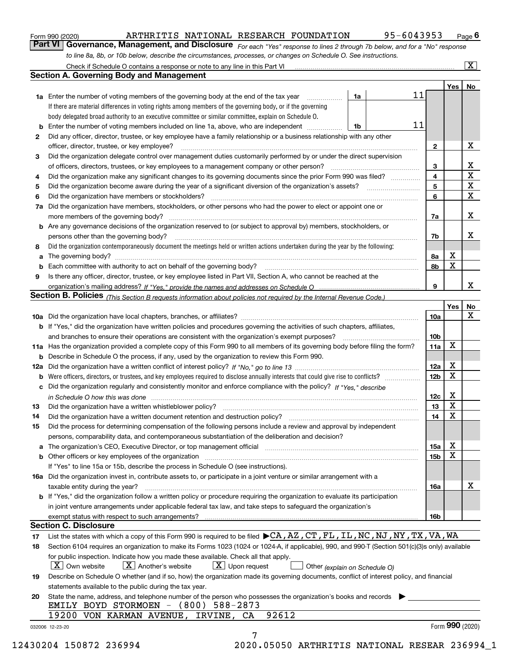ARTHRITIS NATIONAL RESEARCH FOUNDATION 95-6043953

*For each "Yes" response to lines 2 through 7b below, and for a "No" response to line 8a, 8b, or 10b below, describe the circumstances, processes, or changes on Schedule O. See instructions.* Form 990 (2020) Page **6Part VI Governance, Management, and Disclosure**  Check if Schedule O contains a response or note to any line in this Part VI

|    |                                                                                                                                                                               |    |    |                         | Yes             | No                           |
|----|-------------------------------------------------------------------------------------------------------------------------------------------------------------------------------|----|----|-------------------------|-----------------|------------------------------|
|    | <b>1a</b> Enter the number of voting members of the governing body at the end of the tax year                                                                                 | 1a | 11 |                         |                 |                              |
|    | If there are material differences in voting rights among members of the governing body, or if the governing                                                                   |    |    |                         |                 |                              |
|    | body delegated broad authority to an executive committee or similar committee, explain on Schedule O.                                                                         |    |    |                         |                 |                              |
|    |                                                                                                                                                                               | 1b | 11 |                         |                 |                              |
| 2  | Did any officer, director, trustee, or key employee have a family relationship or a business relationship with any other                                                      |    |    |                         |                 |                              |
|    | officer, director, trustee, or key employee?                                                                                                                                  |    |    | $\mathbf{2}$            |                 | X                            |
| 3  | Did the organization delegate control over management duties customarily performed by or under the direct supervision                                                         |    |    |                         |                 |                              |
|    |                                                                                                                                                                               |    |    | 3                       |                 | X<br>$\overline{\textbf{X}}$ |
| 4  | Did the organization make any significant changes to its governing documents since the prior Form 990 was filed?                                                              |    |    | $\overline{\mathbf{4}}$ |                 |                              |
| 5  |                                                                                                                                                                               |    |    | 5                       |                 | $\mathbf X$<br>$\mathbf x$   |
| 6  | Did the organization have members or stockholders?                                                                                                                            |    |    | 6                       |                 |                              |
|    | 7a Did the organization have members, stockholders, or other persons who had the power to elect or appoint one or                                                             |    |    |                         |                 |                              |
|    |                                                                                                                                                                               |    |    | 7a                      |                 | x                            |
|    | <b>b</b> Are any governance decisions of the organization reserved to (or subject to approval by) members, stockholders, or                                                   |    |    |                         |                 |                              |
|    | persons other than the governing body?                                                                                                                                        |    |    | 7b                      |                 | х                            |
| 8  | Did the organization contemporaneously document the meetings held or written actions undertaken during the year by the following:                                             |    |    |                         |                 |                              |
| a  |                                                                                                                                                                               |    |    | 8a                      | X               |                              |
|    |                                                                                                                                                                               |    |    | 8b                      | X               |                              |
| 9  | Is there any officer, director, trustee, or key employee listed in Part VII, Section A, who cannot be reached at the                                                          |    |    |                         |                 |                              |
|    |                                                                                                                                                                               |    |    | 9                       |                 | х                            |
|    | Section B. Policies (This Section B requests information about policies not required by the Internal Revenue Code.)                                                           |    |    |                         |                 |                              |
|    |                                                                                                                                                                               |    |    |                         | Yes             | No                           |
|    |                                                                                                                                                                               |    |    | 10a                     |                 | X                            |
|    | <b>b</b> If "Yes," did the organization have written policies and procedures governing the activities of such chapters, affiliates,                                           |    |    |                         |                 |                              |
|    |                                                                                                                                                                               |    |    | 10 <sub>b</sub>         |                 |                              |
|    | 11a Has the organization provided a complete copy of this Form 990 to all members of its governing body before filing the form?                                               |    |    | 11a                     | X               |                              |
|    | <b>b</b> Describe in Schedule O the process, if any, used by the organization to review this Form 990.                                                                        |    |    |                         |                 |                              |
|    |                                                                                                                                                                               |    |    | 12a                     | X               |                              |
| b  |                                                                                                                                                                               |    |    | 12b                     | X               |                              |
|    | c Did the organization regularly and consistently monitor and enforce compliance with the policy? If "Yes," describe                                                          |    |    |                         |                 |                              |
|    | in Schedule O how this was done manufactured and continuum control of the Schedule O how this was done manufactured and continuum control of the Schedule O how this was done |    |    | 12c                     | х               |                              |
| 13 |                                                                                                                                                                               |    |    | 13                      | X               |                              |
| 14 | Did the organization have a written document retention and destruction policy? manufactured and the organization have a written document retention and destruction policy?    |    |    | 14                      | X               |                              |
| 15 | Did the process for determining compensation of the following persons include a review and approval by independent                                                            |    |    |                         |                 |                              |
|    | persons, comparability data, and contemporaneous substantiation of the deliberation and decision?                                                                             |    |    |                         |                 |                              |
|    |                                                                                                                                                                               |    |    | <b>15a</b>              | X               |                              |
|    |                                                                                                                                                                               |    |    | 15b                     | X               |                              |
|    | If "Yes" to line 15a or 15b, describe the process in Schedule O (see instructions).                                                                                           |    |    |                         |                 |                              |
|    | 16a Did the organization invest in, contribute assets to, or participate in a joint venture or similar arrangement with a                                                     |    |    |                         |                 |                              |
|    | taxable entity during the year?                                                                                                                                               |    |    | 16a                     |                 | X                            |
|    | b If "Yes," did the organization follow a written policy or procedure requiring the organization to evaluate its participation                                                |    |    |                         |                 |                              |
|    | in joint venture arrangements under applicable federal tax law, and take steps to safeguard the organization's                                                                |    |    |                         |                 |                              |
|    | exempt status with respect to such arrangements?                                                                                                                              |    |    | 16b                     |                 |                              |
|    | <b>Section C. Disclosure</b>                                                                                                                                                  |    |    |                         |                 |                              |
| 17 | List the states with which a copy of this Form 990 is required to be filed $\blacktriangleright$ CA, AZ, CT, FL, IL, NC, NJ, NY, TX, VA, WA                                   |    |    |                         |                 |                              |
| 18 | Section 6104 requires an organization to make its Forms 1023 (1024 or 1024-A, if applicable), 990, and 990-T (Section 501(c)(3)s only) available                              |    |    |                         |                 |                              |
|    | for public inspection. Indicate how you made these available. Check all that apply.                                                                                           |    |    |                         |                 |                              |
|    | $X$ Upon request<br>$ X $ Own website<br>$X$ Another's website<br>Other (explain on Schedule O)                                                                               |    |    |                         |                 |                              |
| 19 | Describe on Schedule O whether (and if so, how) the organization made its governing documents, conflict of interest policy, and financial                                     |    |    |                         |                 |                              |
|    | statements available to the public during the tax year.                                                                                                                       |    |    |                         |                 |                              |
| 20 | State the name, address, and telephone number of the person who possesses the organization's books and records<br>EMILY BOYD STORMOEN $-$ (800) 588-2873                      |    |    |                         |                 |                              |
|    | 92612<br>19200 VON KARMAN AVENUE, IRVINE, CA                                                                                                                                  |    |    |                         |                 |                              |
|    | 032006 12-23-20                                                                                                                                                               |    |    |                         | Form 990 (2020) |                              |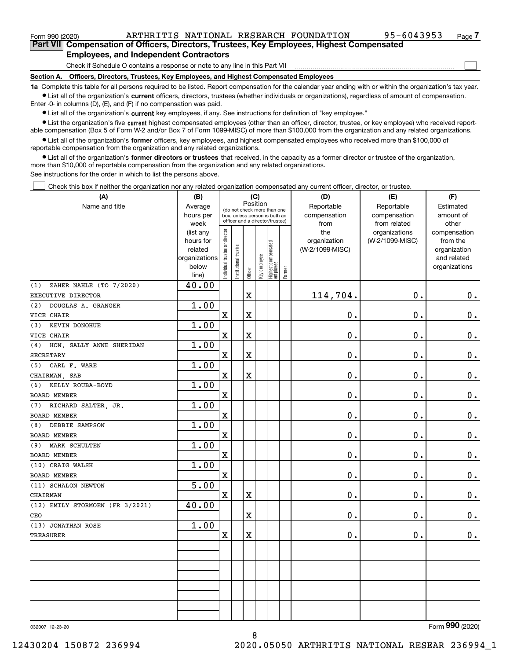$\mathcal{L}^{\text{max}}$ 

**7Part VII Compensation of Officers, Directors, Trustees, Key Employees, Highest Compensated Employees, and Independent Contractors**

Check if Schedule O contains a response or note to any line in this Part VII

**Section A. Officers, Directors, Trustees, Key Employees, and Highest Compensated Employees**

**1a**  Complete this table for all persons required to be listed. Report compensation for the calendar year ending with or within the organization's tax year. **•** List all of the organization's current officers, directors, trustees (whether individuals or organizations), regardless of amount of compensation.

Enter -0- in columns (D), (E), and (F) if no compensation was paid.

 $\bullet$  List all of the organization's  $\,$ current key employees, if any. See instructions for definition of "key employee."

**•** List the organization's five current highest compensated employees (other than an officer, director, trustee, or key employee) who received reportable compensation (Box 5 of Form W-2 and/or Box 7 of Form 1099-MISC) of more than \$100,000 from the organization and any related organizations.

**•** List all of the organization's former officers, key employees, and highest compensated employees who received more than \$100,000 of reportable compensation from the organization and any related organizations.

**former directors or trustees**  ¥ List all of the organization's that received, in the capacity as a former director or trustee of the organization, more than \$10,000 of reportable compensation from the organization and any related organizations.

See instructions for the order in which to list the persons above.

Check this box if neither the organization nor any related organization compensated any current officer, director, or trustee.  $\mathcal{L}^{\text{max}}$ 

| (A)                             | (B)                    |                               |                                                                  |          | (C)          |                                   |        | (D)                 | (E)                              | (F)                      |
|---------------------------------|------------------------|-------------------------------|------------------------------------------------------------------|----------|--------------|-----------------------------------|--------|---------------------|----------------------------------|--------------------------|
| Name and title                  | Average                |                               | (do not check more than one                                      | Position |              |                                   |        | Reportable          | Reportable                       | Estimated                |
|                                 | hours per              |                               | box, unless person is both an<br>officer and a director/trustee) |          |              |                                   |        | compensation        | compensation                     | amount of                |
|                                 | week                   |                               |                                                                  |          |              |                                   |        | from                | from related                     | other                    |
|                                 | (list any<br>hours for |                               |                                                                  |          |              |                                   |        | the<br>organization | organizations<br>(W-2/1099-MISC) | compensation<br>from the |
|                                 | related                |                               |                                                                  |          |              |                                   |        | (W-2/1099-MISC)     |                                  | organization             |
|                                 | organizations          |                               |                                                                  |          |              |                                   |        |                     |                                  | and related              |
|                                 | below                  | ndividual trustee or director | nstitutional trustee                                             |          | Key employee |                                   |        |                     |                                  | organizations            |
|                                 | line)                  |                               |                                                                  | Officer  |              | Highest compensated<br>  employee | Former |                     |                                  |                          |
| ZAHER NAHLE (TO 7/2020)<br>(1)  | 40.00                  |                               |                                                                  |          |              |                                   |        |                     |                                  |                          |
| EXECUTIVE DIRECTOR              |                        |                               |                                                                  | X        |              |                                   |        | 114,704.            | 0.                               | $\mathbf 0$ .            |
| DOUGLAS A. GRANGER<br>(2)       | 1.00                   |                               |                                                                  |          |              |                                   |        |                     |                                  |                          |
| VICE CHAIR                      |                        | $\mathbf x$                   |                                                                  | X        |              |                                   |        | 0.                  | 0.                               | $\mathbf 0$ .            |
| (3)<br>KEVIN DONOHUE            | 1.00                   |                               |                                                                  |          |              |                                   |        |                     |                                  |                          |
| VICE CHAIR                      |                        | $\mathbf X$                   |                                                                  | X        |              |                                   |        | 0.                  | 0.                               | $\mathbf 0$ .            |
| HON. SALLY ANNE SHERIDAN<br>(4) | 1.00                   |                               |                                                                  |          |              |                                   |        |                     |                                  |                          |
| SECRETARY                       |                        | $\mathbf X$                   |                                                                  | X        |              |                                   |        | 0.                  | 0.                               | $\mathbf 0$ .            |
| CARL F. WARE<br>(5)             | 1.00                   |                               |                                                                  |          |              |                                   |        |                     |                                  |                          |
| CHAIRMAN, SAB                   |                        | $\mathbf X$                   |                                                                  | X        |              |                                   |        | $\mathbf 0$ .       | 0.                               | $\mathbf 0$ .            |
| KELLY ROUBA-BOYD<br>(6)         | 1.00                   |                               |                                                                  |          |              |                                   |        |                     |                                  |                          |
| <b>BOARD MEMBER</b>             |                        | $\mathbf X$                   |                                                                  |          |              |                                   |        | 0.                  | 0.                               | 0.                       |
| RICHARD SALTER, JR.<br>(7)      | 1.00                   |                               |                                                                  |          |              |                                   |        |                     |                                  |                          |
| BOARD MEMBER                    |                        | $\mathbf x$                   |                                                                  |          |              |                                   |        | 0.                  | 0.                               | $0$ .                    |
| DEBBIE SAMPSON<br>(8)           | 1.00                   |                               |                                                                  |          |              |                                   |        |                     |                                  |                          |
| <b>BOARD MEMBER</b>             |                        | $\mathbf X$                   |                                                                  |          |              |                                   |        | 0.                  | 0.                               | 0.                       |
| (9) MARK SCHULTEN               | 1.00                   |                               |                                                                  |          |              |                                   |        |                     |                                  |                          |
| BOARD MEMBER                    |                        | $\mathbf x$                   |                                                                  |          |              |                                   |        | $\mathbf 0$ .       | 0.                               | 0.                       |
| (10) CRAIG WALSH                | 1.00                   |                               |                                                                  |          |              |                                   |        |                     |                                  |                          |
| <b>BOARD MEMBER</b>             |                        | $\mathbf X$                   |                                                                  |          |              |                                   |        | $0$ .               | 0.                               | $0$ .                    |
| (11) SCHALON NEWTON             | 5.00                   |                               |                                                                  |          |              |                                   |        |                     |                                  |                          |
| CHAIRMAN                        |                        | $\mathbf X$                   |                                                                  | X        |              |                                   |        | 0.                  | 0.                               | $\mathbf 0$ .            |
| (12) EMILY STORMOEN (FR 3/2021) | 40.00                  |                               |                                                                  |          |              |                                   |        |                     |                                  |                          |
| CEO                             |                        |                               |                                                                  | X        |              |                                   |        | 0.                  | 0.                               | 0.                       |
| (13) JONATHAN ROSE              | 1.00                   |                               |                                                                  |          |              |                                   |        |                     |                                  |                          |
| <b>TREASURER</b>                |                        | $\mathbf X$                   |                                                                  | X        |              |                                   |        | 0.                  | 0.                               | $0_{.}$                  |
|                                 |                        |                               |                                                                  |          |              |                                   |        |                     |                                  |                          |
|                                 |                        |                               |                                                                  |          |              |                                   |        |                     |                                  |                          |
|                                 |                        |                               |                                                                  |          |              |                                   |        |                     |                                  |                          |
|                                 |                        |                               |                                                                  |          |              |                                   |        |                     |                                  |                          |
|                                 |                        |                               |                                                                  |          |              |                                   |        |                     |                                  |                          |
|                                 |                        |                               |                                                                  |          |              |                                   |        |                     |                                  |                          |

8

032007 12-23-20

Form (2020) **990**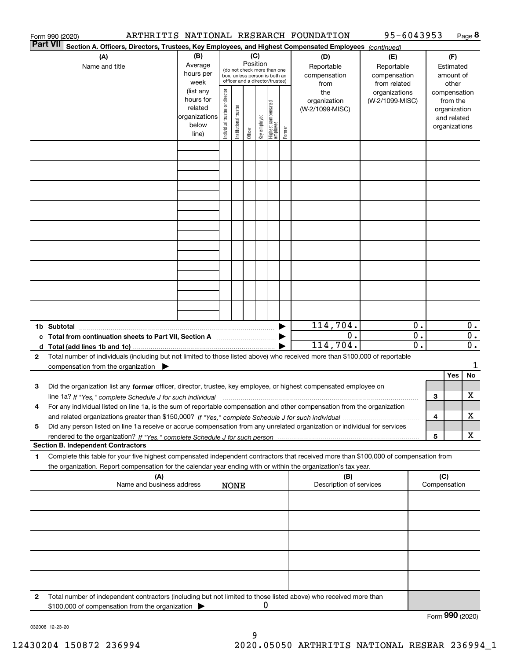| <b>Part VII</b> | Section A. Officers, Directors, Trustees, Key Employees, and Highest Compensated Employees (continued)<br>(A)<br>Name and title                                                                                                                                                                                                                                                                  | (B)<br>Average<br>hours per<br>week                     |                                |                       | (C)     |              |                                  |        | (D)                             | (E)                                        |                                                 |     | (F)                                                      |                        |
|-----------------|--------------------------------------------------------------------------------------------------------------------------------------------------------------------------------------------------------------------------------------------------------------------------------------------------------------------------------------------------------------------------------------------------|---------------------------------------------------------|--------------------------------|-----------------------|---------|--------------|----------------------------------|--------|---------------------------------|--------------------------------------------|-------------------------------------------------|-----|----------------------------------------------------------|------------------------|
|                 |                                                                                                                                                                                                                                                                                                                                                                                                  |                                                         |                                |                       |         |              |                                  |        |                                 |                                            |                                                 |     |                                                          |                        |
|                 | Position<br>Reportable<br>(do not check more than one<br>compensation<br>box, unless person is both an<br>officer and a director/trustee)<br>from<br>(list any<br>the<br>organizations                                                                                                                                                                                                           |                                                         |                                |                       |         |              |                                  |        |                                 | Reportable<br>compensation<br>from related | Estimated<br>amount of<br>other<br>compensation |     |                                                          |                        |
|                 |                                                                                                                                                                                                                                                                                                                                                                                                  | hours for<br>related<br>organizations<br>below<br>line) | Individual trustee or director | Institutional trustee | Officer | Key employee | Highest compensated<br> employee | Former | organization<br>(W-2/1099-MISC) | (W-2/1099-MISC)                            |                                                 |     | from the<br>organization<br>and related<br>organizations |                        |
|                 |                                                                                                                                                                                                                                                                                                                                                                                                  |                                                         |                                |                       |         |              |                                  |        |                                 |                                            |                                                 |     |                                                          |                        |
|                 |                                                                                                                                                                                                                                                                                                                                                                                                  |                                                         |                                |                       |         |              |                                  |        |                                 |                                            |                                                 |     |                                                          |                        |
|                 |                                                                                                                                                                                                                                                                                                                                                                                                  |                                                         |                                |                       |         |              |                                  |        |                                 |                                            |                                                 |     |                                                          |                        |
|                 |                                                                                                                                                                                                                                                                                                                                                                                                  |                                                         |                                |                       |         |              |                                  |        |                                 |                                            |                                                 |     |                                                          |                        |
|                 |                                                                                                                                                                                                                                                                                                                                                                                                  |                                                         |                                |                       |         |              |                                  |        |                                 |                                            |                                                 |     |                                                          |                        |
|                 | 114,704.                                                                                                                                                                                                                                                                                                                                                                                         |                                                         |                                |                       |         |              |                                  |        |                                 | 0.                                         |                                                 |     | $\overline{0}$ .                                         |                        |
|                 | 0.<br>c Total from continuation sheets to Part VII, Section A<br>114,704.                                                                                                                                                                                                                                                                                                                        |                                                         |                                |                       |         |              |                                  |        |                                 |                                            | $\overline{0}$ .<br>0.                          |     |                                                          | $\overline{0}$ .<br>0. |
| $\mathbf{2}$    | Total number of individuals (including but not limited to those listed above) who received more than \$100,000 of reportable<br>compensation from the organization $\blacktriangleright$                                                                                                                                                                                                         |                                                         |                                |                       |         |              |                                  |        |                                 |                                            |                                                 |     | Yes                                                      | 1<br>No                |
| 3               | Did the organization list any former officer, director, trustee, key employee, or highest compensated employee on<br>line 1a? If "Yes," complete Schedule J for such individual manufactured contained and the 1a? If "Yes," complete Schedule J for such individual<br>For any individual listed on line 1a, is the sum of reportable compensation and other compensation from the organization |                                                         |                                |                       |         |              |                                  |        |                                 |                                            |                                                 | 3   |                                                          | X                      |
| 5               | Did any person listed on line 1a receive or accrue compensation from any unrelated organization or individual for services                                                                                                                                                                                                                                                                       |                                                         |                                |                       |         |              |                                  |        |                                 |                                            |                                                 | 4   |                                                          | х                      |
|                 | <b>Section B. Independent Contractors</b>                                                                                                                                                                                                                                                                                                                                                        |                                                         |                                |                       |         |              |                                  |        |                                 |                                            |                                                 | 5   |                                                          | х                      |
| 1               | Complete this table for your five highest compensated independent contractors that received more than \$100,000 of compensation from<br>the organization. Report compensation for the calendar year ending with or within the organization's tax year.                                                                                                                                           |                                                         |                                |                       |         |              |                                  |        |                                 |                                            |                                                 |     |                                                          |                        |
|                 | (A)<br>Name and business address                                                                                                                                                                                                                                                                                                                                                                 |                                                         |                                | <b>NONE</b>           |         |              |                                  |        | (B)<br>Description of services  |                                            |                                                 | (C) | Compensation                                             |                        |
|                 |                                                                                                                                                                                                                                                                                                                                                                                                  |                                                         |                                |                       |         |              |                                  |        |                                 |                                            |                                                 |     |                                                          |                        |
|                 |                                                                                                                                                                                                                                                                                                                                                                                                  |                                                         |                                |                       |         |              |                                  |        |                                 |                                            |                                                 |     |                                                          |                        |
|                 |                                                                                                                                                                                                                                                                                                                                                                                                  |                                                         |                                |                       |         |              |                                  |        |                                 |                                            |                                                 |     |                                                          |                        |
| $\mathbf{2}$    | Total number of independent contractors (including but not limited to those listed above) who received more than<br>\$100,000 of compensation from the organization                                                                                                                                                                                                                              |                                                         |                                |                       |         | 0            |                                  |        |                                 |                                            |                                                 |     |                                                          |                        |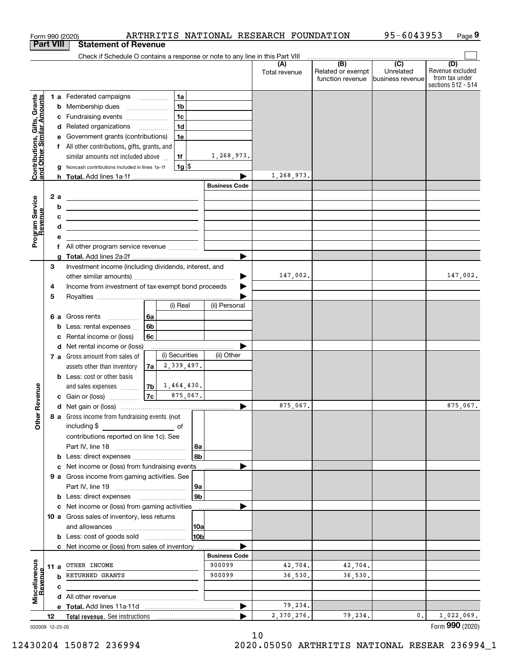|                                                           |                  | Form 990 (2020)                                                                                                                                                                                                                                                                                       |                    |                                | ARTHRITIS NATIONAL RESEARCH FOUNDATION |                                                                                                                                                                                                                                                                                                                                                                                                                                                                                   | 95-6043953                    | Page 9                                                          |
|-----------------------------------------------------------|------------------|-------------------------------------------------------------------------------------------------------------------------------------------------------------------------------------------------------------------------------------------------------------------------------------------------------|--------------------|--------------------------------|----------------------------------------|-----------------------------------------------------------------------------------------------------------------------------------------------------------------------------------------------------------------------------------------------------------------------------------------------------------------------------------------------------------------------------------------------------------------------------------------------------------------------------------|-------------------------------|-----------------------------------------------------------------|
|                                                           | <b>Part VIII</b> | <b>Statement of Revenue</b>                                                                                                                                                                                                                                                                           |                    |                                |                                        |                                                                                                                                                                                                                                                                                                                                                                                                                                                                                   |                               |                                                                 |
|                                                           |                  | Check if Schedule O contains a response or note to any line in this Part VIII                                                                                                                                                                                                                         |                    |                                |                                        | $\begin{array}{c c c c c c} \hline \textbf{(B)} & \textbf{(C)} & \textbf{(D)} & \textbf{(E)} & \textbf{(E)} & \textbf{(E)} & \textbf{(E)} & \textbf{(E)} & \textbf{(E)} & \textbf{(E)} & \textbf{(E)} & \textbf{(E)} & \textbf{(E)} & \textbf{(E)} & \textbf{(E)} & \textbf{(E)} & \textbf{(E)} & \textbf{(E)} & \textbf{(E)} & \textbf{(E)} & \textbf{(E)} & \textbf{(E)} & \textbf{(E)} & \textbf{(E)} & \textbf{(E)} & \textbf{(E)} & \textbf{(E)} & \textbf{(E)} & \textbf{($ |                               |                                                                 |
|                                                           |                  |                                                                                                                                                                                                                                                                                                       |                    |                                | (A)<br>Total revenue                   | Related or exempt<br>function revenue                                                                                                                                                                                                                                                                                                                                                                                                                                             | Unrelated<br>business revenue | (D)<br>Revenue excluded<br>from tax under<br>sections 512 - 514 |
|                                                           |                  | 1 a Federated campaigns                                                                                                                                                                                                                                                                               | 1a                 |                                |                                        |                                                                                                                                                                                                                                                                                                                                                                                                                                                                                   |                               |                                                                 |
|                                                           |                  | <b>b</b> Membership dues                                                                                                                                                                                                                                                                              | 1 <sub>b</sub>     |                                |                                        |                                                                                                                                                                                                                                                                                                                                                                                                                                                                                   |                               |                                                                 |
|                                                           |                  | c Fundraising events                                                                                                                                                                                                                                                                                  | 1 <sub>c</sub>     |                                |                                        |                                                                                                                                                                                                                                                                                                                                                                                                                                                                                   |                               |                                                                 |
|                                                           |                  | d Related organizations                                                                                                                                                                                                                                                                               | 1 <sub>d</sub>     |                                |                                        |                                                                                                                                                                                                                                                                                                                                                                                                                                                                                   |                               |                                                                 |
|                                                           |                  | e Government grants (contributions)                                                                                                                                                                                                                                                                   | 1e                 |                                |                                        |                                                                                                                                                                                                                                                                                                                                                                                                                                                                                   |                               |                                                                 |
|                                                           |                  | f All other contributions, gifts, grants, and                                                                                                                                                                                                                                                         |                    |                                |                                        |                                                                                                                                                                                                                                                                                                                                                                                                                                                                                   |                               |                                                                 |
| Contributions, Gifts, Grants<br>and Other Similar Amounts |                  | similar amounts not included above                                                                                                                                                                                                                                                                    | 1f                 | 1,268,973.                     |                                        |                                                                                                                                                                                                                                                                                                                                                                                                                                                                                   |                               |                                                                 |
|                                                           |                  | Noncash contributions included in lines 1a-1f<br>a                                                                                                                                                                                                                                                    | $1g$ $\frac{1}{3}$ |                                | 1,268,973.                             |                                                                                                                                                                                                                                                                                                                                                                                                                                                                                   |                               |                                                                 |
|                                                           |                  |                                                                                                                                                                                                                                                                                                       |                    | <b>Business Code</b>           |                                        |                                                                                                                                                                                                                                                                                                                                                                                                                                                                                   |                               |                                                                 |
|                                                           | 2 a              |                                                                                                                                                                                                                                                                                                       |                    |                                |                                        |                                                                                                                                                                                                                                                                                                                                                                                                                                                                                   |                               |                                                                 |
|                                                           |                  | <u> 1989 - Johann Harry Harry Harry Harry Harry Harry Harry Harry Harry Harry Harry Harry Harry Harry Harry Harry</u><br>b<br><u> 1989 - Andrea Barbara, amerikan personal (h. 1989).</u>                                                                                                             |                    |                                |                                        |                                                                                                                                                                                                                                                                                                                                                                                                                                                                                   |                               |                                                                 |
|                                                           |                  | с<br><u> 1989 - Johann Harry Harry Harry Harry Harry Harry Harry Harry Harry Harry Harry Harry Harry Harry Harry Harry</u>                                                                                                                                                                            |                    |                                |                                        |                                                                                                                                                                                                                                                                                                                                                                                                                                                                                   |                               |                                                                 |
|                                                           |                  | d<br><u> 1989 - Johann Stein, mars an de Brasilia (b. 1989)</u>                                                                                                                                                                                                                                       |                    |                                |                                        |                                                                                                                                                                                                                                                                                                                                                                                                                                                                                   |                               |                                                                 |
| Program Service<br>Revenue                                |                  | е                                                                                                                                                                                                                                                                                                     |                    |                                |                                        |                                                                                                                                                                                                                                                                                                                                                                                                                                                                                   |                               |                                                                 |
|                                                           |                  | f All other program service revenue                                                                                                                                                                                                                                                                   |                    |                                |                                        |                                                                                                                                                                                                                                                                                                                                                                                                                                                                                   |                               |                                                                 |
|                                                           |                  | a                                                                                                                                                                                                                                                                                                     |                    |                                |                                        |                                                                                                                                                                                                                                                                                                                                                                                                                                                                                   |                               |                                                                 |
|                                                           | З                | Investment income (including dividends, interest, and                                                                                                                                                                                                                                                 |                    |                                |                                        |                                                                                                                                                                                                                                                                                                                                                                                                                                                                                   |                               |                                                                 |
|                                                           |                  |                                                                                                                                                                                                                                                                                                       |                    | ▶                              | 147,002.                               |                                                                                                                                                                                                                                                                                                                                                                                                                                                                                   |                               | 147,002.                                                        |
|                                                           | 4                | Income from investment of tax-exempt bond proceeds                                                                                                                                                                                                                                                    |                    |                                |                                        |                                                                                                                                                                                                                                                                                                                                                                                                                                                                                   |                               |                                                                 |
|                                                           | 5                |                                                                                                                                                                                                                                                                                                       | (i) Real           | (ii) Personal                  |                                        |                                                                                                                                                                                                                                                                                                                                                                                                                                                                                   |                               |                                                                 |
|                                                           |                  | <b>6 a</b> Gross rents<br>l 6a                                                                                                                                                                                                                                                                        |                    |                                |                                        |                                                                                                                                                                                                                                                                                                                                                                                                                                                                                   |                               |                                                                 |
|                                                           |                  | 6 <sub>b</sub><br><b>b</b> Less: rental expenses                                                                                                                                                                                                                                                      |                    |                                |                                        |                                                                                                                                                                                                                                                                                                                                                                                                                                                                                   |                               |                                                                 |
|                                                           |                  | Rental income or (loss)<br>6с<br>c                                                                                                                                                                                                                                                                    |                    |                                |                                        |                                                                                                                                                                                                                                                                                                                                                                                                                                                                                   |                               |                                                                 |
|                                                           |                  | d Net rental income or (loss)                                                                                                                                                                                                                                                                         |                    |                                |                                        |                                                                                                                                                                                                                                                                                                                                                                                                                                                                                   |                               |                                                                 |
|                                                           |                  | 7 a Gross amount from sales of                                                                                                                                                                                                                                                                        | (i) Securities     | (ii) Other                     |                                        |                                                                                                                                                                                                                                                                                                                                                                                                                                                                                   |                               |                                                                 |
|                                                           |                  | assets other than inventory<br>7a                                                                                                                                                                                                                                                                     | 2,339,497.         |                                |                                        |                                                                                                                                                                                                                                                                                                                                                                                                                                                                                   |                               |                                                                 |
|                                                           |                  | <b>b</b> Less: cost or other basis                                                                                                                                                                                                                                                                    |                    |                                |                                        |                                                                                                                                                                                                                                                                                                                                                                                                                                                                                   |                               |                                                                 |
|                                                           |                  | 7b<br>and sales expenses                                                                                                                                                                                                                                                                              | 1,464,430.         |                                |                                        |                                                                                                                                                                                                                                                                                                                                                                                                                                                                                   |                               |                                                                 |
| evenue                                                    |                  | 7c<br>c Gain or (loss)                                                                                                                                                                                                                                                                                | 875,067.           |                                |                                        |                                                                                                                                                                                                                                                                                                                                                                                                                                                                                   |                               |                                                                 |
| Œ                                                         |                  |                                                                                                                                                                                                                                                                                                       |                    |                                | 875,067.                               |                                                                                                                                                                                                                                                                                                                                                                                                                                                                                   |                               | 875,067.                                                        |
| Other                                                     |                  | 8 a Gross income from fundraising events (not<br>including \$<br><u>na mga mga sangangang sa mga sangang sa mga sangang sa mga sangang sa mga sangang sa mga sangang sa mga sangang sa mga sangang sa mga sangang sa mga sangang sa mga sangang sa mga sangang sa mga sangang sa mga sangang sa m</u> |                    |                                |                                        |                                                                                                                                                                                                                                                                                                                                                                                                                                                                                   |                               |                                                                 |
|                                                           |                  | contributions reported on line 1c). See                                                                                                                                                                                                                                                               |                    |                                |                                        |                                                                                                                                                                                                                                                                                                                                                                                                                                                                                   |                               |                                                                 |
|                                                           |                  |                                                                                                                                                                                                                                                                                                       | 8a<br>8b           |                                |                                        |                                                                                                                                                                                                                                                                                                                                                                                                                                                                                   |                               |                                                                 |
|                                                           |                  | <b>b</b> Less: direct expenses <b>constants b</b><br>c Net income or (loss) from fundraising events                                                                                                                                                                                                   |                    |                                |                                        |                                                                                                                                                                                                                                                                                                                                                                                                                                                                                   |                               |                                                                 |
|                                                           |                  | 9 a Gross income from gaming activities. See                                                                                                                                                                                                                                                          |                    |                                |                                        |                                                                                                                                                                                                                                                                                                                                                                                                                                                                                   |                               |                                                                 |
|                                                           |                  |                                                                                                                                                                                                                                                                                                       | 9a                 |                                |                                        |                                                                                                                                                                                                                                                                                                                                                                                                                                                                                   |                               |                                                                 |
|                                                           |                  | <b>b</b> Less: direct expenses <b>manually</b>                                                                                                                                                                                                                                                        | 9b                 |                                |                                        |                                                                                                                                                                                                                                                                                                                                                                                                                                                                                   |                               |                                                                 |
|                                                           |                  | c Net income or (loss) from gaming activities                                                                                                                                                                                                                                                         |                    |                                |                                        |                                                                                                                                                                                                                                                                                                                                                                                                                                                                                   |                               |                                                                 |
|                                                           |                  | 10 a Gross sales of inventory, less returns                                                                                                                                                                                                                                                           |                    |                                |                                        |                                                                                                                                                                                                                                                                                                                                                                                                                                                                                   |                               |                                                                 |
|                                                           |                  |                                                                                                                                                                                                                                                                                                       | 10a                |                                |                                        |                                                                                                                                                                                                                                                                                                                                                                                                                                                                                   |                               |                                                                 |
|                                                           |                  | <b>b</b> Less: cost of goods sold                                                                                                                                                                                                                                                                     | 10b                |                                |                                        |                                                                                                                                                                                                                                                                                                                                                                                                                                                                                   |                               |                                                                 |
|                                                           |                  | c Net income or (loss) from sales of inventory                                                                                                                                                                                                                                                        |                    |                                |                                        |                                                                                                                                                                                                                                                                                                                                                                                                                                                                                   |                               |                                                                 |
|                                                           |                  | 11 a OTHER INCOME                                                                                                                                                                                                                                                                                     |                    | <b>Business Code</b><br>900099 | 42,704.                                | 42,704.                                                                                                                                                                                                                                                                                                                                                                                                                                                                           |                               |                                                                 |
|                                                           |                  | <b>b</b> RETURNED GRANTS                                                                                                                                                                                                                                                                              |                    | 900099                         | 36,530.                                | 36,530.                                                                                                                                                                                                                                                                                                                                                                                                                                                                           |                               |                                                                 |
| Miscellaneous<br>Revenue                                  |                  | с                                                                                                                                                                                                                                                                                                     |                    |                                |                                        |                                                                                                                                                                                                                                                                                                                                                                                                                                                                                   |                               |                                                                 |
|                                                           |                  |                                                                                                                                                                                                                                                                                                       |                    |                                |                                        |                                                                                                                                                                                                                                                                                                                                                                                                                                                                                   |                               |                                                                 |
|                                                           |                  |                                                                                                                                                                                                                                                                                                       |                    |                                | 79,234.                                |                                                                                                                                                                                                                                                                                                                                                                                                                                                                                   |                               |                                                                 |
|                                                           | 12               | Total revenue. See instructions                                                                                                                                                                                                                                                                       |                    |                                | 2,370,276.                             | 79,234.                                                                                                                                                                                                                                                                                                                                                                                                                                                                           | 0.                            | 1,022,069.                                                      |
| 032009 12-23-20                                           |                  |                                                                                                                                                                                                                                                                                                       |                    |                                |                                        |                                                                                                                                                                                                                                                                                                                                                                                                                                                                                   |                               | Form 990 (2020)                                                 |

032009 12-23-20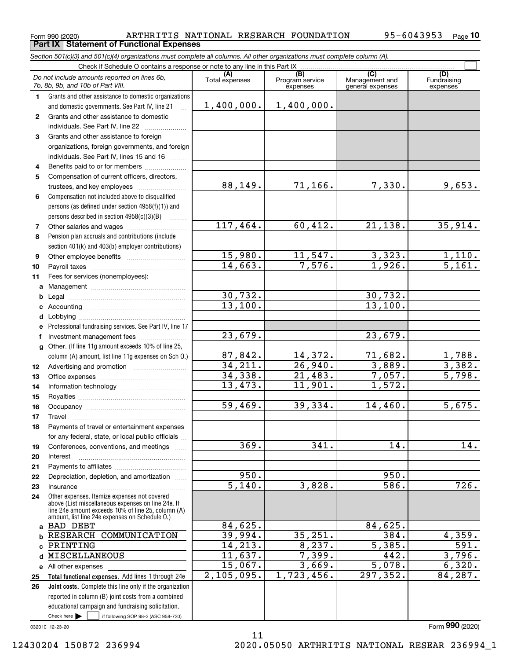**Part IX Statement of Functional Expenses**

Form 990 (2020) ARTHRITIS NATIONAL RESEARCH FOUNDATION 95-6043953 <sub>Page</sub>

|              | Section 501(c)(3) and 501(c)(4) organizations must complete all columns. All other organizations must complete column (A).                                                                                 |                           |                                    |                                           |                                |
|--------------|------------------------------------------------------------------------------------------------------------------------------------------------------------------------------------------------------------|---------------------------|------------------------------------|-------------------------------------------|--------------------------------|
|              | Check if Schedule O contains a response or note to any line in this Part IX                                                                                                                                |                           |                                    |                                           |                                |
|              | Do not include amounts reported on lines 6b,<br>7b, 8b, 9b, and 10b of Part VIII.                                                                                                                          | (A)<br>Total expenses     | (B)<br>Program service<br>expenses | (C)<br>Management and<br>general expenses | (D)<br>Fundraising<br>expenses |
| $\mathbf{1}$ | Grants and other assistance to domestic organizations                                                                                                                                                      |                           |                                    |                                           |                                |
|              | and domestic governments. See Part IV, line 21                                                                                                                                                             | 1,400,000.                | 1,400,000.                         |                                           |                                |
| $\mathbf{2}$ | Grants and other assistance to domestic                                                                                                                                                                    |                           |                                    |                                           |                                |
|              | individuals. See Part IV, line 22                                                                                                                                                                          |                           |                                    |                                           |                                |
| 3            | Grants and other assistance to foreign                                                                                                                                                                     |                           |                                    |                                           |                                |
|              | organizations, foreign governments, and foreign                                                                                                                                                            |                           |                                    |                                           |                                |
|              | individuals. See Part IV, lines 15 and 16                                                                                                                                                                  |                           |                                    |                                           |                                |
| 4            | Benefits paid to or for members                                                                                                                                                                            |                           |                                    |                                           |                                |
| 5            | Compensation of current officers, directors,                                                                                                                                                               |                           |                                    |                                           |                                |
|              |                                                                                                                                                                                                            | 88,149.                   | 71,166.                            | 7,330.                                    | 9,653.                         |
| 6            | Compensation not included above to disqualified                                                                                                                                                            |                           |                                    |                                           |                                |
|              | persons (as defined under section 4958(f)(1)) and                                                                                                                                                          |                           |                                    |                                           |                                |
|              | persons described in section 4958(c)(3)(B)                                                                                                                                                                 |                           |                                    |                                           |                                |
| 7            |                                                                                                                                                                                                            | 117,464.                  | 60,412.                            | $\overline{21,138}$ .                     | 35,914.                        |
| 8            | Pension plan accruals and contributions (include                                                                                                                                                           |                           |                                    |                                           |                                |
|              | section 401(k) and 403(b) employer contributions)                                                                                                                                                          |                           |                                    |                                           |                                |
| 9            |                                                                                                                                                                                                            | 15,980.                   | 11, 547.                           | 3,323.                                    | $\frac{1,110.5}$<br>5,161.     |
| 10           |                                                                                                                                                                                                            | 14,663.                   | 7,576.                             | 1,926.                                    |                                |
| 11           | Fees for services (nonemployees):                                                                                                                                                                          |                           |                                    |                                           |                                |
| a            |                                                                                                                                                                                                            |                           |                                    |                                           |                                |
| b            |                                                                                                                                                                                                            | $\frac{30,732}{13,100}$ . |                                    | 30,732.<br>13,100.                        |                                |
| c            |                                                                                                                                                                                                            |                           |                                    |                                           |                                |
| d            |                                                                                                                                                                                                            |                           |                                    |                                           |                                |
|              | Professional fundraising services. See Part IV, line 17                                                                                                                                                    | 23,679.                   |                                    | 23,679.                                   |                                |
| f            | Investment management fees                                                                                                                                                                                 |                           |                                    |                                           |                                |
| $\mathbf{q}$ | Other. (If line 11g amount exceeds 10% of line 25,                                                                                                                                                         | 87,842.                   | 14,372.                            | 71,682.                                   |                                |
|              | column (A) amount, list line 11g expenses on Sch O.)                                                                                                                                                       | 34,211.                   | 26,940.                            | 3,889.                                    | $\frac{1,788}{3,382}$ .        |
| 12           |                                                                                                                                                                                                            | 34,338.                   | 21,483.                            | 7,057.                                    | 5,798.                         |
| 13           |                                                                                                                                                                                                            | 13,473.                   | 11,901.                            | $\overline{1,572.}$                       |                                |
| 14<br>15     |                                                                                                                                                                                                            |                           |                                    |                                           |                                |
| 16           |                                                                                                                                                                                                            | 59,469.                   | 39,334.                            | 14,460.                                   | 5,675.                         |
| 17           |                                                                                                                                                                                                            |                           |                                    |                                           |                                |
| 18           | Payments of travel or entertainment expenses                                                                                                                                                               |                           |                                    |                                           |                                |
|              | for any federal, state, or local public officials                                                                                                                                                          |                           |                                    |                                           |                                |
| 19           | Conferences, conventions, and meetings                                                                                                                                                                     | 369.                      | 341.                               | 14.                                       | 14.                            |
| 20           | Interest                                                                                                                                                                                                   |                           |                                    |                                           |                                |
| 21           |                                                                                                                                                                                                            |                           |                                    |                                           |                                |
| 22           | Depreciation, depletion, and amortization                                                                                                                                                                  | 950.                      |                                    | 950.                                      |                                |
| 23           | Insurance                                                                                                                                                                                                  | $\overline{5,140}$ .      | 3,828.                             | 586.                                      | $\overline{726}$ .             |
| 24           | Other expenses. Itemize expenses not covered<br>above (List miscellaneous expenses on line 24e. If<br>line 24e amount exceeds 10% of line 25, column (A)<br>amount, list line 24e expenses on Schedule O.) |                           |                                    |                                           |                                |
| a            | BAD DEBT                                                                                                                                                                                                   | 84,625.                   |                                    | 84,625.                                   |                                |
| b            | RESEARCH COMMUNICATION                                                                                                                                                                                     | 39,994.                   | 35, 251.                           | 384.                                      | 4,359.                         |
| C            | PRINTING                                                                                                                                                                                                   | 14,213.                   | 8, 237.                            | 5,385.                                    | 591.                           |
| d            | <b>MISCELLANEOUS</b>                                                                                                                                                                                       | 11,637.                   | 7,399.                             | 442.                                      | 3,796.                         |
| е            | All other expenses                                                                                                                                                                                         | 15,067.                   | 3,669.                             | 5,078.                                    | 6,320.                         |
| 25           | Total functional expenses. Add lines 1 through 24e                                                                                                                                                         | 2, 105, 095.              | 1,723,456.                         | 297, 352.                                 | 84,287.                        |
| 26           | Joint costs. Complete this line only if the organization                                                                                                                                                   |                           |                                    |                                           |                                |
|              | reported in column (B) joint costs from a combined                                                                                                                                                         |                           |                                    |                                           |                                |
|              | educational campaign and fundraising solicitation.                                                                                                                                                         |                           |                                    |                                           |                                |
|              | Check here $\blacktriangleright$<br>if following SOP 98-2 (ASC 958-720)                                                                                                                                    |                           |                                    |                                           |                                |

11

032010 12-23-20

12430204 150872 236994 2020.05050 ARTHRITIS NATIONAL RESEAR 236994\_1

Form (2020) **990**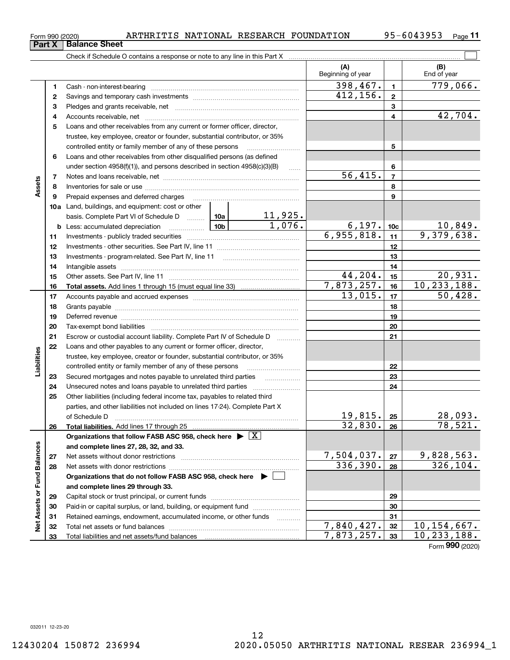**Part X Balance Sheet**<br>**Part X Balance Sheet** 

## Form 990 (2020) ARTHRITIS NATIONAL RESEARCH FOUNDATION 95-6043953 <sub>Page</sub>

**11**

|                             |          |                                                                                                                                                                                                                                |                          | (A)<br>Beginning of year    |                         | (B)<br>End of year             |
|-----------------------------|----------|--------------------------------------------------------------------------------------------------------------------------------------------------------------------------------------------------------------------------------|--------------------------|-----------------------------|-------------------------|--------------------------------|
|                             | 1        |                                                                                                                                                                                                                                |                          | 398,467.                    | $\mathbf{1}$            | $\overline{779,066}$ .         |
|                             | 2        |                                                                                                                                                                                                                                |                          | 412, 156.                   | $\mathbf{2}$            |                                |
|                             | 3        |                                                                                                                                                                                                                                |                          |                             | 3                       |                                |
|                             | 4        |                                                                                                                                                                                                                                |                          |                             | 4                       | 42,704.                        |
|                             | 5        | Loans and other receivables from any current or former officer, director,                                                                                                                                                      |                          |                             |                         |                                |
|                             |          | trustee, key employee, creator or founder, substantial contributor, or 35%                                                                                                                                                     |                          |                             |                         |                                |
|                             |          | controlled entity or family member of any of these persons                                                                                                                                                                     |                          |                             | 5                       |                                |
|                             | 6        | Loans and other receivables from other disqualified persons (as defined                                                                                                                                                        |                          |                             |                         |                                |
|                             |          | under section $4958(f)(1)$ , and persons described in section $4958(c)(3)(B)$                                                                                                                                                  | $\ldots$                 |                             | 6                       |                                |
|                             | 7        |                                                                                                                                                                                                                                |                          | 56,415.                     | $\overline{\mathbf{r}}$ |                                |
| Assets                      | 8        |                                                                                                                                                                                                                                |                          |                             | 8                       |                                |
|                             | 9        | Prepaid expenses and deferred charges                                                                                                                                                                                          |                          |                             | 9                       |                                |
|                             |          | <b>10a</b> Land, buildings, and equipment: cost or other                                                                                                                                                                       |                          |                             |                         |                                |
|                             |          | basis. Complete Part VI of Schedule D  10a                                                                                                                                                                                     |                          |                             |                         |                                |
|                             |          | <b>b</b> Less: accumulated depreciation                                                                                                                                                                                        | $\frac{11,925}{1,076}$ . | $\frac{6,197.}{6,955,818.}$ | 10 <sub>c</sub>         | $\frac{10,849.}{9,379,638.}$   |
|                             | 11       |                                                                                                                                                                                                                                |                          |                             | 11                      |                                |
|                             | 12       |                                                                                                                                                                                                                                |                          | 12                          |                         |                                |
|                             | 13       |                                                                                                                                                                                                                                |                          | 13                          |                         |                                |
|                             | 14       |                                                                                                                                                                                                                                |                          | 14                          |                         |                                |
|                             | 15       |                                                                                                                                                                                                                                |                          | 44,204.                     | 15                      | 20,931.                        |
|                             | 16       |                                                                                                                                                                                                                                |                          | 7,873,257.                  | 16                      | 10, 233, 188.                  |
|                             | 17       |                                                                                                                                                                                                                                |                          | 13,015.                     | 17                      | 50,428.                        |
|                             | 18       |                                                                                                                                                                                                                                |                          |                             | 18                      |                                |
|                             | 19       | Deferred revenue manual contracts and contracts are all the contracts and contracts are contracted and contracts are contracted and contract are contracted and contract are contracted and contract are contracted and contra |                          | 19                          |                         |                                |
|                             | 20       |                                                                                                                                                                                                                                |                          | 20                          |                         |                                |
|                             | 21       | Escrow or custodial account liability. Complete Part IV of Schedule D                                                                                                                                                          |                          | 21                          |                         |                                |
|                             | 22       | Loans and other payables to any current or former officer, director,                                                                                                                                                           |                          |                             |                         |                                |
|                             |          | trustee, key employee, creator or founder, substantial contributor, or 35%                                                                                                                                                     |                          |                             |                         |                                |
| Liabilities                 |          | controlled entity or family member of any of these persons                                                                                                                                                                     |                          |                             | 22                      |                                |
|                             | 23       | Secured mortgages and notes payable to unrelated third parties                                                                                                                                                                 |                          |                             | 23                      |                                |
|                             | 24       |                                                                                                                                                                                                                                |                          |                             | 24                      |                                |
|                             | 25       | Other liabilities (including federal income tax, payables to related third                                                                                                                                                     |                          |                             |                         |                                |
|                             |          | parties, and other liabilities not included on lines 17-24). Complete Part X                                                                                                                                                   |                          |                             |                         |                                |
|                             |          | of Schedule D                                                                                                                                                                                                                  |                          | 19,815.                     | 25                      | 28,093.                        |
|                             | 26       | Total liabilities. Add lines 17 through 25                                                                                                                                                                                     |                          | 32,830.                     | 26                      | 78,521.                        |
|                             |          | Organizations that follow FASB ASC 958, check here $\blacktriangleright \lfloor X \rfloor$                                                                                                                                     |                          |                             |                         |                                |
|                             |          | and complete lines 27, 28, 32, and 33.                                                                                                                                                                                         |                          |                             |                         |                                |
|                             | 27       |                                                                                                                                                                                                                                |                          | 7,504,037.<br>336,390.      | 27<br>28                | <u>9,828,563.</u><br>326, 104. |
|                             | 28       |                                                                                                                                                                                                                                |                          |                             |                         |                                |
|                             |          | Organizations that do not follow FASB ASC 958, check here ▶ □                                                                                                                                                                  |                          |                             |                         |                                |
|                             |          | and complete lines 29 through 33.                                                                                                                                                                                              |                          |                             |                         |                                |
|                             | 29       |                                                                                                                                                                                                                                |                          |                             | 29<br>30                |                                |
|                             | 30<br>31 | Paid-in or capital surplus, or land, building, or equipment fund<br>Retained earnings, endowment, accumulated income, or other funds                                                                                           |                          |                             | 31                      |                                |
| Net Assets or Fund Balances | 32       |                                                                                                                                                                                                                                |                          | $\overline{7,840}$ , 427.   | 32                      | 10, 154, 667.                  |
|                             | 33       |                                                                                                                                                                                                                                |                          | 7,873,257.                  | 33                      | 10, 233, 188.                  |
|                             |          |                                                                                                                                                                                                                                |                          |                             |                         |                                |

Form (2020) **990**

032011 12-23-20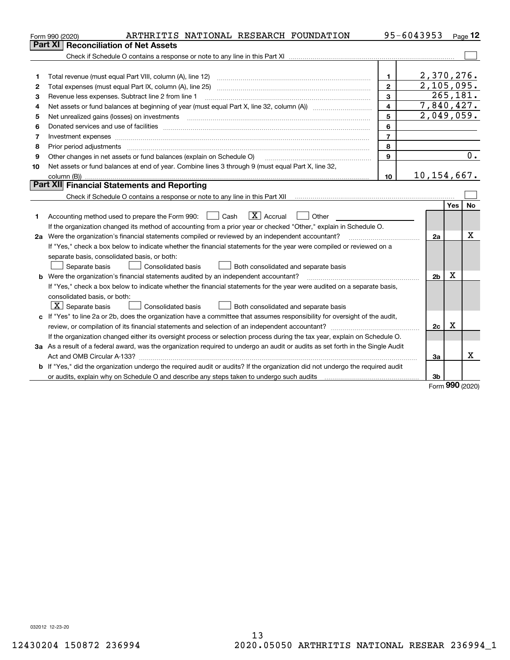| Form 990 (2020) | ARTHRITIS NATIONAL RESEARCH FOUNDATION                                                                                          |                         | 95-6043953     |           | Page 12          |
|-----------------|---------------------------------------------------------------------------------------------------------------------------------|-------------------------|----------------|-----------|------------------|
| Part XI         | <b>Reconciliation of Net Assets</b>                                                                                             |                         |                |           |                  |
|                 |                                                                                                                                 |                         |                |           |                  |
|                 |                                                                                                                                 |                         |                |           |                  |
| 1               | Total revenue (must equal Part VIII, column (A), line 12)                                                                       | 1.                      | 2,370,276.     |           |                  |
| 2               |                                                                                                                                 | $\overline{2}$          | 2,105,095.     |           |                  |
| 3               | Revenue less expenses. Subtract line 2 from line 1                                                                              | 3                       |                | 265, 181. |                  |
| 4               |                                                                                                                                 | $\overline{\mathbf{4}}$ | 7,840,427.     |           |                  |
| 5               |                                                                                                                                 | 5                       | 2,049,059.     |           |                  |
| 6               |                                                                                                                                 | 6                       |                |           |                  |
| 7               |                                                                                                                                 | $\overline{7}$          |                |           |                  |
| 8               | Prior period adjustments                                                                                                        | 8                       |                |           |                  |
| 9               | Other changes in net assets or fund balances (explain on Schedule O)                                                            | 9                       |                |           | $\overline{0}$ . |
| 10              | Net assets or fund balances at end of year. Combine lines 3 through 9 (must equal Part X, line 32,                              |                         |                |           |                  |
|                 |                                                                                                                                 | 10                      | 10, 154, 667.  |           |                  |
|                 | Part XII Financial Statements and Reporting                                                                                     |                         |                |           |                  |
|                 |                                                                                                                                 |                         |                |           |                  |
|                 |                                                                                                                                 |                         |                | Yes       | <b>No</b>        |
| 1.              | $\boxed{\mathbf{X}}$ Accrual<br>Accounting method used to prepare the Form 990: <u>June</u> Cash<br>Other                       |                         |                |           |                  |
|                 | If the organization changed its method of accounting from a prior year or checked "Other," explain in Schedule O.               |                         |                |           |                  |
|                 | 2a Were the organization's financial statements compiled or reviewed by an independent accountant?                              |                         | 2a             |           | x                |
|                 | If "Yes," check a box below to indicate whether the financial statements for the year were compiled or reviewed on a            |                         |                |           |                  |
|                 | separate basis, consolidated basis, or both:                                                                                    |                         |                |           |                  |
|                 | Separate basis<br>Consolidated basis<br>Both consolidated and separate basis                                                    |                         |                |           |                  |
|                 | <b>b</b> Were the organization's financial statements audited by an independent accountant?                                     |                         | 2 <sub>b</sub> | x         |                  |
|                 | If "Yes," check a box below to indicate whether the financial statements for the year were audited on a separate basis,         |                         |                |           |                  |
|                 | consolidated basis, or both:                                                                                                    |                         |                |           |                  |
|                 | $ \mathbf{X} $ Separate basis<br>Consolidated basis<br>Both consolidated and separate basis                                     |                         |                |           |                  |
|                 | c If "Yes" to line 2a or 2b, does the organization have a committee that assumes responsibility for oversight of the audit,     |                         |                |           |                  |
|                 |                                                                                                                                 |                         | 2c             | x         |                  |
|                 | If the organization changed either its oversight process or selection process during the tax year, explain on Schedule O.       |                         |                |           |                  |
|                 | 3a As a result of a federal award, was the organization required to undergo an audit or audits as set forth in the Single Audit |                         |                |           |                  |
|                 |                                                                                                                                 |                         | За             |           | Χ                |
|                 | b If "Yes," did the organization undergo the required audit or audits? If the organization did not undergo the required audit   |                         |                |           |                  |
|                 |                                                                                                                                 |                         | 3 <sub>b</sub> |           |                  |

Form (2020) **990**

032012 12-23-20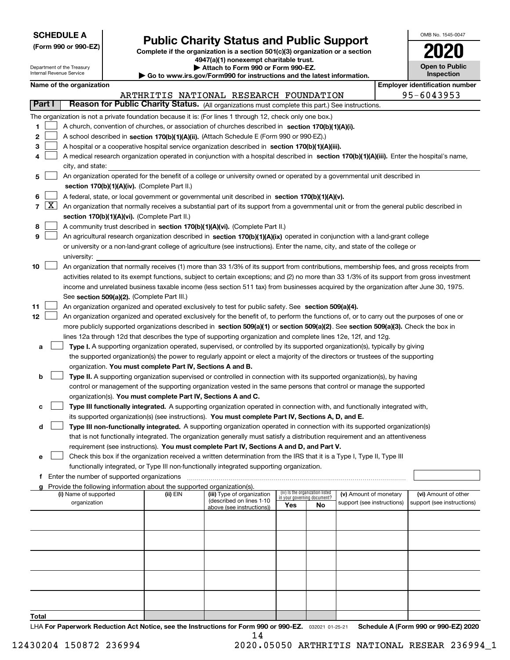| <b>SCHEDULE A</b> |  |
|-------------------|--|
|-------------------|--|

**(Form 990 or 990-EZ)**

# **Public Charity Status and Public Support**

**Complete if the organization is a section 501(c)(3) organization or a section 4947(a)(1) nonexempt charitable trust. | Attach to Form 990 or Form 990-EZ.** 

|  |  |  |  | ▸ Go to www.irs.gov/Form990 for instructions and the latest information. |  |  |  |
|--|--|--|--|--------------------------------------------------------------------------|--|--|--|
|--|--|--|--|--------------------------------------------------------------------------|--|--|--|

| OMB No 1545-0047                    |
|-------------------------------------|
| 1120                                |
| <b>Open to Public</b><br>Inspection |

|       |                     | Department of the Treasury<br>Internal Revenue Service |                                                                        | ▶ Attach to Form 990 or Form 990-EZ.<br>Go to www.irs.gov/Form990 for instructions and the latest information.                                                                                                                                  |     |                                                                |                                                      |                                                    | <b>Open to Public</b><br><b>Inspection</b> |
|-------|---------------------|--------------------------------------------------------|------------------------------------------------------------------------|-------------------------------------------------------------------------------------------------------------------------------------------------------------------------------------------------------------------------------------------------|-----|----------------------------------------------------------------|------------------------------------------------------|----------------------------------------------------|--------------------------------------------|
|       |                     | Name of the organization                               |                                                                        |                                                                                                                                                                                                                                                 |     |                                                                |                                                      | <b>Employer identification number</b>              |                                            |
|       |                     |                                                        |                                                                        | ARTHRITIS NATIONAL RESEARCH FOUNDATION                                                                                                                                                                                                          |     |                                                                |                                                      | 95-6043953                                         |                                            |
|       | Part I              |                                                        |                                                                        | Reason for Public Charity Status. (All organizations must complete this part.) See instructions.                                                                                                                                                |     |                                                                |                                                      |                                                    |                                            |
|       |                     |                                                        |                                                                        | The organization is not a private foundation because it is: (For lines 1 through 12, check only one box.)                                                                                                                                       |     |                                                                |                                                      |                                                    |                                            |
| 1     |                     |                                                        |                                                                        | A church, convention of churches, or association of churches described in section 170(b)(1)(A)(i).                                                                                                                                              |     |                                                                |                                                      |                                                    |                                            |
| 2     |                     |                                                        |                                                                        | A school described in section 170(b)(1)(A)(ii). (Attach Schedule E (Form 990 or 990-EZ).)                                                                                                                                                       |     |                                                                |                                                      |                                                    |                                            |
| 3     |                     |                                                        |                                                                        | A hospital or a cooperative hospital service organization described in section 170(b)(1)(A)(iii).                                                                                                                                               |     |                                                                |                                                      |                                                    |                                            |
| 4     |                     |                                                        |                                                                        | A medical research organization operated in conjunction with a hospital described in section 170(b)(1)(A)(iii). Enter the hospital's name,                                                                                                      |     |                                                                |                                                      |                                                    |                                            |
|       |                     | city, and state:                                       |                                                                        |                                                                                                                                                                                                                                                 |     |                                                                |                                                      |                                                    |                                            |
| 5     |                     |                                                        |                                                                        | An organization operated for the benefit of a college or university owned or operated by a governmental unit described in                                                                                                                       |     |                                                                |                                                      |                                                    |                                            |
|       |                     |                                                        | section 170(b)(1)(A)(iv). (Complete Part II.)                          |                                                                                                                                                                                                                                                 |     |                                                                |                                                      |                                                    |                                            |
| 6     |                     |                                                        |                                                                        | A federal, state, or local government or governmental unit described in section 170(b)(1)(A)(v).                                                                                                                                                |     |                                                                |                                                      |                                                    |                                            |
| 7     | $\lfloor x \rfloor$ |                                                        |                                                                        | An organization that normally receives a substantial part of its support from a governmental unit or from the general public described in                                                                                                       |     |                                                                |                                                      |                                                    |                                            |
|       |                     |                                                        | section 170(b)(1)(A)(vi). (Complete Part II.)                          |                                                                                                                                                                                                                                                 |     |                                                                |                                                      |                                                    |                                            |
| 8     |                     |                                                        |                                                                        | A community trust described in section 170(b)(1)(A)(vi). (Complete Part II.)                                                                                                                                                                    |     |                                                                |                                                      |                                                    |                                            |
| 9     |                     |                                                        |                                                                        | An agricultural research organization described in section 170(b)(1)(A)(ix) operated in conjunction with a land-grant college                                                                                                                   |     |                                                                |                                                      |                                                    |                                            |
|       |                     |                                                        |                                                                        | or university or a non-land-grant college of agriculture (see instructions). Enter the name, city, and state of the college or                                                                                                                  |     |                                                                |                                                      |                                                    |                                            |
|       |                     | university:                                            |                                                                        |                                                                                                                                                                                                                                                 |     |                                                                |                                                      |                                                    |                                            |
| 10    |                     |                                                        |                                                                        | An organization that normally receives (1) more than 33 1/3% of its support from contributions, membership fees, and gross receipts from                                                                                                        |     |                                                                |                                                      |                                                    |                                            |
|       |                     |                                                        |                                                                        | activities related to its exempt functions, subject to certain exceptions; and (2) no more than 33 1/3% of its support from gross investment                                                                                                    |     |                                                                |                                                      |                                                    |                                            |
|       |                     |                                                        |                                                                        | income and unrelated business taxable income (less section 511 tax) from businesses acquired by the organization after June 30, 1975.                                                                                                           |     |                                                                |                                                      |                                                    |                                            |
|       |                     |                                                        | See section 509(a)(2). (Complete Part III.)                            |                                                                                                                                                                                                                                                 |     |                                                                |                                                      |                                                    |                                            |
| 11    |                     |                                                        |                                                                        | An organization organized and operated exclusively to test for public safety. See section 509(a)(4).                                                                                                                                            |     |                                                                |                                                      |                                                    |                                            |
| 12    |                     |                                                        |                                                                        | An organization organized and operated exclusively for the benefit of, to perform the functions of, or to carry out the purposes of one or                                                                                                      |     |                                                                |                                                      |                                                    |                                            |
|       |                     |                                                        |                                                                        | more publicly supported organizations described in section 509(a)(1) or section 509(a)(2). See section 509(a)(3). Check the box in                                                                                                              |     |                                                                |                                                      |                                                    |                                            |
|       |                     |                                                        |                                                                        | lines 12a through 12d that describes the type of supporting organization and complete lines 12e, 12f, and 12g.                                                                                                                                  |     |                                                                |                                                      |                                                    |                                            |
| а     |                     |                                                        |                                                                        | Type I. A supporting organization operated, supervised, or controlled by its supported organization(s), typically by giving                                                                                                                     |     |                                                                |                                                      |                                                    |                                            |
|       |                     |                                                        |                                                                        | the supported organization(s) the power to regularly appoint or elect a majority of the directors or trustees of the supporting                                                                                                                 |     |                                                                |                                                      |                                                    |                                            |
|       |                     |                                                        | organization. You must complete Part IV, Sections A and B.             |                                                                                                                                                                                                                                                 |     |                                                                |                                                      |                                                    |                                            |
| b     |                     |                                                        |                                                                        | Type II. A supporting organization supervised or controlled in connection with its supported organization(s), by having<br>control or management of the supporting organization vested in the same persons that control or manage the supported |     |                                                                |                                                      |                                                    |                                            |
|       |                     |                                                        |                                                                        | organization(s). You must complete Part IV, Sections A and C.                                                                                                                                                                                   |     |                                                                |                                                      |                                                    |                                            |
| с     |                     |                                                        |                                                                        | Type III functionally integrated. A supporting organization operated in connection with, and functionally integrated with,                                                                                                                      |     |                                                                |                                                      |                                                    |                                            |
|       |                     |                                                        |                                                                        | its supported organization(s) (see instructions). You must complete Part IV, Sections A, D, and E.                                                                                                                                              |     |                                                                |                                                      |                                                    |                                            |
| d     |                     |                                                        |                                                                        | Type III non-functionally integrated. A supporting organization operated in connection with its supported organization(s)                                                                                                                       |     |                                                                |                                                      |                                                    |                                            |
|       |                     |                                                        |                                                                        | that is not functionally integrated. The organization generally must satisfy a distribution requirement and an attentiveness                                                                                                                    |     |                                                                |                                                      |                                                    |                                            |
|       |                     |                                                        |                                                                        | requirement (see instructions). You must complete Part IV, Sections A and D, and Part V.                                                                                                                                                        |     |                                                                |                                                      |                                                    |                                            |
| е     |                     |                                                        |                                                                        | Check this box if the organization received a written determination from the IRS that it is a Type I, Type II, Type III                                                                                                                         |     |                                                                |                                                      |                                                    |                                            |
|       |                     |                                                        |                                                                        | functionally integrated, or Type III non-functionally integrated supporting organization.                                                                                                                                                       |     |                                                                |                                                      |                                                    |                                            |
| f     |                     | Enter the number of supported organizations            |                                                                        |                                                                                                                                                                                                                                                 |     |                                                                |                                                      |                                                    |                                            |
| a     |                     |                                                        | Provide the following information about the supported organization(s). |                                                                                                                                                                                                                                                 |     |                                                                |                                                      |                                                    |                                            |
|       |                     | (i) Name of supported<br>organization                  | (ii) EIN                                                               | (iii) Type of organization<br>(described on lines 1-10                                                                                                                                                                                          |     | (iv) Is the organization listed<br>in your governing document? | (v) Amount of monetary<br>support (see instructions) | (vi) Amount of other<br>support (see instructions) |                                            |
|       |                     |                                                        |                                                                        | above (see instructions))                                                                                                                                                                                                                       | Yes | No                                                             |                                                      |                                                    |                                            |
|       |                     |                                                        |                                                                        |                                                                                                                                                                                                                                                 |     |                                                                |                                                      |                                                    |                                            |
|       |                     |                                                        |                                                                        |                                                                                                                                                                                                                                                 |     |                                                                |                                                      |                                                    |                                            |
|       |                     |                                                        |                                                                        |                                                                                                                                                                                                                                                 |     |                                                                |                                                      |                                                    |                                            |
|       |                     |                                                        |                                                                        |                                                                                                                                                                                                                                                 |     |                                                                |                                                      |                                                    |                                            |
|       |                     |                                                        |                                                                        |                                                                                                                                                                                                                                                 |     |                                                                |                                                      |                                                    |                                            |
|       |                     |                                                        |                                                                        |                                                                                                                                                                                                                                                 |     |                                                                |                                                      |                                                    |                                            |
|       |                     |                                                        |                                                                        |                                                                                                                                                                                                                                                 |     |                                                                |                                                      |                                                    |                                            |
|       |                     |                                                        |                                                                        |                                                                                                                                                                                                                                                 |     |                                                                |                                                      |                                                    |                                            |
|       |                     |                                                        |                                                                        |                                                                                                                                                                                                                                                 |     |                                                                |                                                      |                                                    |                                            |
| Total |                     |                                                        |                                                                        |                                                                                                                                                                                                                                                 |     |                                                                |                                                      |                                                    |                                            |

LHA For Paperwork Reduction Act Notice, see the Instructions for Form 990 or 990-EZ. <sub>032021</sub> o1-25-21 Schedule A (Form 990 or 990-EZ) 2020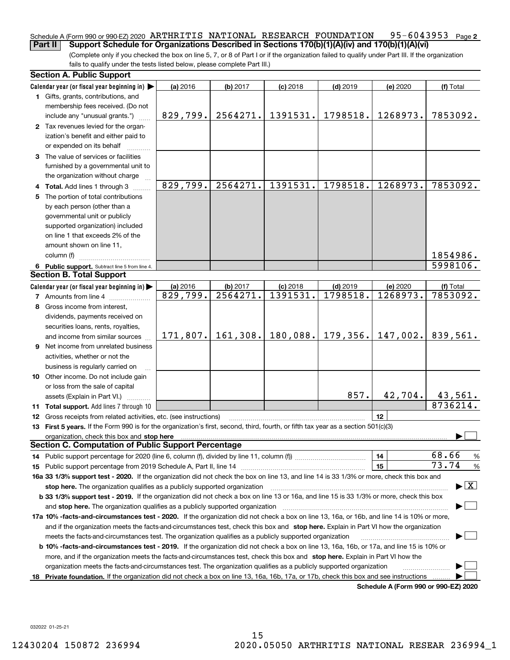#### 95-6043953 Page 2 Schedule A (Form 990 or 990-EZ) 2020  $\,$ ARTHRITIS  $\,$  NATIONAL RESEARCH <code>FOUNDATION 95-6043953</code> <code>Page</code> **Part II Support Schedule for Organizations Described in Sections 170(b)(1)(A)(iv) and 170(b)(1)(A)(vi)**

(Complete only if you checked the box on line 5, 7, or 8 of Part I or if the organization failed to qualify under Part III. If the organization fails to qualify under the tests listed below, please complete Part III.)

| <b>Section A. Public Support</b>                                                                                                                                                                                       |          |                     |            |            |          |                        |  |  |  |  |  |
|------------------------------------------------------------------------------------------------------------------------------------------------------------------------------------------------------------------------|----------|---------------------|------------|------------|----------|------------------------|--|--|--|--|--|
| Calendar year (or fiscal year beginning in) $\blacktriangleright$                                                                                                                                                      | (a) 2016 | (b) 2017            | $(c)$ 2018 | $(d)$ 2019 | (e) 2020 | (f) Total              |  |  |  |  |  |
| 1 Gifts, grants, contributions, and<br>membership fees received. (Do not                                                                                                                                               |          |                     |            |            |          |                        |  |  |  |  |  |
| include any "unusual grants.")                                                                                                                                                                                         | 829,799. | 2564271.            | 1391531.   | 1798518.   | 1268973. | 7853092.               |  |  |  |  |  |
| 2 Tax revenues levied for the organ-<br>ization's benefit and either paid to<br>or expended on its behalf                                                                                                              |          |                     |            |            |          |                        |  |  |  |  |  |
| 3 The value of services or facilities                                                                                                                                                                                  |          |                     |            |            |          |                        |  |  |  |  |  |
| furnished by a governmental unit to<br>the organization without charge                                                                                                                                                 |          |                     |            |            |          |                        |  |  |  |  |  |
| 4 Total. Add lines 1 through 3                                                                                                                                                                                         | 829,799. | 2564271.            | 1391531.   | 1798518.   | 1268973. | 7853092.               |  |  |  |  |  |
| 5 The portion of total contributions                                                                                                                                                                                   |          |                     |            |            |          |                        |  |  |  |  |  |
| by each person (other than a                                                                                                                                                                                           |          |                     |            |            |          |                        |  |  |  |  |  |
| governmental unit or publicly                                                                                                                                                                                          |          |                     |            |            |          |                        |  |  |  |  |  |
| supported organization) included                                                                                                                                                                                       |          |                     |            |            |          |                        |  |  |  |  |  |
| on line 1 that exceeds 2% of the                                                                                                                                                                                       |          |                     |            |            |          |                        |  |  |  |  |  |
| amount shown on line 11,                                                                                                                                                                                               |          |                     |            |            |          |                        |  |  |  |  |  |
| column (f)                                                                                                                                                                                                             |          |                     |            |            |          | 1854986.               |  |  |  |  |  |
| 6 Public support. Subtract line 5 from line 4.                                                                                                                                                                         |          |                     |            |            |          | $\overline{5998106}$ . |  |  |  |  |  |
| <b>Section B. Total Support</b>                                                                                                                                                                                        |          |                     |            |            |          |                        |  |  |  |  |  |
| Calendar year (or fiscal year beginning in) $\blacktriangleright$                                                                                                                                                      | (a) 2016 | (b) 2017            | $(c)$ 2018 | $(d)$ 2019 | (e) 2020 | (f) Total              |  |  |  |  |  |
| <b>7</b> Amounts from line 4                                                                                                                                                                                           | 829,799. | 2564271.            | 1391531.   | 1798518.   | 1268973. | 7853092.               |  |  |  |  |  |
| 8 Gross income from interest,                                                                                                                                                                                          |          |                     |            |            |          |                        |  |  |  |  |  |
| dividends, payments received on                                                                                                                                                                                        |          |                     |            |            |          |                        |  |  |  |  |  |
| securities loans, rents, royalties,                                                                                                                                                                                    |          |                     |            |            |          |                        |  |  |  |  |  |
| and income from similar sources                                                                                                                                                                                        |          | $171,807.$ 161,308. | 180,088.   | 179,356.   | 147,002. | 839,561.               |  |  |  |  |  |
|                                                                                                                                                                                                                        |          |                     |            |            |          |                        |  |  |  |  |  |
| 9 Net income from unrelated business<br>activities, whether or not the                                                                                                                                                 |          |                     |            |            |          |                        |  |  |  |  |  |
| business is regularly carried on                                                                                                                                                                                       |          |                     |            |            |          |                        |  |  |  |  |  |
| <b>10</b> Other income. Do not include gain                                                                                                                                                                            |          |                     |            |            |          |                        |  |  |  |  |  |
| or loss from the sale of capital                                                                                                                                                                                       |          |                     |            |            |          |                        |  |  |  |  |  |
| assets (Explain in Part VI.) <b>Constant</b>                                                                                                                                                                           |          |                     |            | 857.       | 42,704.  | 43,561.                |  |  |  |  |  |
| <b>11 Total support.</b> Add lines 7 through 10                                                                                                                                                                        |          |                     |            |            |          | 8736214.               |  |  |  |  |  |
| 12 Gross receipts from related activities, etc. (see instructions)                                                                                                                                                     |          |                     |            |            | 12       |                        |  |  |  |  |  |
| 13 First 5 years. If the Form 990 is for the organization's first, second, third, fourth, or fifth tax year as a section 501(c)(3)                                                                                     |          |                     |            |            |          |                        |  |  |  |  |  |
| organization, check this box and stop here                                                                                                                                                                             |          |                     |            |            |          |                        |  |  |  |  |  |
| <b>Section C. Computation of Public Support Percentage</b>                                                                                                                                                             |          |                     |            |            |          |                        |  |  |  |  |  |
|                                                                                                                                                                                                                        |          |                     |            |            | 14       | 68.66<br>$\frac{9}{6}$ |  |  |  |  |  |
|                                                                                                                                                                                                                        |          |                     |            |            | 15       | 73.74<br>%             |  |  |  |  |  |
|                                                                                                                                                                                                                        |          |                     |            |            |          |                        |  |  |  |  |  |
| 16a 33 1/3% support test - 2020. If the organization did not check the box on line 13, and line 14 is 33 1/3% or more, check this box and<br>$\blacktriangleright$ $\boxed{\text{X}}$                                  |          |                     |            |            |          |                        |  |  |  |  |  |
| stop here. The organization qualifies as a publicly supported organization<br>b 33 1/3% support test - 2019. If the organization did not check a box on line 13 or 16a, and line 15 is 33 1/3% or more, check this box |          |                     |            |            |          |                        |  |  |  |  |  |
| and stop here. The organization qualifies as a publicly supported organization                                                                                                                                         |          |                     |            |            |          |                        |  |  |  |  |  |
| 17a 10% -facts-and-circumstances test - 2020. If the organization did not check a box on line 13, 16a, or 16b, and line 14 is 10% or more,                                                                             |          |                     |            |            |          |                        |  |  |  |  |  |
| and if the organization meets the facts-and-circumstances test, check this box and stop here. Explain in Part VI how the organization                                                                                  |          |                     |            |            |          |                        |  |  |  |  |  |
| meets the facts-and-circumstances test. The organization qualifies as a publicly supported organization                                                                                                                |          |                     |            |            |          |                        |  |  |  |  |  |
| <b>b 10% -facts-and-circumstances test - 2019.</b> If the organization did not check a box on line 13, 16a, 16b, or 17a, and line 15 is 10% or                                                                         |          |                     |            |            |          |                        |  |  |  |  |  |
| more, and if the organization meets the facts-and-circumstances test, check this box and stop here. Explain in Part VI how the                                                                                         |          |                     |            |            |          |                        |  |  |  |  |  |
| organization meets the facts-and-circumstances test. The organization qualifies as a publicly supported organization                                                                                                   |          |                     |            |            |          |                        |  |  |  |  |  |
|                                                                                                                                                                                                                        |          |                     |            |            |          |                        |  |  |  |  |  |
| 18 Private foundation. If the organization did not check a box on line 13, 16a, 16b, 17a, or 17b, check this box and see instructions<br>Schedule A (Form 990 or 990-EZ) 2020                                          |          |                     |            |            |          |                        |  |  |  |  |  |

032022 01-25-21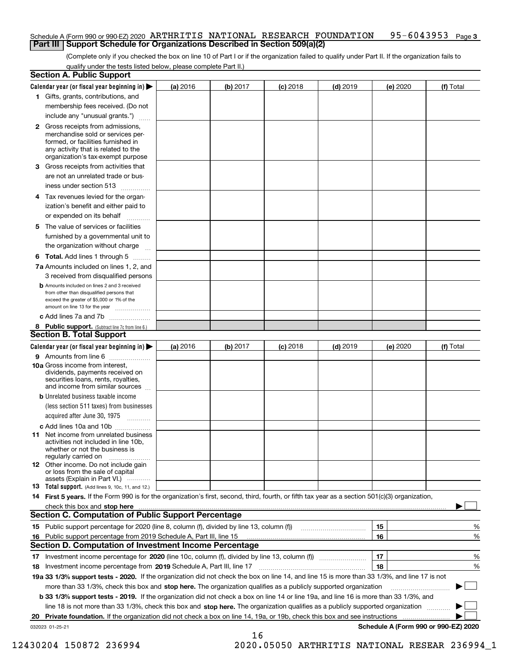## Schedule A (Form 990 or 990-EZ) 2020  $\,$ ARTHRITIS  $\,$  NATIONAL  $\,$  RESEARCH  $\,$  FOUNDATION  $\,$   $\,$  95–6043953  $\,$  Page 3 **Part III Support Schedule for Organizations Described in Section 509(a)(2)**

(Complete only if you checked the box on line 10 of Part I or if the organization failed to qualify under Part II. If the organization fails to qualify under the tests listed below, please complete Part II.)

|    | <b>Section A. Public Support</b>                                                                                                                                                         |          |          |            |            |          |                                      |
|----|------------------------------------------------------------------------------------------------------------------------------------------------------------------------------------------|----------|----------|------------|------------|----------|--------------------------------------|
|    | Calendar year (or fiscal year beginning in) $\blacktriangleright$                                                                                                                        | (a) 2016 | (b) 2017 | $(c)$ 2018 | $(d)$ 2019 | (e) 2020 | (f) Total                            |
|    | 1 Gifts, grants, contributions, and                                                                                                                                                      |          |          |            |            |          |                                      |
|    | membership fees received. (Do not                                                                                                                                                        |          |          |            |            |          |                                      |
|    | include any "unusual grants.")                                                                                                                                                           |          |          |            |            |          |                                      |
|    | 2 Gross receipts from admissions,<br>merchandise sold or services per-<br>formed, or facilities furnished in<br>any activity that is related to the<br>organization's tax-exempt purpose |          |          |            |            |          |                                      |
|    | 3 Gross receipts from activities that<br>are not an unrelated trade or bus-                                                                                                              |          |          |            |            |          |                                      |
|    | iness under section 513                                                                                                                                                                  |          |          |            |            |          |                                      |
|    | 4 Tax revenues levied for the organ-<br>ization's benefit and either paid to                                                                                                             |          |          |            |            |          |                                      |
|    | or expended on its behalf<br>.                                                                                                                                                           |          |          |            |            |          |                                      |
|    | 5 The value of services or facilities<br>furnished by a governmental unit to<br>the organization without charge                                                                          |          |          |            |            |          |                                      |
|    | <b>6 Total.</b> Add lines 1 through 5                                                                                                                                                    |          |          |            |            |          |                                      |
|    | 7a Amounts included on lines 1, 2, and<br>3 received from disqualified persons                                                                                                           |          |          |            |            |          |                                      |
|    | <b>b</b> Amounts included on lines 2 and 3 received<br>from other than disqualified persons that<br>exceed the greater of \$5,000 or 1% of the<br>amount on line 13 for the year         |          |          |            |            |          |                                      |
|    | c Add lines 7a and 7b                                                                                                                                                                    |          |          |            |            |          |                                      |
|    | 8 Public support. (Subtract line 7c from line 6.)                                                                                                                                        |          |          |            |            |          |                                      |
|    | <b>Section B. Total Support</b>                                                                                                                                                          |          |          |            |            |          |                                      |
|    | Calendar year (or fiscal year beginning in) $\blacktriangleright$                                                                                                                        | (a) 2016 | (b) 2017 | $(c)$ 2018 | $(d)$ 2019 | (e) 2020 | (f) Total                            |
|    | 9 Amounts from line 6                                                                                                                                                                    |          |          |            |            |          |                                      |
|    | 10a Gross income from interest,<br>dividends, payments received on<br>securities loans, rents, royalties,<br>and income from similar sources                                             |          |          |            |            |          |                                      |
|    | <b>b</b> Unrelated business taxable income                                                                                                                                               |          |          |            |            |          |                                      |
|    | (less section 511 taxes) from businesses                                                                                                                                                 |          |          |            |            |          |                                      |
|    | acquired after June 30, 1975                                                                                                                                                             |          |          |            |            |          |                                      |
|    | c Add lines 10a and 10b<br>11 Net income from unrelated business<br>activities not included in line 10b,<br>whether or not the business is<br>regularly carried on                       |          |          |            |            |          |                                      |
|    | <b>12</b> Other income. Do not include gain<br>or loss from the sale of capital<br>assets (Explain in Part VI.)                                                                          |          |          |            |            |          |                                      |
|    | <b>13</b> Total support. (Add lines 9, 10c, 11, and 12.)                                                                                                                                 |          |          |            |            |          |                                      |
|    | 14 First 5 years. If the Form 990 is for the organization's first, second, third, fourth, or fifth tax year as a section 501(c)(3) organization,                                         |          |          |            |            |          |                                      |
|    | check this box and stop here measurements are constructed as the state of the state of the state and stop here                                                                           |          |          |            |            |          |                                      |
|    | <b>Section C. Computation of Public Support Percentage</b>                                                                                                                               |          |          |            |            |          |                                      |
|    | 15 Public support percentage for 2020 (line 8, column (f), divided by line 13, column (f))                                                                                               |          |          |            |            | 15       | %                                    |
|    | 16 Public support percentage from 2019 Schedule A, Part III, line 15                                                                                                                     |          |          |            |            | 16       | %                                    |
|    | <b>Section D. Computation of Investment Income Percentage</b>                                                                                                                            |          |          |            |            |          |                                      |
|    | 17 Investment income percentage for 2020 (line 10c, column (f), divided by line 13, column (f))                                                                                          |          |          |            |            | 17       | %                                    |
|    | <b>18</b> Investment income percentage from <b>2019</b> Schedule A, Part III, line 17                                                                                                    |          |          |            |            | 18       | %                                    |
|    | 19a 33 1/3% support tests - 2020. If the organization did not check the box on line 14, and line 15 is more than 33 1/3%, and line 17 is not                                             |          |          |            |            |          |                                      |
|    | more than 33 1/3%, check this box and stop here. The organization qualifies as a publicly supported organization                                                                         |          |          |            |            |          | ▶                                    |
|    | b 33 1/3% support tests - 2019. If the organization did not check a box on line 14 or line 19a, and line 16 is more than 33 1/3%, and                                                    |          |          |            |            |          |                                      |
|    | line 18 is not more than 33 1/3%, check this box and stop here. The organization qualifies as a publicly supported organization                                                          |          |          |            |            |          |                                      |
| 20 | Private foundation. If the organization did not check a box on line 14, 19a, or 19b, check this box and see instructions                                                                 |          |          |            |            |          |                                      |
|    | 032023 01-25-21                                                                                                                                                                          |          |          |            |            |          | Schedule A (Form 990 or 990-EZ) 2020 |

16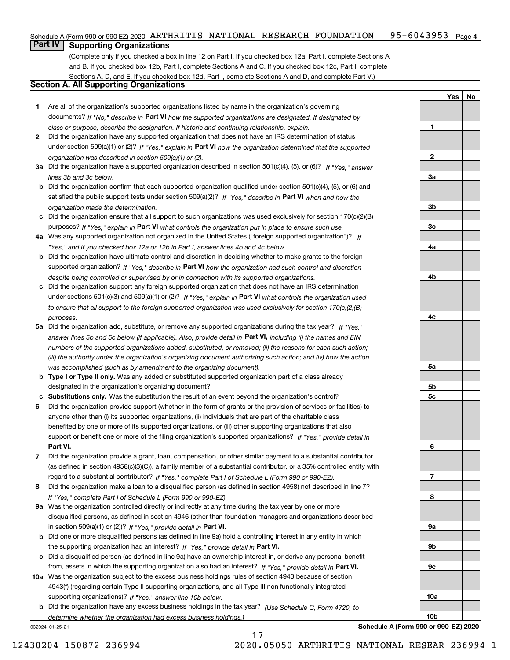#### $95 - 6043953$  Page 4 Schedule A (Form 990 or 990-EZ) 2020  $\,$ ARTHRITIS  $\,$  NATIONAL RESEARCH <code>FOUNDATION 95-6043953</code> <code>Page</code>

## **Part IV Supporting Organizations**

(Complete only if you checked a box in line 12 on Part I. If you checked box 12a, Part I, complete Sections A and B. If you checked box 12b, Part I, complete Sections A and C. If you checked box 12c, Part I, complete Sections A, D, and E. If you checked box 12d, Part I, complete Sections A and D, and complete Part V.)

## **Section A. All Supporting Organizations**

- **1** Are all of the organization's supported organizations listed by name in the organization's governing documents? If "No," describe in **Part VI** how the supported organizations are designated. If designated by *class or purpose, describe the designation. If historic and continuing relationship, explain.*
- **2** Did the organization have any supported organization that does not have an IRS determination of status under section 509(a)(1) or (2)? If "Yes," explain in Part VI how the organization determined that the supported *organization was described in section 509(a)(1) or (2).*
- **3a** Did the organization have a supported organization described in section 501(c)(4), (5), or (6)? If "Yes," answer *lines 3b and 3c below.*
- **b** Did the organization confirm that each supported organization qualified under section 501(c)(4), (5), or (6) and satisfied the public support tests under section 509(a)(2)? If "Yes," describe in **Part VI** when and how the *organization made the determination.*
- **c**Did the organization ensure that all support to such organizations was used exclusively for section 170(c)(2)(B) purposes? If "Yes," explain in **Part VI** what controls the organization put in place to ensure such use.
- **4a***If* Was any supported organization not organized in the United States ("foreign supported organization")? *"Yes," and if you checked box 12a or 12b in Part I, answer lines 4b and 4c below.*
- **b** Did the organization have ultimate control and discretion in deciding whether to make grants to the foreign supported organization? If "Yes," describe in **Part VI** how the organization had such control and discretion *despite being controlled or supervised by or in connection with its supported organizations.*
- **c** Did the organization support any foreign supported organization that does not have an IRS determination under sections 501(c)(3) and 509(a)(1) or (2)? If "Yes," explain in **Part VI** what controls the organization used *to ensure that all support to the foreign supported organization was used exclusively for section 170(c)(2)(B) purposes.*
- **5a** Did the organization add, substitute, or remove any supported organizations during the tax year? If "Yes," answer lines 5b and 5c below (if applicable). Also, provide detail in **Part VI,** including (i) the names and EIN *numbers of the supported organizations added, substituted, or removed; (ii) the reasons for each such action; (iii) the authority under the organization's organizing document authorizing such action; and (iv) how the action was accomplished (such as by amendment to the organizing document).*
- **b** Type I or Type II only. Was any added or substituted supported organization part of a class already designated in the organization's organizing document?
- **cSubstitutions only.**  Was the substitution the result of an event beyond the organization's control?
- **6** Did the organization provide support (whether in the form of grants or the provision of services or facilities) to **Part VI.** *If "Yes," provide detail in* support or benefit one or more of the filing organization's supported organizations? anyone other than (i) its supported organizations, (ii) individuals that are part of the charitable class benefited by one or more of its supported organizations, or (iii) other supporting organizations that also
- **7**Did the organization provide a grant, loan, compensation, or other similar payment to a substantial contributor *If "Yes," complete Part I of Schedule L (Form 990 or 990-EZ).* regard to a substantial contributor? (as defined in section 4958(c)(3)(C)), a family member of a substantial contributor, or a 35% controlled entity with
- **8** Did the organization make a loan to a disqualified person (as defined in section 4958) not described in line 7? *If "Yes," complete Part I of Schedule L (Form 990 or 990-EZ).*
- **9a** Was the organization controlled directly or indirectly at any time during the tax year by one or more in section 509(a)(1) or (2))? If "Yes," *provide detail in* <code>Part VI.</code> disqualified persons, as defined in section 4946 (other than foundation managers and organizations described
- **b** Did one or more disqualified persons (as defined in line 9a) hold a controlling interest in any entity in which the supporting organization had an interest? If "Yes," provide detail in P**art VI**.
- **c**Did a disqualified person (as defined in line 9a) have an ownership interest in, or derive any personal benefit from, assets in which the supporting organization also had an interest? If "Yes," provide detail in P**art VI.**
- **10a** Was the organization subject to the excess business holdings rules of section 4943 because of section supporting organizations)? If "Yes," answer line 10b below. 4943(f) (regarding certain Type II supporting organizations, and all Type III non-functionally integrated
- **b** Did the organization have any excess business holdings in the tax year? (Use Schedule C, Form 4720, to *determine whether the organization had excess business holdings.)*

17

032024 01-25-21

**3a3b3c4a4b4c5a 5b5c6789a 9b9c10a**

**YesNo**

**1**

**2**

**Schedule A (Form 990 or 990-EZ) 2020**

**10b**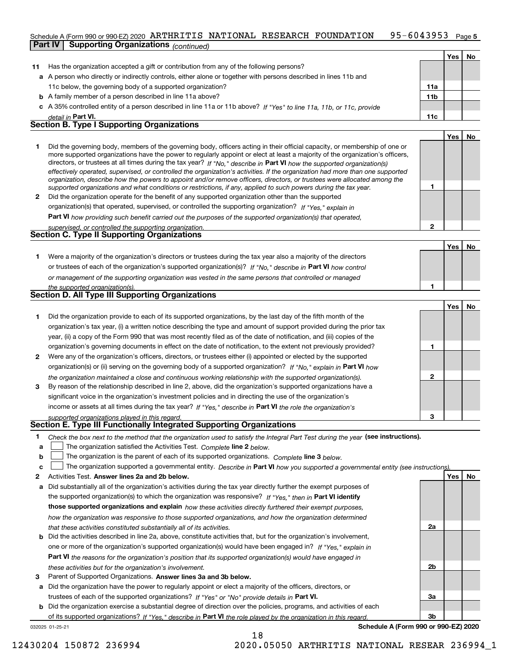#### 95-6043953 Page 5 Schedule A (Form 990 or 990-EZ) 2020  $\,$ ARTHRITIS  $\,$  NATIONAL RESEARCH <code>FOUNDATION 95-6043953</code> <code>Page</code> **Part IV Supporting Organizations** *(continued)*

|    |                                                                                                                                                                                                                                                                                                                                                                                                                                                                                                                                                                                                                                                      |     | Yes   | No. |
|----|------------------------------------------------------------------------------------------------------------------------------------------------------------------------------------------------------------------------------------------------------------------------------------------------------------------------------------------------------------------------------------------------------------------------------------------------------------------------------------------------------------------------------------------------------------------------------------------------------------------------------------------------------|-----|-------|-----|
| 11 | Has the organization accepted a gift or contribution from any of the following persons?                                                                                                                                                                                                                                                                                                                                                                                                                                                                                                                                                              |     |       |     |
|    | a A person who directly or indirectly controls, either alone or together with persons described in lines 11b and                                                                                                                                                                                                                                                                                                                                                                                                                                                                                                                                     |     |       |     |
|    | 11c below, the governing body of a supported organization?                                                                                                                                                                                                                                                                                                                                                                                                                                                                                                                                                                                           | 11a |       |     |
|    | <b>b</b> A family member of a person described in line 11a above?                                                                                                                                                                                                                                                                                                                                                                                                                                                                                                                                                                                    | 11b |       |     |
|    | c A 35% controlled entity of a person described in line 11a or 11b above? If "Yes" to line 11a, 11b, or 11c, provide                                                                                                                                                                                                                                                                                                                                                                                                                                                                                                                                 |     |       |     |
|    | detail in Part VI.                                                                                                                                                                                                                                                                                                                                                                                                                                                                                                                                                                                                                                   | 11c |       |     |
|    | <b>Section B. Type I Supporting Organizations</b>                                                                                                                                                                                                                                                                                                                                                                                                                                                                                                                                                                                                    |     |       |     |
|    |                                                                                                                                                                                                                                                                                                                                                                                                                                                                                                                                                                                                                                                      |     | Yes I | No  |
|    | Did the governing body, members of the governing body, officers acting in their official capacity, or membership of one or<br>more supported organizations have the power to regularly appoint or elect at least a majority of the organization's officers,<br>directors, or trustees at all times during the tax year? If "No." describe in Part VI how the supported organization(s)<br>effectively operated, supervised, or controlled the organization's activities. If the organization had more than one supported<br>organization, describe how the powers to appoint and/or remove officers, directors, or trustees were allocated among the |     |       |     |

**2** Did the organization operate for the benefit of any supported organization other than the supported *supported organizations and what conditions or restrictions, if any, applied to such powers during the tax year. If "Yes," explain in* organization(s) that operated, supervised, or controlled the supporting organization?

**Part VI**  *how providing such benefit carried out the purposes of the supported organization(s) that operated,*

| supervised, or controlled the supporting organization. |     |
|--------------------------------------------------------|-----|
| <b>Section C. Type II Supporting Organizations</b>     |     |
|                                                        | Yes |

**1**or trustees of each of the organization's supported organization(s)? If "No," describe in **Part VI** how control *or management of the supporting organization was vested in the same persons that controlled or managed the supported organization(s).* Were a majority of the organization's directors or trustees during the tax year also a majority of the directors

|  |  | Section D. All Type III Supporting Organizations |  |
|--|--|--------------------------------------------------|--|
|  |  |                                                  |  |

|                |                                                                                                                        |   | Yes l | No |
|----------------|------------------------------------------------------------------------------------------------------------------------|---|-------|----|
|                | Did the organization provide to each of its supported organizations, by the last day of the fifth month of the         |   |       |    |
|                | organization's tax year, (i) a written notice describing the type and amount of support provided during the prior tax  |   |       |    |
|                | year, (ii) a copy of the Form 990 that was most recently filed as of the date of notification, and (iii) copies of the |   |       |    |
|                | organization's governing documents in effect on the date of notification, to the extent not previously provided?       |   |       |    |
| $\overline{2}$ | Were any of the organization's officers, directors, or trustees either (i) appointed or elected by the supported       |   |       |    |
|                | organization(s) or (ii) serving on the governing body of a supported organization? If "No," explain in Part VI how     |   |       |    |
|                | the organization maintained a close and continuous working relationship with the supported organization(s).            | 2 |       |    |
| 3              | By reason of the relationship described in line 2, above, did the organization's supported organizations have a        |   |       |    |
|                | significant voice in the organization's investment policies and in directing the use of the organization's             |   |       |    |
|                | income or assets at all times during the tax year? If "Yes," describe in Part VI the role the organization's           |   |       |    |
|                | supported organizations played in this regard.                                                                         | з |       |    |

# *supported organizations played in this regard.* **Section E. Type III Functionally Integrated Supporting Organizations**

- **1**Check the box next to the method that the organization used to satisfy the Integral Part Test during the year (see instructions).
- **alinupy** The organization satisfied the Activities Test. Complete line 2 below.
- **b**The organization is the parent of each of its supported organizations. *Complete* line 3 *below.*  $\mathcal{L}^{\text{max}}$

|  |  | c $\Box$ The organization supported a governmental entity. Describe in Part VI how you supported a governmental entity (see instructions). |  |
|--|--|--------------------------------------------------------------------------------------------------------------------------------------------|--|
|--|--|--------------------------------------------------------------------------------------------------------------------------------------------|--|

18

- **2Answer lines 2a and 2b below. Yes No** Activities Test.
- **a** Did substantially all of the organization's activities during the tax year directly further the exempt purposes of the supported organization(s) to which the organization was responsive? If "Yes," then in **Part VI identify those supported organizations and explain**  *how these activities directly furthered their exempt purposes, how the organization was responsive to those supported organizations, and how the organization determined that these activities constituted substantially all of its activities.*
- **b** Did the activities described in line 2a, above, constitute activities that, but for the organization's involvement, **Part VI**  *the reasons for the organization's position that its supported organization(s) would have engaged in* one or more of the organization's supported organization(s) would have been engaged in? If "Yes," e*xplain in these activities but for the organization's involvement.*
- **3** Parent of Supported Organizations. Answer lines 3a and 3b below.

**a** Did the organization have the power to regularly appoint or elect a majority of the officers, directors, or trustees of each of the supported organizations? If "Yes" or "No" provide details in **Part VI.** 

032025 01-25-21 **b** Did the organization exercise a substantial degree of direction over the policies, programs, and activities of each of its supported organizations? If "Yes," describe in Part VI the role played by the organization in this regard.

**Schedule A (Form 990 or 990-EZ) 2020**

**2a**

**2b**

**3a**

**3b**

**1**

**1**

**No**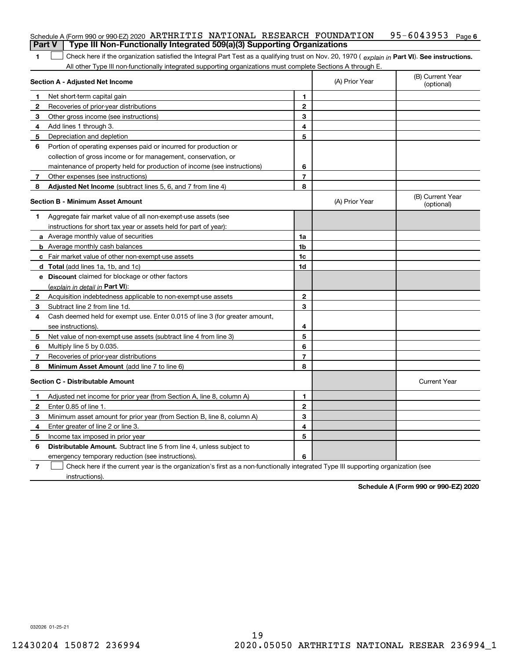| <b>Part V</b> |                                                                                                                                                |                         |                |                                |
|---------------|------------------------------------------------------------------------------------------------------------------------------------------------|-------------------------|----------------|--------------------------------|
|               | Type III Non-Functionally Integrated 509(a)(3) Supporting Organizations                                                                        |                         |                |                                |
| 1             | Check here if the organization satisfied the Integral Part Test as a qualifying trust on Nov. 20, 1970 (explain in Part VI). See instructions. |                         |                |                                |
|               | All other Type III non-functionally integrated supporting organizations must complete Sections A through E.                                    |                         |                |                                |
|               | Section A - Adjusted Net Income                                                                                                                |                         | (A) Prior Year | (B) Current Year<br>(optional) |
| 1             | Net short-term capital gain                                                                                                                    | 1.                      |                |                                |
| 2             | Recoveries of prior-year distributions                                                                                                         | $\overline{2}$          |                |                                |
| З             | Other gross income (see instructions)                                                                                                          | 3                       |                |                                |
| 4             | Add lines 1 through 3.                                                                                                                         | 4                       |                |                                |
| 5             | Depreciation and depletion                                                                                                                     | 5                       |                |                                |
| 6             | Portion of operating expenses paid or incurred for production or                                                                               |                         |                |                                |
|               | collection of gross income or for management, conservation, or                                                                                 |                         |                |                                |
|               | maintenance of property held for production of income (see instructions)                                                                       | 6                       |                |                                |
| 7             | Other expenses (see instructions)                                                                                                              | 7                       |                |                                |
| 8             | Adjusted Net Income (subtract lines 5, 6, and 7 from line 4)                                                                                   | 8                       |                |                                |
|               | <b>Section B - Minimum Asset Amount</b>                                                                                                        |                         | (A) Prior Year | (B) Current Year<br>(optional) |
| 1             | Aggregate fair market value of all non-exempt-use assets (see                                                                                  |                         |                |                                |
|               | instructions for short tax year or assets held for part of year):                                                                              |                         |                |                                |
|               | <b>a</b> Average monthly value of securities                                                                                                   | 1a                      |                |                                |
|               | <b>b</b> Average monthly cash balances                                                                                                         | 1b                      |                |                                |
|               | c Fair market value of other non-exempt-use assets                                                                                             | 1c                      |                |                                |
|               | <b>d</b> Total (add lines 1a, 1b, and 1c)                                                                                                      | 1d                      |                |                                |
|               | <b>e</b> Discount claimed for blockage or other factors                                                                                        |                         |                |                                |
|               | (explain in detail in Part VI):                                                                                                                |                         |                |                                |
| 2             | Acquisition indebtedness applicable to non-exempt-use assets                                                                                   | $\mathbf{2}$            |                |                                |
| 3             | Subtract line 2 from line 1d.                                                                                                                  | 3                       |                |                                |
| 4             | Cash deemed held for exempt use. Enter 0.015 of line 3 (for greater amount,                                                                    |                         |                |                                |
|               | see instructions).                                                                                                                             | 4                       |                |                                |
| 5             | Net value of non-exempt-use assets (subtract line 4 from line 3)                                                                               | 5                       |                |                                |
| 6             | Multiply line 5 by 0.035.                                                                                                                      | 6                       |                |                                |
| 7             | Recoveries of prior-year distributions                                                                                                         | $\overline{\mathbf{r}}$ |                |                                |
| 8             | Minimum Asset Amount (add line 7 to line 6)                                                                                                    | 8                       |                |                                |
|               | <b>Section C - Distributable Amount</b>                                                                                                        |                         |                | <b>Current Year</b>            |
|               | Adjusted net income for prior year (from Section A, line 8, column A)                                                                          | 1                       |                |                                |
| 2             | Enter 0.85 of line 1.                                                                                                                          | 2                       |                |                                |
| 3             | Minimum asset amount for prior year (from Section B, line 8, column A)                                                                         | 3                       |                |                                |
| 4             | Enter greater of line 2 or line 3.                                                                                                             | 4                       |                |                                |
|               | 5 Income tax imposed in prior year                                                                                                             | 5                       |                |                                |
| 6             | <b>Distributable Amount.</b> Subtract line 5 from line 4, unless subject to                                                                    |                         |                |                                |
|               | emergency temporary reduction (see instructions).                                                                                              | 6                       |                |                                |
| 7             | Check here if the current year is the organization's first as a non-functionally integrated Type III supporting organization (see              |                         |                |                                |

instructions).

**Schedule A (Form 990 or 990-EZ) 2020**

032026 01-25-21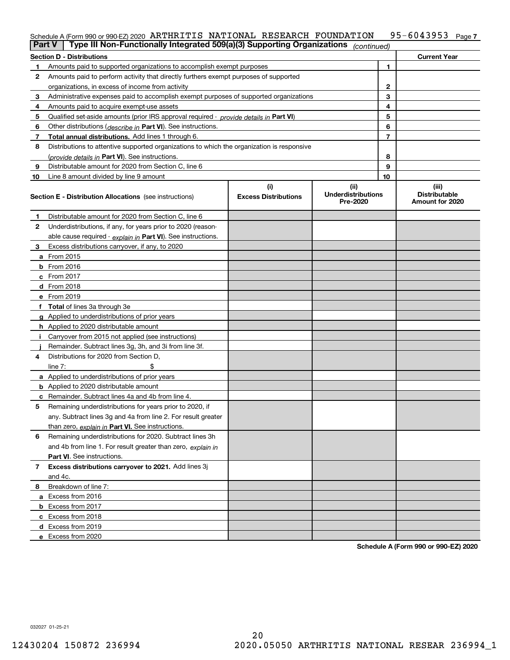## Schedule A (Form 990 or 990-EZ) 2020  $\,$ ARTHRITIS  $\,$  NATIONAL RESEARCH <code>FOUNDATION 95–6043953</code> Page  $7$

| Part V | Type III Non-Functionally Integrated 509(a)(3) Supporting Organizations                       |                                    | (continued)                                   |    |                                                  |
|--------|-----------------------------------------------------------------------------------------------|------------------------------------|-----------------------------------------------|----|--------------------------------------------------|
|        | <b>Section D - Distributions</b>                                                              |                                    |                                               |    | <b>Current Year</b>                              |
|        | Amounts paid to supported organizations to accomplish exempt purposes                         |                                    | 1                                             |    |                                                  |
| 2      | Amounts paid to perform activity that directly furthers exempt purposes of supported          |                                    |                                               |    |                                                  |
|        | organizations, in excess of income from activity                                              | $\mathbf{2}$                       |                                               |    |                                                  |
| 3      | Administrative expenses paid to accomplish exempt purposes of supported organizations         |                                    |                                               | 3  |                                                  |
| 4      | Amounts paid to acquire exempt-use assets                                                     |                                    |                                               | 4  |                                                  |
| 5      | Qualified set-aside amounts (prior IRS approval required - <i>provide details in</i> Part VI) |                                    |                                               | 5  |                                                  |
| 6      | Other distributions ( <i>describe in</i> Part VI). See instructions.                          |                                    |                                               | 6  |                                                  |
| 7      | Total annual distributions. Add lines 1 through 6.                                            |                                    |                                               | 7  |                                                  |
| 8      | Distributions to attentive supported organizations to which the organization is responsive    |                                    |                                               |    |                                                  |
|        | (provide details in Part VI). See instructions.                                               |                                    |                                               | 8  |                                                  |
| 9      | Distributable amount for 2020 from Section C, line 6                                          |                                    |                                               | 9  |                                                  |
| 10     | Line 8 amount divided by line 9 amount                                                        |                                    |                                               | 10 |                                                  |
|        | <b>Section E - Distribution Allocations</b> (see instructions)                                | (i)<br><b>Excess Distributions</b> | (ii)<br><b>Underdistributions</b><br>Pre-2020 |    | (iii)<br><b>Distributable</b><br>Amount for 2020 |
| 1      | Distributable amount for 2020 from Section C, line 6                                          |                                    |                                               |    |                                                  |
| 2      | Underdistributions, if any, for years prior to 2020 (reason-                                  |                                    |                                               |    |                                                  |
|        | able cause required - explain in Part VI). See instructions.                                  |                                    |                                               |    |                                                  |
| 3      | Excess distributions carryover, if any, to 2020                                               |                                    |                                               |    |                                                  |
|        | a From 2015                                                                                   |                                    |                                               |    |                                                  |
|        | $b$ From 2016                                                                                 |                                    |                                               |    |                                                  |
|        | $c$ From 2017                                                                                 |                                    |                                               |    |                                                  |
|        | <b>d</b> From 2018                                                                            |                                    |                                               |    |                                                  |
|        | e From 2019                                                                                   |                                    |                                               |    |                                                  |
|        | f Total of lines 3a through 3e                                                                |                                    |                                               |    |                                                  |
|        | g Applied to underdistributions of prior years                                                |                                    |                                               |    |                                                  |
|        | h Applied to 2020 distributable amount                                                        |                                    |                                               |    |                                                  |
|        | Carryover from 2015 not applied (see instructions)                                            |                                    |                                               |    |                                                  |
|        | Remainder. Subtract lines 3g, 3h, and 3i from line 3f.                                        |                                    |                                               |    |                                                  |
| 4      | Distributions for 2020 from Section D,                                                        |                                    |                                               |    |                                                  |
|        | line $7:$                                                                                     |                                    |                                               |    |                                                  |
|        | a Applied to underdistributions of prior years                                                |                                    |                                               |    |                                                  |
|        | <b>b</b> Applied to 2020 distributable amount                                                 |                                    |                                               |    |                                                  |
|        | c Remainder. Subtract lines 4a and 4b from line 4.                                            |                                    |                                               |    |                                                  |
| 5      | Remaining underdistributions for years prior to 2020, if                                      |                                    |                                               |    |                                                  |
|        | any. Subtract lines 3g and 4a from line 2. For result greater                                 |                                    |                                               |    |                                                  |
|        | than zero, explain in Part VI. See instructions.                                              |                                    |                                               |    |                                                  |
| 6      | Remaining underdistributions for 2020. Subtract lines 3h                                      |                                    |                                               |    |                                                  |
|        | and 4b from line 1. For result greater than zero, explain in                                  |                                    |                                               |    |                                                  |
|        | Part VI. See instructions.                                                                    |                                    |                                               |    |                                                  |
| 7      | Excess distributions carryover to 2021. Add lines 3j                                          |                                    |                                               |    |                                                  |
|        | and 4c.                                                                                       |                                    |                                               |    |                                                  |
| 8      | Breakdown of line 7:                                                                          |                                    |                                               |    |                                                  |
|        | a Excess from 2016                                                                            |                                    |                                               |    |                                                  |
|        | <b>b</b> Excess from 2017                                                                     |                                    |                                               |    |                                                  |
|        | c Excess from 2018                                                                            |                                    |                                               |    |                                                  |
|        | d Excess from 2019                                                                            |                                    |                                               |    |                                                  |
|        | e Excess from 2020                                                                            |                                    |                                               |    |                                                  |

**Schedule A (Form 990 or 990-EZ) 2020**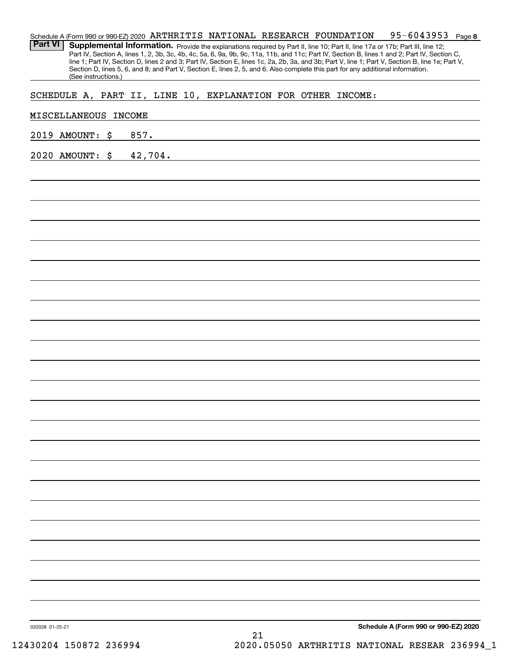| <b>Part VI</b>  | (See instructions.)  | Schedule A (Form 990 or 990-EZ) 2020 ARTHRITIS NATIONAL RESEARCH FOUNDATION<br>$95 - 6043953$ Page 8<br>Supplemental Information. Provide the explanations required by Part II, line 10; Part II, line 17a or 17b; Part III, line 12;<br>Part IV, Section A, lines 1, 2, 3b, 3c, 4b, 4c, 5a, 6, 9a, 9b, 9c, 11a, 11b, and 11c; Part IV, Section B, lines 1 and 2; Part IV, Section C,<br>line 1; Part IV, Section D, lines 2 and 3; Part IV, Section E, lines 1c, 2a, 2b, 3a, and 3b; Part V, line 1; Part V, Section B, line 1e; Part V,<br>Section D, lines 5, 6, and 8; and Part V, Section E, lines 2, 5, and 6. Also complete this part for any additional information. |
|-----------------|----------------------|------------------------------------------------------------------------------------------------------------------------------------------------------------------------------------------------------------------------------------------------------------------------------------------------------------------------------------------------------------------------------------------------------------------------------------------------------------------------------------------------------------------------------------------------------------------------------------------------------------------------------------------------------------------------------|
|                 |                      | SCHEDULE A, PART II, LINE 10, EXPLANATION FOR OTHER INCOME:                                                                                                                                                                                                                                                                                                                                                                                                                                                                                                                                                                                                                  |
|                 | MISCELLANEOUS INCOME |                                                                                                                                                                                                                                                                                                                                                                                                                                                                                                                                                                                                                                                                              |
|                 | 2019 AMOUNT: \$      | 857.<br><u> 1980 - Jan Barbara (j. 1980)</u>                                                                                                                                                                                                                                                                                                                                                                                                                                                                                                                                                                                                                                 |
|                 | 2020 AMOUNT: \$      | 42,704.                                                                                                                                                                                                                                                                                                                                                                                                                                                                                                                                                                                                                                                                      |
|                 |                      |                                                                                                                                                                                                                                                                                                                                                                                                                                                                                                                                                                                                                                                                              |
|                 |                      |                                                                                                                                                                                                                                                                                                                                                                                                                                                                                                                                                                                                                                                                              |
|                 |                      |                                                                                                                                                                                                                                                                                                                                                                                                                                                                                                                                                                                                                                                                              |
|                 |                      |                                                                                                                                                                                                                                                                                                                                                                                                                                                                                                                                                                                                                                                                              |
|                 |                      |                                                                                                                                                                                                                                                                                                                                                                                                                                                                                                                                                                                                                                                                              |
|                 |                      |                                                                                                                                                                                                                                                                                                                                                                                                                                                                                                                                                                                                                                                                              |
|                 |                      |                                                                                                                                                                                                                                                                                                                                                                                                                                                                                                                                                                                                                                                                              |
|                 |                      |                                                                                                                                                                                                                                                                                                                                                                                                                                                                                                                                                                                                                                                                              |
|                 |                      |                                                                                                                                                                                                                                                                                                                                                                                                                                                                                                                                                                                                                                                                              |
|                 |                      |                                                                                                                                                                                                                                                                                                                                                                                                                                                                                                                                                                                                                                                                              |
|                 |                      |                                                                                                                                                                                                                                                                                                                                                                                                                                                                                                                                                                                                                                                                              |
|                 |                      |                                                                                                                                                                                                                                                                                                                                                                                                                                                                                                                                                                                                                                                                              |
|                 |                      |                                                                                                                                                                                                                                                                                                                                                                                                                                                                                                                                                                                                                                                                              |
|                 |                      |                                                                                                                                                                                                                                                                                                                                                                                                                                                                                                                                                                                                                                                                              |
|                 |                      |                                                                                                                                                                                                                                                                                                                                                                                                                                                                                                                                                                                                                                                                              |
|                 |                      |                                                                                                                                                                                                                                                                                                                                                                                                                                                                                                                                                                                                                                                                              |
|                 |                      |                                                                                                                                                                                                                                                                                                                                                                                                                                                                                                                                                                                                                                                                              |
|                 |                      |                                                                                                                                                                                                                                                                                                                                                                                                                                                                                                                                                                                                                                                                              |
|                 |                      |                                                                                                                                                                                                                                                                                                                                                                                                                                                                                                                                                                                                                                                                              |
|                 |                      |                                                                                                                                                                                                                                                                                                                                                                                                                                                                                                                                                                                                                                                                              |
|                 |                      |                                                                                                                                                                                                                                                                                                                                                                                                                                                                                                                                                                                                                                                                              |
|                 |                      |                                                                                                                                                                                                                                                                                                                                                                                                                                                                                                                                                                                                                                                                              |
|                 |                      |                                                                                                                                                                                                                                                                                                                                                                                                                                                                                                                                                                                                                                                                              |
| 032028 01-25-21 |                      | Schedule A (Form 990 or 990-EZ) 2020<br>21                                                                                                                                                                                                                                                                                                                                                                                                                                                                                                                                                                                                                                   |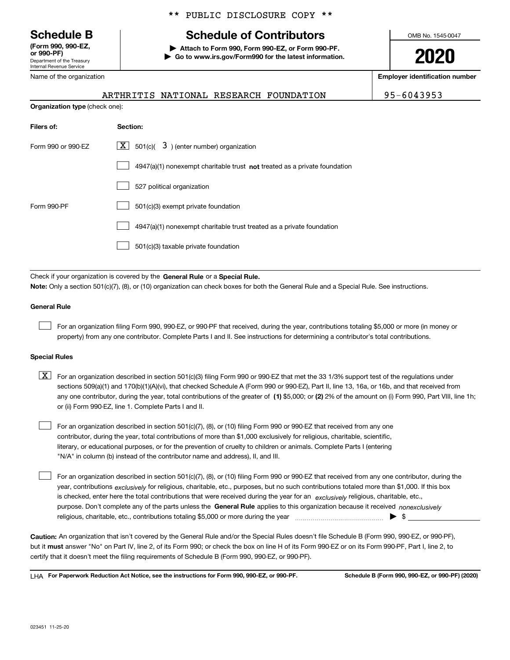Department of the Treasury Internal Revenue Service **(Form 990, 990-EZ, or 990-PF)**

# \*\* PUBLIC DISCLOSURE COPY \*\*

# **Schedule B Schedule of Contributors**

**| Attach to Form 990, Form 990-EZ, or Form 990-PF. | Go to www.irs.gov/Form990 for the latest information.** OMB No. 1545-0047

**2020**

**Employer identification number**

| 95-6043953 |  |  |  |  |  |
|------------|--|--|--|--|--|
|------------|--|--|--|--|--|

| Department of the Treasury      |
|---------------------------------|
| <b>Internal Revenue Service</b> |
| Name of the organization        |

**Organization type** (check one):

|  | ARTHRITIS NATIONAL RESEARCH FOUNDATION | 95-6043953 |
|--|----------------------------------------|------------|
|  |                                        |            |

| Filers of:         | Section:                                                                    |
|--------------------|-----------------------------------------------------------------------------|
| Form 990 or 990-FZ | $X$ 501(c)( 3) (enter number) organization                                  |
|                    | $4947(a)(1)$ nonexempt charitable trust not treated as a private foundation |
|                    | 527 political organization                                                  |
| Form 990-PF        | 501(c)(3) exempt private foundation                                         |
|                    | 4947(a)(1) nonexempt charitable trust treated as a private foundation       |
|                    | 501(c)(3) taxable private foundation                                        |

Check if your organization is covered by the **General Rule** or a **Special Rule. Note:**  Only a section 501(c)(7), (8), or (10) organization can check boxes for both the General Rule and a Special Rule. See instructions.

## **General Rule**

 $\mathcal{L}^{\text{max}}$ 

For an organization filing Form 990, 990-EZ, or 990-PF that received, during the year, contributions totaling \$5,000 or more (in money or property) from any one contributor. Complete Parts I and II. See instructions for determining a contributor's total contributions.

### **Special Rules**

any one contributor, during the year, total contributions of the greater of  $\,$  (1) \$5,000; or **(2)** 2% of the amount on (i) Form 990, Part VIII, line 1h;  $\boxed{\textbf{X}}$  For an organization described in section 501(c)(3) filing Form 990 or 990-EZ that met the 33 1/3% support test of the regulations under sections 509(a)(1) and 170(b)(1)(A)(vi), that checked Schedule A (Form 990 or 990-EZ), Part II, line 13, 16a, or 16b, and that received from or (ii) Form 990-EZ, line 1. Complete Parts I and II.

For an organization described in section 501(c)(7), (8), or (10) filing Form 990 or 990-EZ that received from any one contributor, during the year, total contributions of more than \$1,000 exclusively for religious, charitable, scientific, literary, or educational purposes, or for the prevention of cruelty to children or animals. Complete Parts I (entering "N/A" in column (b) instead of the contributor name and address), II, and III.  $\mathcal{L}^{\text{max}}$ 

purpose. Don't complete any of the parts unless the **General Rule** applies to this organization because it received *nonexclusively* year, contributions <sub>exclusively</sub> for religious, charitable, etc., purposes, but no such contributions totaled more than \$1,000. If this box is checked, enter here the total contributions that were received during the year for an  $\;$ exclusively religious, charitable, etc., For an organization described in section 501(c)(7), (8), or (10) filing Form 990 or 990-EZ that received from any one contributor, during the religious, charitable, etc., contributions totaling \$5,000 or more during the year ~~~~~~~~~~~~~~~ | \$  $\mathcal{L}^{\text{max}}$ 

**Caution:**  An organization that isn't covered by the General Rule and/or the Special Rules doesn't file Schedule B (Form 990, 990-EZ, or 990-PF),  **must** but it answer "No" on Part IV, line 2, of its Form 990; or check the box on line H of its Form 990-EZ or on its Form 990-PF, Part I, line 2, to certify that it doesn't meet the filing requirements of Schedule B (Form 990, 990-EZ, or 990-PF).

**For Paperwork Reduction Act Notice, see the instructions for Form 990, 990-EZ, or 990-PF. Schedule B (Form 990, 990-EZ, or 990-PF) (2020)** LHA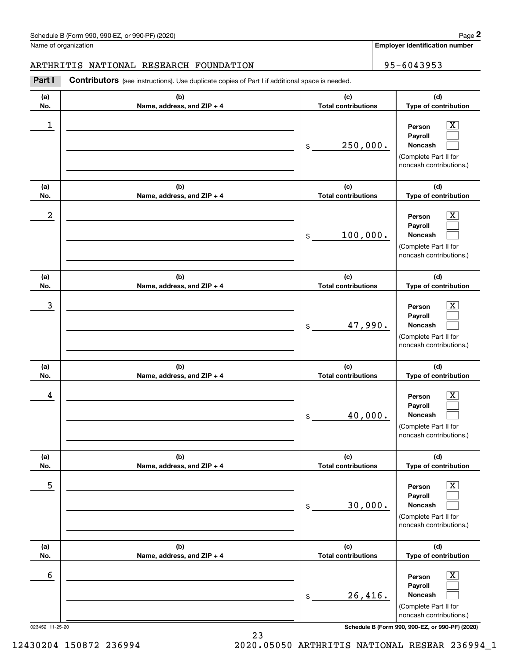Name of organization

## ARTHRITIS NATIONAL RESEARCH FOUNDATION **195-6043953**

**(a)No.(b)Name, address, and ZIP + 4 (c)Total contributions (d)Type of contribution PersonPayrollNoncash (a)No.(b)Name, address, and ZIP + 4 (c)Total contributions (d)Type of contribution PersonPayrollNoncash (a)No.(b)Name, address, and ZIP + 4 (c)Total contributions (d)Type of contribution PersonPayrollNoncash (a) No.(b) Name, address, and ZIP + 4 (c) Total contributions (d) Type of contribution PersonPayrollNoncash (a) No.(b) Name, address, and ZIP + 4 (c) Total contributions (d) Type of contribution PersonPayrollNoncash (a) No.(b)Name, address, and ZIP + 4 (c) Total contributions (d)Type of contribution PersonPayrollNoncash Contributors** (see instructions). Use duplicate copies of Part I if additional space is needed. \$(Complete Part II for noncash contributions.) \$(Complete Part II for noncash contributions.) \$(Complete Part II for noncash contributions.) \$(Complete Part II for noncash contributions.) \$(Complete Part II for noncash contributions.) \$(Complete Part II for noncash contributions.) Chedule B (Form 990, 990-EZ, or 990-PF) (2020)<br>Iame of organization<br>**2Part I 2Philippe Contributors** (see instructions). Use duplicate copies of Part I if additional space is needed.<br>2Part I **Contributors** (see instructi  $|X|$  $\mathcal{L}^{\text{max}}$  $\mathcal{L}^{\text{max}}$  $\boxed{\text{X}}$  $\mathcal{L}^{\text{max}}$  $\mathcal{L}^{\text{max}}$  $|X|$  $\mathcal{L}^{\text{max}}$  $\mathcal{L}^{\text{max}}$  $\boxed{\text{X}}$  $\mathcal{L}^{\text{max}}$  $\mathcal{L}^{\text{max}}$  $\boxed{\text{X}}$  $\mathcal{L}^{\text{max}}$  $\mathcal{L}^{\text{max}}$  $\boxed{\text{X}}$  $\mathcal{L}^{\text{max}}$  $\mathcal{L}^{\text{max}}$  $\begin{array}{c|c|c|c|c|c} 1 & \hspace{1.5cm} & \hspace{1.5cm} & \hspace{1.5cm} & \hspace{1.5cm} & \hspace{1.5cm} & \hspace{1.5cm} & \hspace{1.5cm} & \hspace{1.5cm} & \hspace{1.5cm} & \hspace{1.5cm} & \hspace{1.5cm} & \hspace{1.5cm} & \hspace{1.5cm} & \hspace{1.5cm} & \hspace{1.5cm} & \hspace{1.5cm} & \hspace{1.5cm} & \hspace{1.5cm} & \hspace{1.5cm} & \hspace{1.5cm} &$ 250,000.  $2$  | Person  $\overline{\text{X}}$ 100,000.  $\overline{3}$  | Person  $\overline{X}$ 47,990.  $4$  | Person  $\overline{\text{X}}$ 40,000.  $\sim$  5 | Person X 30,000.  $\sim$  6 | Person X 26,416.

023452 11-25-20 **Schedule B (Form 990, 990-EZ, or 990-PF) (2020)**

23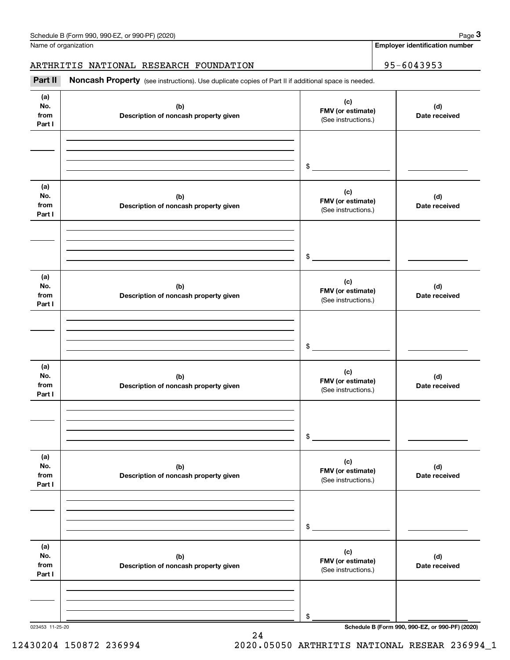Name of organization

**Employer identification number**

ARTHRITIS NATIONAL RESEARCH FOUNDATION | 95-6043953

**(a)No.fromPart I (c)FMV (or estimate) (b) Description of noncash property given (d) Date received (a)No.fromPart I (c) FMV (or estimate) (b) Description of noncash property given (d) Date received (a)No.fromPart I (c)FMV (or estimate) (b) Description of noncash property given (d) Date received (a) No.fromPart I (c) FMV (or estimate) (b)Description of noncash property given (d)Date received (a) No.fromPart I (c) FMV (or estimate) (b) Description of noncash property given (d) Date received (a) No.fromPart I (c)FMV (or estimate) (b)Description of noncash property given (d)Date received** Noncash Property (see instructions). Use duplicate copies of Part II if additional space is needed. (See instructions.) \$(See instructions.) \$(See instructions.) \$(See instructions.) \$(See instructions.) \$(See instructions.) \$Chedule B (Form 990, 990-EZ, or 990-PF) (2020)<br>Iame of organization<br>**3Part II Noncash Property** (see instructions). Use duplicate copies of Part II if additional space is needed.<br>**2Part II Noncash Property** (see instru

24

023453 11-25-20 **Schedule B (Form 990, 990-EZ, or 990-PF) (2020)**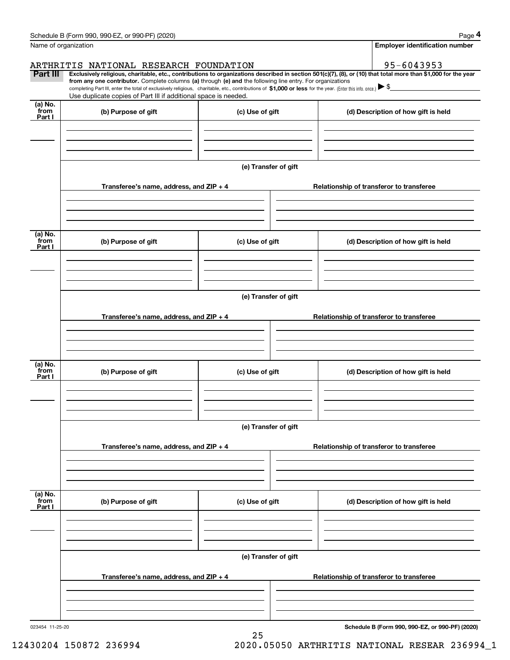|                            | Schedule B (Form 990, 990-EZ, or 990-PF) (2020)                                                                                                                                                                                                                              |                      | Page 4                                          |
|----------------------------|------------------------------------------------------------------------------------------------------------------------------------------------------------------------------------------------------------------------------------------------------------------------------|----------------------|-------------------------------------------------|
|                            | Name of organization                                                                                                                                                                                                                                                         |                      | <b>Employer identification number</b>           |
|                            | ARTHRITIS NATIONAL RESEARCH FOUNDATION                                                                                                                                                                                                                                       |                      | 95-6043953                                      |
| Part III                   | Exclusively religious, charitable, etc., contributions to organizations described in section 501(c)(7), (8), or (10) that total more than \$1,000 for the year<br>from any one contributor. Complete columns (a) through (e) and the following line entry. For organizations |                      |                                                 |
|                            | completing Part III, enter the total of exclusively religious, charitable, etc., contributions of \$1,000 or less for the year. (Enter this info. once.) $\blacktriangleright$ \$                                                                                            |                      |                                                 |
| (a) No.                    | Use duplicate copies of Part III if additional space is needed.                                                                                                                                                                                                              |                      |                                                 |
| from<br>Part I             | (b) Purpose of gift                                                                                                                                                                                                                                                          | (c) Use of gift      | (d) Description of how gift is held             |
|                            |                                                                                                                                                                                                                                                                              |                      |                                                 |
|                            |                                                                                                                                                                                                                                                                              |                      |                                                 |
|                            |                                                                                                                                                                                                                                                                              |                      |                                                 |
|                            |                                                                                                                                                                                                                                                                              | (e) Transfer of gift |                                                 |
|                            |                                                                                                                                                                                                                                                                              |                      |                                                 |
|                            | Transferee's name, address, and ZIP + 4                                                                                                                                                                                                                                      |                      | Relationship of transferor to transferee        |
|                            |                                                                                                                                                                                                                                                                              |                      |                                                 |
|                            |                                                                                                                                                                                                                                                                              |                      |                                                 |
| (a) No.                    |                                                                                                                                                                                                                                                                              |                      |                                                 |
| from<br>Part I             | (b) Purpose of gift                                                                                                                                                                                                                                                          | (c) Use of gift      | (d) Description of how gift is held             |
|                            |                                                                                                                                                                                                                                                                              |                      |                                                 |
|                            |                                                                                                                                                                                                                                                                              |                      |                                                 |
|                            |                                                                                                                                                                                                                                                                              |                      |                                                 |
|                            |                                                                                                                                                                                                                                                                              | (e) Transfer of gift |                                                 |
|                            | Transferee's name, address, and $ZIP + 4$                                                                                                                                                                                                                                    |                      | Relationship of transferor to transferee        |
|                            |                                                                                                                                                                                                                                                                              |                      |                                                 |
|                            |                                                                                                                                                                                                                                                                              |                      |                                                 |
|                            |                                                                                                                                                                                                                                                                              |                      |                                                 |
| (a) No.<br>from            | (b) Purpose of gift                                                                                                                                                                                                                                                          | (c) Use of gift      | (d) Description of how gift is held             |
| Part I                     |                                                                                                                                                                                                                                                                              |                      |                                                 |
|                            |                                                                                                                                                                                                                                                                              |                      |                                                 |
|                            |                                                                                                                                                                                                                                                                              |                      |                                                 |
|                            |                                                                                                                                                                                                                                                                              | (e) Transfer of gift |                                                 |
|                            |                                                                                                                                                                                                                                                                              |                      |                                                 |
|                            | Transferee's name, address, and $ZIP + 4$                                                                                                                                                                                                                                    |                      | Relationship of transferor to transferee        |
|                            |                                                                                                                                                                                                                                                                              |                      |                                                 |
|                            |                                                                                                                                                                                                                                                                              |                      |                                                 |
|                            |                                                                                                                                                                                                                                                                              |                      |                                                 |
| (a) No.<br>`from<br>Part I | (b) Purpose of gift                                                                                                                                                                                                                                                          | (c) Use of gift      | (d) Description of how gift is held             |
|                            |                                                                                                                                                                                                                                                                              |                      |                                                 |
|                            |                                                                                                                                                                                                                                                                              |                      |                                                 |
|                            |                                                                                                                                                                                                                                                                              |                      |                                                 |
|                            |                                                                                                                                                                                                                                                                              | (e) Transfer of gift |                                                 |
|                            |                                                                                                                                                                                                                                                                              |                      |                                                 |
|                            | Transferee's name, address, and $ZIP + 4$                                                                                                                                                                                                                                    |                      | Relationship of transferor to transferee        |
|                            |                                                                                                                                                                                                                                                                              |                      |                                                 |
|                            |                                                                                                                                                                                                                                                                              |                      |                                                 |
| 023454 11-25-20            |                                                                                                                                                                                                                                                                              |                      | Schedule B (Form 990, 990-EZ, or 990-PF) (2020) |
|                            |                                                                                                                                                                                                                                                                              |                      |                                                 |

25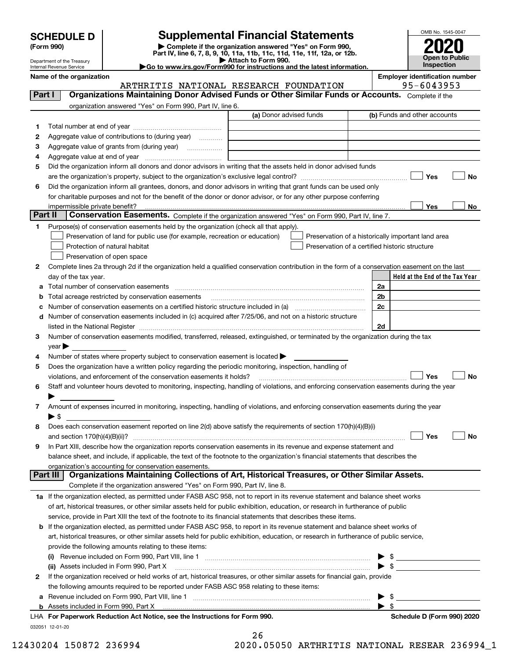| <b>SCHEDULE D</b> |  |
|-------------------|--|
|-------------------|--|

Department of the Treasury Internal Revenue Service

| (Form 990) |  |
|------------|--|
|------------|--|

# **Supplemental Financial Statements**

(Form 990)<br>
Pepartment of the Treasury<br>
Department of the Treasury<br>
Department of the Treasury<br>
Department of the Treasury<br> **Co to www.irs.gov/Form990 for instructions and the latest information.**<br> **Co to www.irs.gov/Form9** 

|  | Go to www.irs.gov/Form990 for instructions and the latest informati~ |  |  |  |
|--|----------------------------------------------------------------------|--|--|--|
|  |                                                                      |  |  |  |



**Name of the organization Employer identification number**

ARTHRITIS NATIONAL RESEARCH FOUNDATION 95-6043953

| Part I  |                 | Organizations Maintaining Donor Advised Funds or Other Similar Funds or Accounts. Complete if the                                              |                         |                |                                                    |    |
|---------|-----------------|------------------------------------------------------------------------------------------------------------------------------------------------|-------------------------|----------------|----------------------------------------------------|----|
|         |                 | organization answered "Yes" on Form 990, Part IV, line 6.                                                                                      |                         |                |                                                    |    |
|         |                 |                                                                                                                                                | (a) Donor advised funds |                | (b) Funds and other accounts                       |    |
| 1       |                 |                                                                                                                                                |                         |                |                                                    |    |
| 2       |                 | Aggregate value of contributions to (during year)                                                                                              |                         |                |                                                    |    |
| з       |                 | Aggregate value of grants from (during year)<br>.                                                                                              |                         |                |                                                    |    |
| 4       |                 |                                                                                                                                                |                         |                |                                                    |    |
| 5       |                 | Did the organization inform all donors and donor advisors in writing that the assets held in donor advised funds                               |                         |                |                                                    |    |
|         |                 |                                                                                                                                                |                         |                | Yes                                                | No |
| 6       |                 | Did the organization inform all grantees, donors, and donor advisors in writing that grant funds can be used only                              |                         |                |                                                    |    |
|         |                 | for charitable purposes and not for the benefit of the donor or donor advisor, or for any other purpose conferring                             |                         |                |                                                    |    |
|         |                 | impermissible private benefit?                                                                                                                 |                         |                | Yes                                                | No |
| Part II |                 | Conservation Easements. Complete if the organization answered "Yes" on Form 990, Part IV, line 7.                                              |                         |                |                                                    |    |
| 1       |                 | Purpose(s) of conservation easements held by the organization (check all that apply).                                                          |                         |                |                                                    |    |
|         |                 | Preservation of land for public use (for example, recreation or education)                                                                     |                         |                | Preservation of a historically important land area |    |
|         |                 | Protection of natural habitat                                                                                                                  |                         |                | Preservation of a certified historic structure     |    |
|         |                 | Preservation of open space                                                                                                                     |                         |                |                                                    |    |
| 2       |                 | Complete lines 2a through 2d if the organization held a qualified conservation contribution in the form of a conservation easement on the last |                         |                |                                                    |    |
|         |                 | day of the tax year.                                                                                                                           |                         |                | Held at the End of the Tax Year                    |    |
|         |                 |                                                                                                                                                |                         | 2a             |                                                    |    |
|         |                 | Total acreage restricted by conservation easements                                                                                             |                         | 2 <sub>b</sub> |                                                    |    |
|         |                 |                                                                                                                                                |                         | 2c             |                                                    |    |
| d       |                 | Number of conservation easements included in (c) acquired after 7/25/06, and not on a historic structure                                       |                         |                |                                                    |    |
|         |                 |                                                                                                                                                |                         | 2d             |                                                    |    |
| з       |                 | Number of conservation easements modified, transferred, released, extinguished, or terminated by the organization during the tax               |                         |                |                                                    |    |
|         | year            |                                                                                                                                                |                         |                |                                                    |    |
| 4       |                 | Number of states where property subject to conservation easement is located >                                                                  |                         |                |                                                    |    |
| 5       |                 | Does the organization have a written policy regarding the periodic monitoring, inspection, handling of                                         |                         |                |                                                    |    |
|         |                 | violations, and enforcement of the conservation easements it holds?                                                                            |                         |                | Yes                                                | No |
| 6       |                 | Staff and volunteer hours devoted to monitoring, inspecting, handling of violations, and enforcing conservation easements during the year      |                         |                |                                                    |    |
|         |                 |                                                                                                                                                |                         |                |                                                    |    |
| 7.      |                 | Amount of expenses incurred in monitoring, inspecting, handling of violations, and enforcing conservation easements during the year            |                         |                |                                                    |    |
|         | ▶ \$            |                                                                                                                                                |                         |                |                                                    |    |
| 8       |                 | Does each conservation easement reported on line 2(d) above satisfy the requirements of section 170(h)(4)(B)(i)                                |                         |                |                                                    |    |
|         |                 | and section $170(h)(4)(B)(ii)?$                                                                                                                |                         |                | Yes                                                | No |
| 9       |                 | In Part XIII, describe how the organization reports conservation easements in its revenue and expense statement and                            |                         |                |                                                    |    |
|         |                 | balance sheet, and include, if applicable, the text of the footnote to the organization's financial statements that describes the              |                         |                |                                                    |    |
|         |                 | organization's accounting for conservation easements.                                                                                          |                         |                |                                                    |    |
|         | <b>Part III</b> | Organizations Maintaining Collections of Art, Historical Treasures, or Other Similar Assets.                                                   |                         |                |                                                    |    |
|         |                 | Complete if the organization answered "Yes" on Form 990, Part IV, line 8.                                                                      |                         |                |                                                    |    |
|         |                 | 1a If the organization elected, as permitted under FASB ASC 958, not to report in its revenue statement and balance sheet works                |                         |                |                                                    |    |
|         |                 | of art, historical treasures, or other similar assets held for public exhibition, education, or research in furtherance of public              |                         |                |                                                    |    |
|         |                 | service, provide in Part XIII the text of the footnote to its financial statements that describes these items.                                 |                         |                |                                                    |    |
| b       |                 | If the organization elected, as permitted under FASB ASC 958, to report in its revenue statement and balance sheet works of                    |                         |                |                                                    |    |
|         |                 | art, historical treasures, or other similar assets held for public exhibition, education, or research in furtherance of public service,        |                         |                |                                                    |    |
|         |                 | provide the following amounts relating to these items:                                                                                         |                         |                |                                                    |    |
|         |                 |                                                                                                                                                |                         |                |                                                    |    |
|         |                 | (ii) Assets included in Form 990, Part X                                                                                                       |                         |                | $\mathbb{S}$                                       |    |
| 2       |                 | If the organization received or held works of art, historical treasures, or other similar assets for financial gain, provide                   |                         |                |                                                    |    |
|         |                 | the following amounts required to be reported under FASB ASC 958 relating to these items:                                                      |                         |                |                                                    |    |
|         |                 | Revenue included on Form 990, Part VIII, line 1 [2000] [2000] [2000] [2000] [3000] [3000] [3000] [3000] [3000                                  |                         |                |                                                    |    |
| b       |                 | Assets included in Form 990, Part X                                                                                                            |                         |                | $\blacktriangleright$ s                            |    |
|         |                 | LHA For Paperwork Reduction Act Notice, see the Instructions for Form 990.                                                                     |                         |                | Schedule D (Form 990) 2020                         |    |
|         | 032051 12-01-20 |                                                                                                                                                |                         |                |                                                    |    |

| -26 |                                                 |  |
|-----|-------------------------------------------------|--|
|     | $\circ$ $\circ$ $\circ$ $\circ$ $\circ$ $\circ$ |  |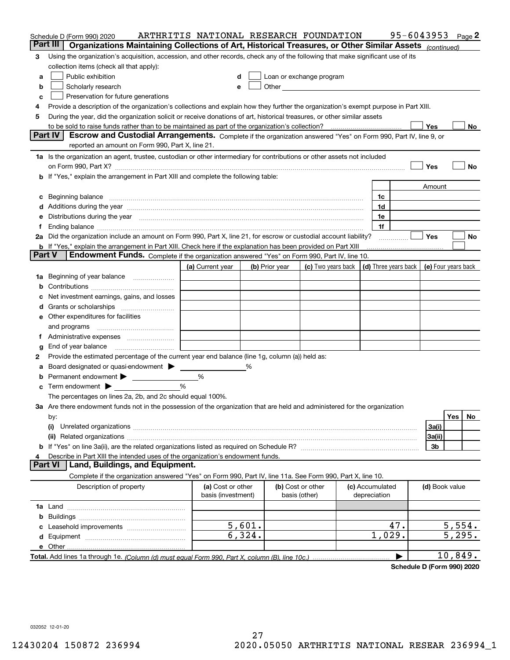|               | Schedule D (Form 990) 2020                                                                                                                                                                                                     | ARTHRITIS NATIONAL RESEARCH FOUNDATION |        |                |                                                                                                                                                                                                                               |                 |        | 95-6043953     | Page 2              |
|---------------|--------------------------------------------------------------------------------------------------------------------------------------------------------------------------------------------------------------------------------|----------------------------------------|--------|----------------|-------------------------------------------------------------------------------------------------------------------------------------------------------------------------------------------------------------------------------|-----------------|--------|----------------|---------------------|
| Part III      | Organizations Maintaining Collections of Art, Historical Treasures, or Other Similar Assets (continued)                                                                                                                        |                                        |        |                |                                                                                                                                                                                                                               |                 |        |                |                     |
| 3             | Using the organization's acquisition, accession, and other records, check any of the following that make significant use of its                                                                                                |                                        |        |                |                                                                                                                                                                                                                               |                 |        |                |                     |
|               | collection items (check all that apply):                                                                                                                                                                                       |                                        |        |                |                                                                                                                                                                                                                               |                 |        |                |                     |
| a             | Public exhibition                                                                                                                                                                                                              | d                                      |        |                | Loan or exchange program                                                                                                                                                                                                      |                 |        |                |                     |
| b             | Scholarly research                                                                                                                                                                                                             | e                                      |        |                | Other and the contract of the contract of the contract of the contract of the contract of the contract of the contract of the contract of the contract of the contract of the contract of the contract of the contract of the |                 |        |                |                     |
| с             | Preservation for future generations                                                                                                                                                                                            |                                        |        |                |                                                                                                                                                                                                                               |                 |        |                |                     |
| 4             | Provide a description of the organization's collections and explain how they further the organization's exempt purpose in Part XIII.                                                                                           |                                        |        |                |                                                                                                                                                                                                                               |                 |        |                |                     |
| 5             | During the year, did the organization solicit or receive donations of art, historical treasures, or other similar assets                                                                                                       |                                        |        |                |                                                                                                                                                                                                                               |                 |        |                |                     |
|               |                                                                                                                                                                                                                                |                                        |        |                |                                                                                                                                                                                                                               |                 |        | Yes            | No                  |
|               | Part IV<br>Escrow and Custodial Arrangements. Complete if the organization answered "Yes" on Form 990, Part IV, line 9, or                                                                                                     |                                        |        |                |                                                                                                                                                                                                                               |                 |        |                |                     |
|               | reported an amount on Form 990, Part X, line 21.                                                                                                                                                                               |                                        |        |                |                                                                                                                                                                                                                               |                 |        |                |                     |
|               | 1a Is the organization an agent, trustee, custodian or other intermediary for contributions or other assets not included                                                                                                       |                                        |        |                |                                                                                                                                                                                                                               |                 |        |                |                     |
|               |                                                                                                                                                                                                                                |                                        |        |                |                                                                                                                                                                                                                               |                 |        | Yes            | No                  |
| b             | If "Yes," explain the arrangement in Part XIII and complete the following table:                                                                                                                                               |                                        |        |                |                                                                                                                                                                                                                               |                 |        |                |                     |
|               |                                                                                                                                                                                                                                |                                        |        |                |                                                                                                                                                                                                                               |                 |        | Amount         |                     |
| c             | Beginning balance <b>contract to the contract of the contract of the contract of the contract of the contract of t</b>                                                                                                         |                                        |        |                |                                                                                                                                                                                                                               |                 | 1c     |                |                     |
| d             | Additions during the year manufactured and an account of the state of the state of the state of the state of the state of the state of the state of the state of the state of the state of the state of the state of the state |                                        |        |                |                                                                                                                                                                                                                               |                 | 1d     |                |                     |
| е             | Distributions during the year manufactured and continuum and contact the year manufactured and contact the year                                                                                                                |                                        |        |                |                                                                                                                                                                                                                               |                 | 1e     |                |                     |
| f             | Ending balance measurements are all the contract of the contract of the contract of the contract of the contract of the contract of the contract of the contract of the contract of the contract of the contract of the contra |                                        |        |                |                                                                                                                                                                                                                               |                 | 1f     |                |                     |
|               | 2a Did the organization include an amount on Form 990, Part X, line 21, for escrow or custodial account liability?                                                                                                             |                                        |        |                |                                                                                                                                                                                                                               |                 |        | Yes            | No                  |
|               | <b>b</b> If "Yes," explain the arrangement in Part XIII. Check here if the explanation has been provided on Part XIII                                                                                                          |                                        |        |                |                                                                                                                                                                                                                               |                 |        |                |                     |
| <b>Part V</b> | Endowment Funds. Complete if the organization answered "Yes" on Form 990, Part IV, line 10.                                                                                                                                    |                                        |        |                |                                                                                                                                                                                                                               |                 |        |                |                     |
|               |                                                                                                                                                                                                                                | (a) Current year                       |        | (b) Prior year | (c) Two years back $\vert$ (d) Three years back $\vert$                                                                                                                                                                       |                 |        |                | (e) Four years back |
| 1a            | Beginning of year balance                                                                                                                                                                                                      |                                        |        |                |                                                                                                                                                                                                                               |                 |        |                |                     |
| b             |                                                                                                                                                                                                                                |                                        |        |                |                                                                                                                                                                                                                               |                 |        |                |                     |
|               | Net investment earnings, gains, and losses                                                                                                                                                                                     |                                        |        |                |                                                                                                                                                                                                                               |                 |        |                |                     |
| d             |                                                                                                                                                                                                                                |                                        |        |                |                                                                                                                                                                                                                               |                 |        |                |                     |
|               | e Other expenditures for facilities                                                                                                                                                                                            |                                        |        |                |                                                                                                                                                                                                                               |                 |        |                |                     |
|               | and programs                                                                                                                                                                                                                   |                                        |        |                |                                                                                                                                                                                                                               |                 |        |                |                     |
| 1.            | Administrative expenses <i>manually communication</i>                                                                                                                                                                          |                                        |        |                |                                                                                                                                                                                                                               |                 |        |                |                     |
| g             | End of year balance<br>Provide the estimated percentage of the current year end balance (line 1g, column (a)) held as:                                                                                                         |                                        |        |                |                                                                                                                                                                                                                               |                 |        |                |                     |
| 2             | Board designated or quasi-endowment >                                                                                                                                                                                          |                                        |        |                |                                                                                                                                                                                                                               |                 |        |                |                     |
| а<br>b        | Permanent endowment >                                                                                                                                                                                                          | %                                      |        |                |                                                                                                                                                                                                                               |                 |        |                |                     |
| c             | Term endowment $\blacktriangleright$                                                                                                                                                                                           | %                                      |        |                |                                                                                                                                                                                                                               |                 |        |                |                     |
|               | The percentages on lines 2a, 2b, and 2c should equal 100%.                                                                                                                                                                     |                                        |        |                |                                                                                                                                                                                                                               |                 |        |                |                     |
|               | 3a Are there endowment funds not in the possession of the organization that are held and administered for the organization                                                                                                     |                                        |        |                |                                                                                                                                                                                                                               |                 |        |                |                     |
|               | by:                                                                                                                                                                                                                            |                                        |        |                |                                                                                                                                                                                                                               |                 |        |                | <b>Yes</b><br>No    |
|               | (i)                                                                                                                                                                                                                            |                                        |        |                |                                                                                                                                                                                                                               |                 |        | 3a(i)          |                     |
|               |                                                                                                                                                                                                                                |                                        |        |                |                                                                                                                                                                                                                               |                 |        | 3a(ii)         |                     |
|               |                                                                                                                                                                                                                                |                                        |        |                |                                                                                                                                                                                                                               |                 |        | 3b             |                     |
|               | Describe in Part XIII the intended uses of the organization's endowment funds.                                                                                                                                                 |                                        |        |                |                                                                                                                                                                                                                               |                 |        |                |                     |
|               | <b>Part VI</b><br>Land, Buildings, and Equipment.                                                                                                                                                                              |                                        |        |                |                                                                                                                                                                                                                               |                 |        |                |                     |
|               | Complete if the organization answered "Yes" on Form 990, Part IV, line 11a. See Form 990, Part X, line 10.                                                                                                                     |                                        |        |                |                                                                                                                                                                                                                               |                 |        |                |                     |
|               | Description of property                                                                                                                                                                                                        | (a) Cost or other                      |        |                | (b) Cost or other                                                                                                                                                                                                             | (c) Accumulated |        | (d) Book value |                     |
|               |                                                                                                                                                                                                                                | basis (investment)                     |        |                | basis (other)                                                                                                                                                                                                                 | depreciation    |        |                |                     |
|               |                                                                                                                                                                                                                                |                                        |        |                |                                                                                                                                                                                                                               |                 |        |                |                     |
| b             |                                                                                                                                                                                                                                |                                        |        |                |                                                                                                                                                                                                                               |                 |        |                |                     |
|               | Leasehold improvements                                                                                                                                                                                                         |                                        | 5,601. |                |                                                                                                                                                                                                                               |                 | 47.    |                | 5,554.              |
|               |                                                                                                                                                                                                                                |                                        | 6,324. |                |                                                                                                                                                                                                                               |                 | 1,029. |                | 5,295.              |
|               |                                                                                                                                                                                                                                |                                        |        |                |                                                                                                                                                                                                                               |                 |        |                |                     |
|               |                                                                                                                                                                                                                                |                                        |        |                |                                                                                                                                                                                                                               |                 |        |                | 10,849.             |

**Schedule D (Form 990) 2020**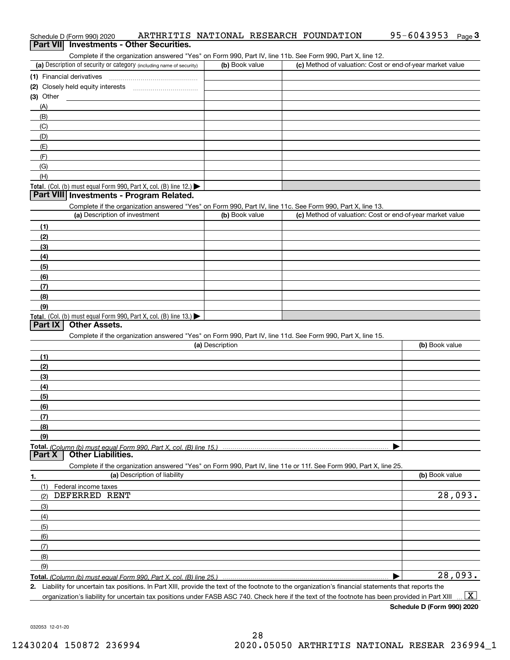|                  | Schedule D (Form 990) 2020                                                                                                                                                                                                                                                                             |                 |                | ARTHRITIS NATIONAL RESEARCH FOUNDATION | 95-6043953<br>Page $3$                                    |
|------------------|--------------------------------------------------------------------------------------------------------------------------------------------------------------------------------------------------------------------------------------------------------------------------------------------------------|-----------------|----------------|----------------------------------------|-----------------------------------------------------------|
| <b>Part VIII</b> | <b>Investments - Other Securities.</b>                                                                                                                                                                                                                                                                 |                 |                |                                        |                                                           |
|                  | Complete if the organization answered "Yes" on Form 990, Part IV, line 11b. See Form 990, Part X, line 12.                                                                                                                                                                                             |                 |                |                                        |                                                           |
|                  | (a) Description of security or category (including name of security)                                                                                                                                                                                                                                   |                 | (b) Book value |                                        | (c) Method of valuation: Cost or end-of-year market value |
|                  | (1) Financial derivatives                                                                                                                                                                                                                                                                              |                 |                |                                        |                                                           |
|                  |                                                                                                                                                                                                                                                                                                        |                 |                |                                        |                                                           |
| $(3)$ Other      |                                                                                                                                                                                                                                                                                                        |                 |                |                                        |                                                           |
| (A)              |                                                                                                                                                                                                                                                                                                        |                 |                |                                        |                                                           |
| (B)              |                                                                                                                                                                                                                                                                                                        |                 |                |                                        |                                                           |
| (C)              |                                                                                                                                                                                                                                                                                                        |                 |                |                                        |                                                           |
| (D)              |                                                                                                                                                                                                                                                                                                        |                 |                |                                        |                                                           |
| (E)              |                                                                                                                                                                                                                                                                                                        |                 |                |                                        |                                                           |
| (F)              |                                                                                                                                                                                                                                                                                                        |                 |                |                                        |                                                           |
| (G)              |                                                                                                                                                                                                                                                                                                        |                 |                |                                        |                                                           |
| (H)              |                                                                                                                                                                                                                                                                                                        |                 |                |                                        |                                                           |
|                  | Total. (Col. (b) must equal Form 990, Part X, col. (B) line 12.)                                                                                                                                                                                                                                       |                 |                |                                        |                                                           |
|                  | Part VIII Investments - Program Related.                                                                                                                                                                                                                                                               |                 |                |                                        |                                                           |
|                  |                                                                                                                                                                                                                                                                                                        |                 |                |                                        |                                                           |
|                  | Complete if the organization answered "Yes" on Form 990, Part IV, line 11c. See Form 990, Part X, line 13.<br>(a) Description of investment                                                                                                                                                            |                 | (b) Book value |                                        | (c) Method of valuation: Cost or end-of-year market value |
|                  |                                                                                                                                                                                                                                                                                                        |                 |                |                                        |                                                           |
| (1)              |                                                                                                                                                                                                                                                                                                        |                 |                |                                        |                                                           |
| (2)              |                                                                                                                                                                                                                                                                                                        |                 |                |                                        |                                                           |
| (3)              |                                                                                                                                                                                                                                                                                                        |                 |                |                                        |                                                           |
| (4)              |                                                                                                                                                                                                                                                                                                        |                 |                |                                        |                                                           |
| (5)              |                                                                                                                                                                                                                                                                                                        |                 |                |                                        |                                                           |
| (6)              |                                                                                                                                                                                                                                                                                                        |                 |                |                                        |                                                           |
| (7)              |                                                                                                                                                                                                                                                                                                        |                 |                |                                        |                                                           |
| (8)              |                                                                                                                                                                                                                                                                                                        |                 |                |                                        |                                                           |
| (9)              |                                                                                                                                                                                                                                                                                                        |                 |                |                                        |                                                           |
|                  | Total. (Col. (b) must equal Form 990, Part X, col. (B) line 13.)                                                                                                                                                                                                                                       |                 |                |                                        |                                                           |
| Part IX          | <b>Other Assets.</b>                                                                                                                                                                                                                                                                                   |                 |                |                                        |                                                           |
|                  | Complete if the organization answered "Yes" on Form 990, Part IV, line 11d. See Form 990, Part X, line 15.                                                                                                                                                                                             |                 |                |                                        |                                                           |
|                  |                                                                                                                                                                                                                                                                                                        | (a) Description |                |                                        | (b) Book value                                            |
| (1)              |                                                                                                                                                                                                                                                                                                        |                 |                |                                        |                                                           |
| (2)              |                                                                                                                                                                                                                                                                                                        |                 |                |                                        |                                                           |
| (3)              |                                                                                                                                                                                                                                                                                                        |                 |                |                                        |                                                           |
| (4)              |                                                                                                                                                                                                                                                                                                        |                 |                |                                        |                                                           |
| (5)              |                                                                                                                                                                                                                                                                                                        |                 |                |                                        |                                                           |
| (6)              |                                                                                                                                                                                                                                                                                                        |                 |                |                                        |                                                           |
| (7)              |                                                                                                                                                                                                                                                                                                        |                 |                |                                        |                                                           |
| (8)              |                                                                                                                                                                                                                                                                                                        |                 |                |                                        |                                                           |
| (9)              |                                                                                                                                                                                                                                                                                                        |                 |                |                                        |                                                           |
|                  |                                                                                                                                                                                                                                                                                                        |                 |                |                                        |                                                           |
| Part X           | <b>Other Liabilities.</b>                                                                                                                                                                                                                                                                              |                 |                |                                        |                                                           |
|                  | Complete if the organization answered "Yes" on Form 990, Part IV, line 11e or 11f. See Form 990, Part X, line 25.                                                                                                                                                                                      |                 |                |                                        |                                                           |
| 1.               | (a) Description of liability                                                                                                                                                                                                                                                                           |                 |                |                                        | (b) Book value                                            |
| (1)              | Federal income taxes                                                                                                                                                                                                                                                                                   |                 |                |                                        |                                                           |
| (2)              | DEFERRED RENT                                                                                                                                                                                                                                                                                          |                 |                |                                        | 28,093.                                                   |
| (3)              |                                                                                                                                                                                                                                                                                                        |                 |                |                                        |                                                           |
| (4)              |                                                                                                                                                                                                                                                                                                        |                 |                |                                        |                                                           |
| (5)              |                                                                                                                                                                                                                                                                                                        |                 |                |                                        |                                                           |
| (6)              |                                                                                                                                                                                                                                                                                                        |                 |                |                                        |                                                           |
| (7)              |                                                                                                                                                                                                                                                                                                        |                 |                |                                        |                                                           |
| (8)              |                                                                                                                                                                                                                                                                                                        |                 |                |                                        |                                                           |
|                  |                                                                                                                                                                                                                                                                                                        |                 |                |                                        |                                                           |
| (9)              |                                                                                                                                                                                                                                                                                                        |                 |                |                                        | 28,093.                                                   |
|                  |                                                                                                                                                                                                                                                                                                        |                 |                |                                        |                                                           |
|                  | 2. Liability for uncertain tax positions. In Part XIII, provide the text of the footnote to the organization's financial statements that reports the<br>organization's liability for uncertain tax positions under FASB ASC 740. Check here if the text of the footnote has been provided in Part XIII |                 |                |                                        | $\mathbf{X}$                                              |

**Schedule D (Form 990) 2020**

032053 12-01-20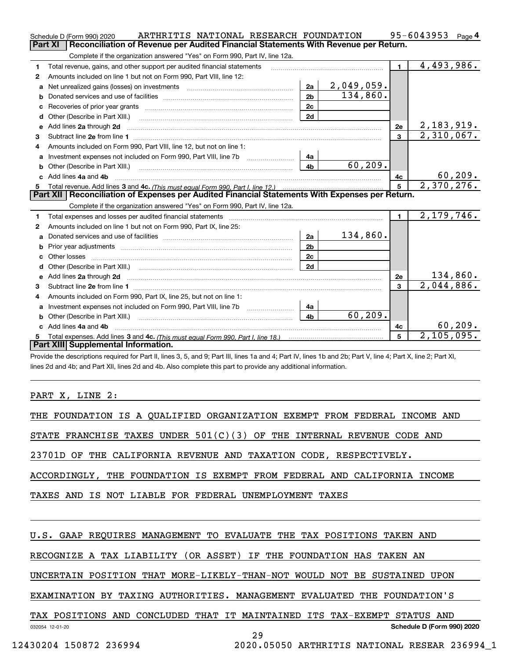|   | ARTHRITIS NATIONAL RESEARCH FOUNDATION<br>Schedule D (Form 990) 2020                                                                                          |                |            |                 | 95-6043953<br>Page $4$     |
|---|---------------------------------------------------------------------------------------------------------------------------------------------------------------|----------------|------------|-----------------|----------------------------|
|   | <b>Part XI</b><br>Reconciliation of Revenue per Audited Financial Statements With Revenue per Return.                                                         |                |            |                 |                            |
|   | Complete if the organization answered "Yes" on Form 990, Part IV, line 12a.                                                                                   |                |            |                 |                            |
| 1 | Total revenue, gains, and other support per audited financial statements                                                                                      |                |            | $\mathbf{1}$    | 4,493,986.                 |
| 2 | Amounts included on line 1 but not on Form 990, Part VIII, line 12:                                                                                           |                |            |                 |                            |
| a |                                                                                                                                                               | 2a             | 2,049,059. |                 |                            |
| b |                                                                                                                                                               | 2 <sub>b</sub> | 134,860.   |                 |                            |
|   |                                                                                                                                                               | 2c             |            |                 |                            |
| d |                                                                                                                                                               | 2d             |            |                 |                            |
| e | Add lines 2a through 2d                                                                                                                                       |                |            | 2e              | 2,183,919.                 |
| 3 |                                                                                                                                                               |                |            | $\mathbf{3}$    | $\overline{2,310},067$ .   |
| 4 | Amounts included on Form 990, Part VIII, line 12, but not on line 1:                                                                                          |                |            |                 |                            |
| a | Investment expenses not included on Form 990, Part VIII, line 7b [1000000000000000000000000000000000                                                          | 4a             |            |                 |                            |
|   | Other (Describe in Part XIII.) <b>Construction Construction</b> Chern Construction Chern Chern Chern Chern Chern Chern                                        | 4 <sub>b</sub> | 60, 209.   |                 |                            |
|   | c Add lines 4a and 4b                                                                                                                                         |                |            | 4с              | $\frac{60,209}{2,370,276}$ |
|   |                                                                                                                                                               |                |            | $5\phantom{.0}$ |                            |
|   |                                                                                                                                                               |                |            |                 |                            |
|   | Part XII Reconciliation of Expenses per Audited Financial Statements With Expenses per Return.                                                                |                |            |                 |                            |
|   | Complete if the organization answered "Yes" on Form 990, Part IV, line 12a.                                                                                   |                |            |                 |                            |
| 1 |                                                                                                                                                               |                |            | $\blacksquare$  | 2,179,746.                 |
| 2 | Amounts included on line 1 but not on Form 990, Part IX, line 25:                                                                                             |                |            |                 |                            |
| a |                                                                                                                                                               | 2a             | 134,860.   |                 |                            |
| b | Prior year adjustments <i>communically contained and all examples</i> and the prior year adjustments and the set of the                                       | 2 <sub>b</sub> |            |                 |                            |
|   |                                                                                                                                                               | 2c             |            |                 |                            |
| d |                                                                                                                                                               | 2d             |            |                 |                            |
|   |                                                                                                                                                               |                |            | 2e              | 134,860.                   |
| 3 |                                                                                                                                                               |                |            | $\mathbf{3}$    | $\overline{2,044,886}$ .   |
| 4 | Amounts included on Form 990, Part IX, line 25, but not on line 1:                                                                                            |                |            |                 |                            |
| a | Investment expenses not included on Form 990, Part VIII, line 7b [1000000000000000000000000000000000                                                          | 4a             |            |                 |                            |
|   | Other (Describe in Part XIII.)                                                                                                                                | 4 <sub>b</sub> | 60, 209.   |                 |                            |
|   | c Add lines 4a and 4b                                                                                                                                         |                |            | 4c              | 60, 209.                   |
|   | Total expenses. Add lines 3 and 4c. (This must equal Form 990, Part I, line 18.) <b>Conservers</b> manufactured in the<br>Part XIII Supplemental Information. |                |            | 5               | 2,105,095.                 |

Provide the descriptions required for Part II, lines 3, 5, and 9; Part III, lines 1a and 4; Part IV, lines 1b and 2b; Part V, line 4; Part X, line 2; Part XI, lines 2d and 4b; and Part XII, lines 2d and 4b. Also complete this part to provide any additional information.

## PART X, LINE 2:

|  |  |  |  |  | THE FOUNDATION IS A QUALIFIED ORGANIZATION EXEMPT FROM FEDERAL INCOME AND |  |  |  |  |  |
|--|--|--|--|--|---------------------------------------------------------------------------|--|--|--|--|--|
|--|--|--|--|--|---------------------------------------------------------------------------|--|--|--|--|--|

STATE FRANCHISE TAXES UNDER 501(C)(3) OF THE INTERNAL REVENUE CODE AND

23701D OF THE CALIFORNIA REVENUE AND TAXATION CODE, RESPECTIVELY.

ACCORDINGLY, THE FOUNDATION IS EXEMPT FROM FEDERAL AND CALIFORNIA INCOME

TAXES AND IS NOT LIABLE FOR FEDERAL UNEMPLOYMENT TAXES

## U.S. GAAP REQUIRES MANAGEMENT TO EVALUATE THE TAX POSITIONS TAKEN AND

RECOGNIZE A TAX LIABILITY (OR ASSET) IF THE FOUNDATION HAS TAKEN AN

UNCERTAIN POSITION THAT MORE-LIKELY-THAN-NOT WOULD NOT BE SUSTAINED UPON

EXAMINATION BY TAXING AUTHORITIES. MANAGEMENT EVALUATED THE FOUNDATION'S

## TAX POSITIONS AND CONCLUDED THAT IT MAINTAINED ITS TAX-EXEMPT STATUS AND

032054 12-01-20

29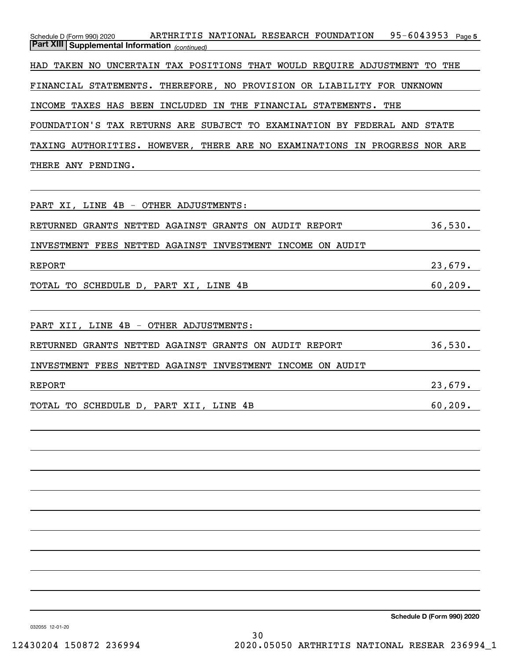| ARTHRITIS NATIONAL RESEARCH FOUNDATION 95-6043953 Page 5<br>Schedule D (Form 990) 2020<br>Part XIII Supplemental Information (continued) |  |
|------------------------------------------------------------------------------------------------------------------------------------------|--|
| HAD TAKEN NO UNCERTAIN TAX POSITIONS THAT WOULD REQUIRE ADJUSTMENT TO THE                                                                |  |
| FINANCIAL STATEMENTS. THEREFORE, NO PROVISION OR LIABILITY FOR UNKNOWN                                                                   |  |
| INCOME TAXES HAS BEEN INCLUDED IN THE FINANCIAL STATEMENTS. THE                                                                          |  |
| FOUNDATION'S TAX RETURNS ARE SUBJECT TO EXAMINATION BY FEDERAL AND STATE                                                                 |  |
| TAXING AUTHORITIES. HOWEVER, THERE ARE NO EXAMINATIONS IN PROGRESS NOR ARE                                                               |  |
| THERE ANY PENDING.                                                                                                                       |  |
|                                                                                                                                          |  |
| PART XI, LINE 4B - OTHER ADJUSTMENTS:                                                                                                    |  |
| 36,530.<br>RETURNED GRANTS NETTED AGAINST GRANTS ON AUDIT REPORT                                                                         |  |
| INVESTMENT FEES NETTED AGAINST INVESTMENT INCOME ON AUDIT                                                                                |  |
| REPORT<br>23,679.                                                                                                                        |  |
| 60, 209.<br>TOTAL TO SCHEDULE D, PART XI, LINE 4B                                                                                        |  |
|                                                                                                                                          |  |
| PART XII, LINE 4B - OTHER ADJUSTMENTS:                                                                                                   |  |
| 36,530.<br>RETURNED GRANTS NETTED AGAINST GRANTS ON AUDIT REPORT                                                                         |  |
| INVESTMENT FEES NETTED AGAINST INVESTMENT INCOME ON AUDIT                                                                                |  |
| <b>REPORT</b><br>23,679.                                                                                                                 |  |
| 60, 209.<br>TOTAL TO SCHEDULE D, PART XII, LINE 4B                                                                                       |  |
|                                                                                                                                          |  |
|                                                                                                                                          |  |
|                                                                                                                                          |  |
|                                                                                                                                          |  |
|                                                                                                                                          |  |
|                                                                                                                                          |  |
|                                                                                                                                          |  |
|                                                                                                                                          |  |
|                                                                                                                                          |  |
|                                                                                                                                          |  |

**Schedule D (Form 990) 2020**

032055 12-01-20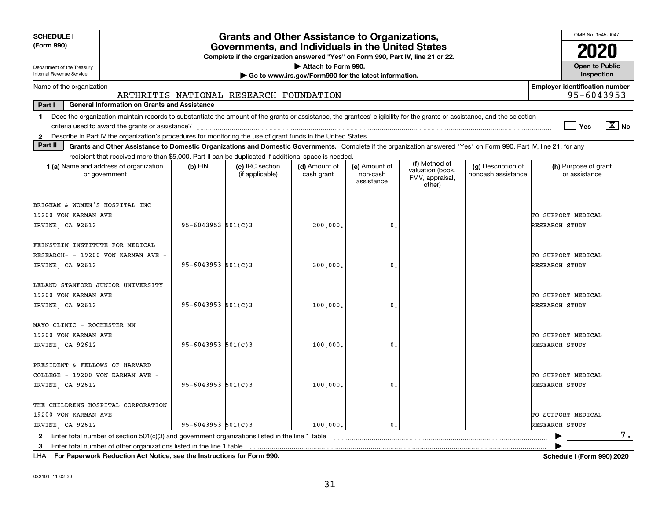| <b>SCHEDULE I</b><br>(Form 990)                                                                                                                                                |                          | <b>Grants and Other Assistance to Organizations,</b><br>Governments, and Individuals in the United States<br>Complete if the organization answered "Yes" on Form 990, Part IV, line 21 or 22. |                                                       |                                         |                                                                |                                          | OMB No. 1545-0047<br>2020                  |
|--------------------------------------------------------------------------------------------------------------------------------------------------------------------------------|--------------------------|-----------------------------------------------------------------------------------------------------------------------------------------------------------------------------------------------|-------------------------------------------------------|-----------------------------------------|----------------------------------------------------------------|------------------------------------------|--------------------------------------------|
| Department of the Treasury<br>Internal Revenue Service                                                                                                                         |                          |                                                                                                                                                                                               | Attach to Form 990.                                   |                                         |                                                                |                                          | <b>Open to Public</b><br>Inspection        |
| Name of the organization                                                                                                                                                       |                          |                                                                                                                                                                                               | Go to www.irs.gov/Form990 for the latest information. |                                         |                                                                |                                          | <b>Employer identification number</b>      |
|                                                                                                                                                                                |                          | ARTHRITIS NATIONAL RESEARCH FOUNDATION                                                                                                                                                        |                                                       |                                         |                                                                |                                          | 95-6043953                                 |
| Part I<br><b>General Information on Grants and Assistance</b>                                                                                                                  |                          |                                                                                                                                                                                               |                                                       |                                         |                                                                |                                          |                                            |
| Does the organization maintain records to substantiate the amount of the grants or assistance, the grantees' eligibility for the grants or assistance, and the selection<br>1. |                          |                                                                                                                                                                                               |                                                       |                                         |                                                                |                                          |                                            |
|                                                                                                                                                                                |                          |                                                                                                                                                                                               |                                                       |                                         |                                                                |                                          | $\boxed{\text{X}}$ No<br>Yes               |
| Describe in Part IV the organization's procedures for monitoring the use of grant funds in the United States.<br>$\mathbf{2}$<br>Part II                                       |                          |                                                                                                                                                                                               |                                                       |                                         |                                                                |                                          |                                            |
| Grants and Other Assistance to Domestic Organizations and Domestic Governments. Complete if the organization answered "Yes" on Form 990, Part IV, line 21, for any             |                          |                                                                                                                                                                                               |                                                       |                                         |                                                                |                                          |                                            |
| recipient that received more than \$5,000. Part II can be duplicated if additional space is needed.<br><b>1 (a)</b> Name and address of organization<br>or government          | $(b)$ EIN                | (c) IRC section<br>(if applicable)                                                                                                                                                            | (d) Amount of<br>cash grant                           | (e) Amount of<br>non-cash<br>assistance | (f) Method of<br>valuation (book,<br>FMV, appraisal,<br>other) | (g) Description of<br>noncash assistance | (h) Purpose of grant<br>or assistance      |
| BRIGHAM & WOMEN'S HOSPITAL INC<br>19200 VON KARMAN AVE<br>IRVINE, CA 92612                                                                                                     | $95 - 6043953$ 501(C)3   |                                                                                                                                                                                               | 200,000.                                              | 0.                                      |                                                                |                                          | TO SUPPORT MEDICAL<br>RESEARCH STUDY       |
| FEINSTEIN INSTITUTE FOR MEDICAL<br>RESEARCH- - 19200 VON KARMAN AVE -<br>IRVINE, CA 92612                                                                                      | $95 - 6043953$ 501(C)3   |                                                                                                                                                                                               | 300,000,                                              | $\mathbf{0}$ .                          |                                                                |                                          | TO SUPPORT MEDICAL<br>RESEARCH STUDY       |
| LELAND STANFORD JUNIOR UNIVERSITY<br>19200 VON KARMAN AVE<br>IRVINE, CA 92612                                                                                                  | $95 - 6043953$ 501(C)3   |                                                                                                                                                                                               | 100,000.                                              | $\mathbf{0}$ .                          |                                                                |                                          | TO SUPPORT MEDICAL<br>RESEARCH STUDY       |
| MAYO CLINIC - ROCHESTER MN<br>19200 VON KARMAN AVE<br>IRVINE, CA 92612                                                                                                         | $95 - 6043953$ 501(C)3   |                                                                                                                                                                                               | 100,000,                                              | $\mathbf{0}$ .                          |                                                                |                                          | TO SUPPORT MEDICAL<br>RESEARCH STUDY       |
| PRESIDENT & FELLOWS OF HARVARD<br>COLLEGE - 19200 VON KARMAN AVE -<br>IRVINE, CA 92612                                                                                         | $95 - 6043953$ 501(C)3   |                                                                                                                                                                                               | 100,000.                                              | $\mathbf{0}$ .                          |                                                                |                                          | TO SUPPORT MEDICAL<br>RESEARCH STUDY       |
| THE CHILDRENS HOSPITAL CORPORATION<br>19200 VON KARMAN AVE<br>IRVINE, CA 92612                                                                                                 | $95 - 6043953$ $501(C)3$ |                                                                                                                                                                                               | 100,000.                                              | 0.                                      |                                                                |                                          | TO SUPPORT MEDICAL<br>RESEARCH STUDY<br>7. |
| 2 Enter total number of section 501(c)(3) and government organizations listed in the line 1 table<br>Enter total number of other organizations listed in the line 1 table<br>3 |                          |                                                                                                                                                                                               |                                                       |                                         |                                                                |                                          |                                            |

**For Paperwork Reduction Act Notice, see the Instructions for Form 990. Schedule I (Form 990) 2020** LHA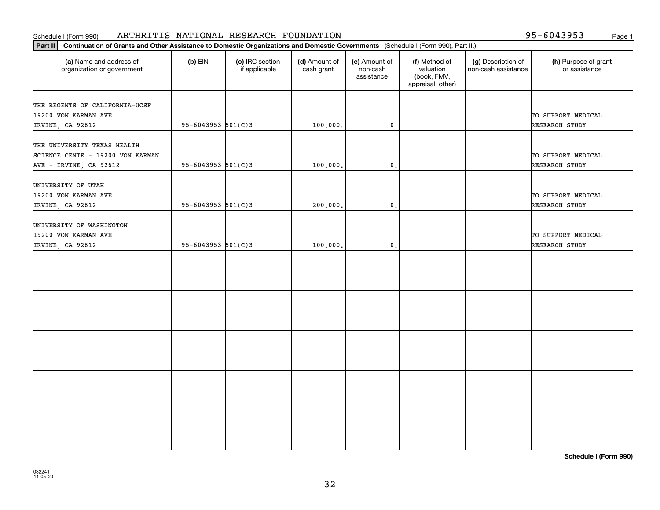### Schedule I (Form 990) Page 1 ARTHRITIS NATIONAL RESEARCH FOUNDATION

| 95-6043953 | Page 1 |
|------------|--------|
|            |        |

| Continuation of Grants and Other Assistance to Domestic Organizations and Domestic Governments (Schedule I (Form 990), Part II.)<br>Part II |                        |                                  |                             |                                         |                                                                |                                           |                                       |
|---------------------------------------------------------------------------------------------------------------------------------------------|------------------------|----------------------------------|-----------------------------|-----------------------------------------|----------------------------------------------------------------|-------------------------------------------|---------------------------------------|
| (a) Name and address of<br>organization or government                                                                                       | $(b)$ EIN              | (c) IRC section<br>if applicable | (d) Amount of<br>cash grant | (e) Amount of<br>non-cash<br>assistance | (f) Method of<br>valuation<br>(book, FMV,<br>appraisal, other) | (g) Description of<br>non-cash assistance | (h) Purpose of grant<br>or assistance |
| THE REGENTS OF CALIFORNIA-UCSF<br>19200 VON KARMAN AVE<br>IRVINE, CA 92612                                                                  | 95-6043953 $501(C)$ 3  |                                  | 100,000.                    | $\mathfrak o$ .                         |                                                                |                                           | TO SUPPORT MEDICAL<br>RESEARCH STUDY  |
| THE UNIVERSITY TEXAS HEALTH<br>SCIENCE CENTE - 19200 VON KARMAN<br>AVE - IRVINE, CA 92612                                                   | $95 - 6043953$ 501(C)3 |                                  | 100,000.                    | $\mathbf{0}$ .                          |                                                                |                                           | TO SUPPORT MEDICAL<br>RESEARCH STUDY  |
| UNIVERSITY OF UTAH<br>19200 VON KARMAN AVE<br>IRVINE, CA 92612                                                                              | $95 - 6043953$ 501(C)3 |                                  | 200,000.                    | $\mathbf{0}$ .                          |                                                                |                                           | TO SUPPORT MEDICAL<br>RESEARCH STUDY  |
| UNIVERSITY OF WASHINGTON<br>19200 VON KARMAN AVE<br>IRVINE, CA 92612                                                                        | $95 - 6043953$ 501(C)3 |                                  | 100,000.                    | $\mathfrak o$ .                         |                                                                |                                           | TO SUPPORT MEDICAL<br>RESEARCH STUDY  |
|                                                                                                                                             |                        |                                  |                             |                                         |                                                                |                                           |                                       |
|                                                                                                                                             |                        |                                  |                             |                                         |                                                                |                                           |                                       |
|                                                                                                                                             |                        |                                  |                             |                                         |                                                                |                                           |                                       |
|                                                                                                                                             |                        |                                  |                             |                                         |                                                                |                                           |                                       |
|                                                                                                                                             |                        |                                  |                             |                                         |                                                                |                                           |                                       |

**Schedule I (Form 990)**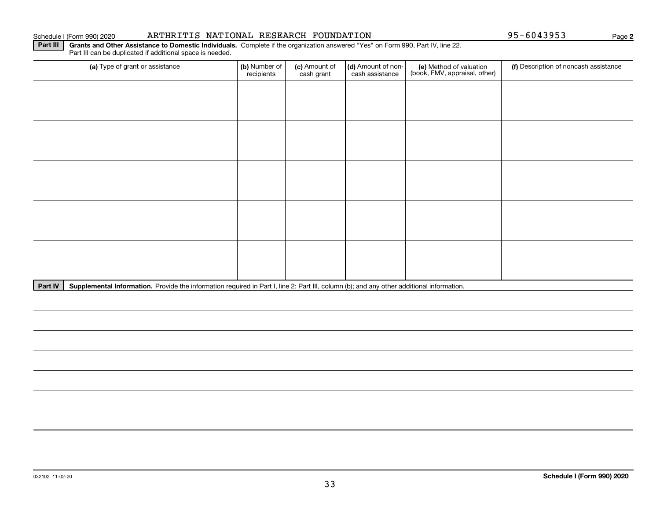### Schedule I (Form 990) 2020 ARTHRITIS NATIONAL RESEARCH FOUNDATION 95-6043953 Page

**2**

**Part III | Grants and Other Assistance to Domestic Individuals. Complete if the organization answered "Yes" on Form 990, Part IV, line 22.** Part III can be duplicated if additional space is needed.

| (a) Type of grant or assistance | (b) Number of<br>recipients | (c) Amount of<br>cash grant | (d) Amount of non-<br>cash assistance | (e) Method of valuation<br>(book, FMV, appraisal, other) | (f) Description of noncash assistance |
|---------------------------------|-----------------------------|-----------------------------|---------------------------------------|----------------------------------------------------------|---------------------------------------|
|                                 |                             |                             |                                       |                                                          |                                       |
|                                 |                             |                             |                                       |                                                          |                                       |
|                                 |                             |                             |                                       |                                                          |                                       |
|                                 |                             |                             |                                       |                                                          |                                       |
|                                 |                             |                             |                                       |                                                          |                                       |
|                                 |                             |                             |                                       |                                                          |                                       |
|                                 |                             |                             |                                       |                                                          |                                       |
|                                 |                             |                             |                                       |                                                          |                                       |
|                                 |                             |                             |                                       |                                                          |                                       |
|                                 |                             |                             |                                       |                                                          |                                       |

Part IV | Supplemental Information. Provide the information required in Part I, line 2; Part III, column (b); and any other additional information.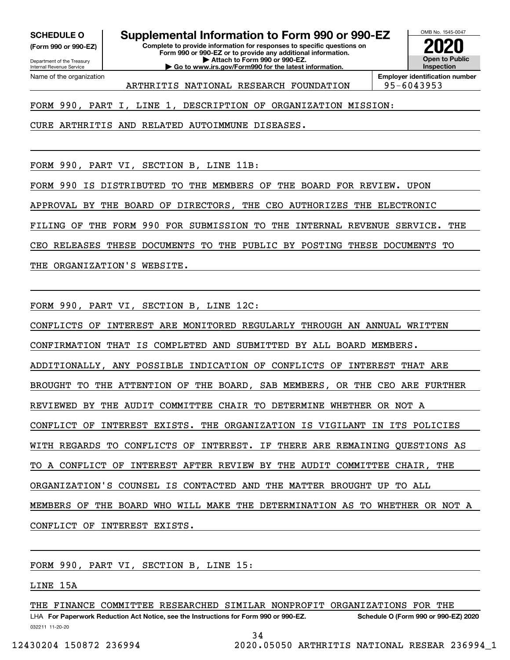**(Form 990 or 990-EZ)**

Department of the Treasury Internal Revenue Service Name of the organization

**SCHEDULE O Supplemental Information to Form 990 or 990-EZ**

**Complete to provide information for responses to specific questions on Form 990 or 990-EZ or to provide any additional information. | Attach to Form 990 or 990-EZ. | Go to www.irs.gov/Form990 for the latest information.**



**Employer identification number** ARTHRITIS NATIONAL RESEARCH FOUNDATION 95-6043953

FORM 990, PART I, LINE 1, DESCRIPTION OF ORGANIZATION MISSION:

CURE ARTHRITIS AND RELATED AUTOIMMUNE DISEASES.

FORM 990, PART VI, SECTION B, LINE 11B:

FORM 990 IS DISTRIBUTED TO THE MEMBERS OF THE BOARD FOR REVIEW. UPON

APPROVAL BY THE BOARD OF DIRECTORS, THE CEO AUTHORIZES THE ELECTRONIC

FILING OF THE FORM 990 FOR SUBMISSION TO THE INTERNAL REVENUE SERVICE. THE

CEO RELEASES THESE DOCUMENTS TO THE PUBLIC BY POSTING THESE DOCUMENTS TO

THE ORGANIZATION'S WEBSITE.

FORM 990, PART VI, SECTION B, LINE 12C:

CONFLICTS OF INTEREST ARE MONITORED REGULARLY THROUGH AN ANNUAL WRITTEN

CONFIRMATION THAT IS COMPLETED AND SUBMITTED BY ALL BOARD MEMBERS.

ADDITIONALLY, ANY POSSIBLE INDICATION OF CONFLICTS OF INTEREST THAT ARE

BROUGHT TO THE ATTENTION OF THE BOARD, SAB MEMBERS, OR THE CEO ARE FURTHER

REVIEWED BY THE AUDIT COMMITTEE CHAIR TO DETERMINE WHETHER OR NOT A

CONFLICT OF INTEREST EXISTS. THE ORGANIZATION IS VIGILANT IN ITS POLICIES

WITH REGARDS TO CONFLICTS OF INTEREST. IF THERE ARE REMAINING QUESTIONS AS

TO A CONFLICT OF INTEREST AFTER REVIEW BY THE AUDIT COMMITTEE CHAIR, THE

ORGANIZATION'S COUNSEL IS CONTACTED AND THE MATTER BROUGHT UP TO ALL

MEMBERS OF THE BOARD WHO WILL MAKE THE DETERMINATION AS TO WHETHER OR NOT A

CONFLICT OF INTEREST EXISTS.

## FORM 990, PART VI, SECTION B, LINE 15:

LINE 15A

032211 11-20-20 LHA For Paperwork Reduction Act Notice, see the Instructions for Form 990 or 990-EZ. Schedule O (Form 990 or 990-EZ) 2020 THE FINANCE COMMITTEE RESEARCHED SIMILAR NONPROFIT ORGANIZATIONS FOR THE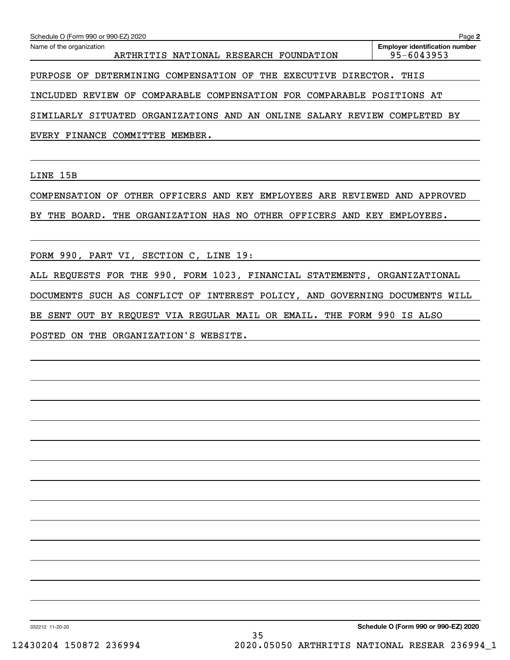| Schedule O (Form 990 or 990-EZ) 2020                                           | Page 2                                              |  |  |  |  |  |
|--------------------------------------------------------------------------------|-----------------------------------------------------|--|--|--|--|--|
| Name of the organization<br>ARTHRITIS NATIONAL RESEARCH FOUNDATION             | <b>Employer identification number</b><br>95-6043953 |  |  |  |  |  |
| COMPENSATION OF THE<br>DETERMINING<br>EXECUTIVE<br>PURPOSE<br>OF<br>DIRECTOR.  | THIS                                                |  |  |  |  |  |
| COMPARABLE COMPENSATION FOR<br>INCLUDED REVIEW<br>OF                           | COMPARABLE POSITIONS AT                             |  |  |  |  |  |
| ORGANIZATIONS AND<br>AN<br>ONLINE<br>SALARY<br>SITUATED<br>REVIEW<br>SIMILARLY | COMPLETED<br>ВY                                     |  |  |  |  |  |
| EVERY FINANCE<br>COMMITTEE<br>MEMBER.                                          |                                                     |  |  |  |  |  |
|                                                                                |                                                     |  |  |  |  |  |
| 15B<br>LINE                                                                    |                                                     |  |  |  |  |  |
| OFFICERS AND KEY EMPLOYEES ARE REVIEWED<br>COMPENSATION<br>OTHER<br>OF         | APPROVED<br>AND                                     |  |  |  |  |  |

BY THE BOARD. THE ORGANIZATION HAS NO OTHER OFFICERS AND KEY EMPLOYEES.

FORM 990, PART VI, SECTION C, LINE 19:

ALL REQUESTS FOR THE 990, FORM 1023, FINANCIAL STATEMENTS, ORGANIZATIONAL DOCUMENTS SUCH AS CONFLICT OF INTEREST POLICY, AND GOVERNING DOCUMENTS WILL BE SENT OUT BY REQUEST VIA REGULAR MAIL OR EMAIL. THE FORM 990 IS ALSO POSTED ON THE ORGANIZATION'S WEBSITE.